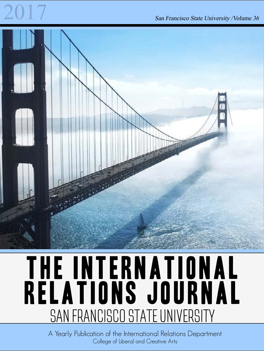## 2017 San Francisco State University /Volume 36



## THE INTERNATIONAL Relations Journal SAN FRANCISCO STATE UNIVERSITY

A Yearly Publication of the International Relations Department College of Liberal and Creative Arts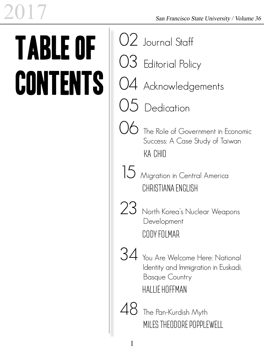# Table of **CONTENTS**

|    | $O2$ Journal Staff                                                                                                       |
|----|--------------------------------------------------------------------------------------------------------------------------|
|    | $O3$ Editorial Policy                                                                                                    |
|    | 04 Acknowledgements                                                                                                      |
|    | $O5$ Dedication                                                                                                          |
|    | $\bigcirc$ The Role of Government in Economic<br>Success: A Case Study of Taiwan<br>KA CHIO                              |
|    | 15 Migration in Central America<br>CHRISTIANA ENGLISH                                                                    |
|    | 23 North Korea's Nuclear Weapons<br>Development<br>CODY FOLMAR                                                           |
| 34 | You Are Welcome Here: National<br>Identity and Immigration in Euskadi,<br><b>Basque Country</b><br><b>HALLIE HOFFMAN</b> |
| 48 | The Pan-Kurdish Myth<br>MILES THEODORE POPPLEWELL                                                                        |
|    |                                                                                                                          |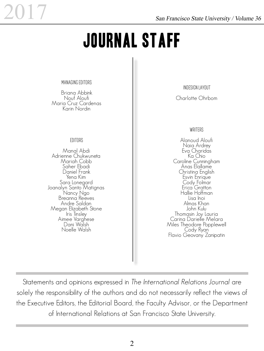## Journal Staff

Managing Editors

Briana Abbink Nouf Aloufi Maria Cruz Cardenas Karin Nordin

#### **EDITORS**

Manal Abdi Adrienne Chukwuneta Mariah Cobb Saher Ebadi Daniel Frank Yena Kim<br>Sara Lonegard Joanalyn Santo Matignas Nancy Ngo Breanna Reeves Andre Saldan Megan Elizabeth Stone<br>Iris Tinsley<br>Aimee Varghese<br>Dani Walsh Noelle Walsh

InDesign Layout

Charlotte Ohrbom

#### WRITERS

Alanoud Aloufi Naia Ardrey Eva Charidas Ka Chio Caroline Cunningham Anas Elallame Christina English Esvin Enrique Cody Folmar Erica<sup>'</sup> Gratton Hallie Hoffman Lisa Inoi Almas Khan John Kulu Thomasin Joy Lauria Carina Darielle Melara Miles Theodore Popplewell<br>Cody Ryan<br>Flavio Geovany Zanipatin

Statements and opinions expressed in The International Relations Journal are solely the responsibility of the authors and do not necessarily reflect the views of the Executive Editors, the Editorial Board, the Faculty Advisor, or the Department of International Relations at San Francisco State University.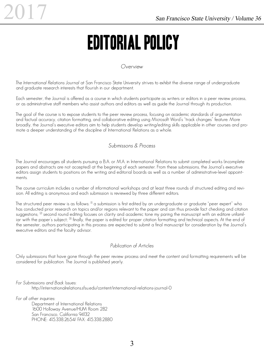## Editorial Policy

#### Overview

The International Relations Journal at San Francisco State University strives to exhibit the diverse range of undergraduate and graduate research interests that flourish in our department.

Each semester, the Journal is offered as a course in which students participate as writers or editors in a peer review process, or as administrative staff members who assist authors and editors as well as guide the Journal through its production.

The goal of the course is to expose students to the peer review process, focusing on academic standards of argumentation and factual accuracy, citation formatting, and collaborative editing using Microsoft Word's "track changes" feature. More broadly, the Journal's executive editors aim to help students develop writing/editing skills applicable in other courses and promote a deeper understanding of the discipline of International Relations as a whole.

#### Submissons & Process

The Journal encourages all students pursuing a B.A. or M.A. in International Relations to submit completed works (incomplete papers and abstracts are not accepted) at the beginning of each semester. From these submissions, the Journal's executive editors assign students to positions on the writing and editorial boards as well as a number of administrative-level appointments.

The course curriculum includes a number of informational workshops and at least three rounds of structured editing and revision. All editing is anonymous and each submission is reviewed by three different editors.

The structured peer review is as follows:  $^{11}$  a submission is first edited by an undergraduate or graduate "peer expert" who has conducted prior research on topics and/or regions relevant to the paper and can thus provide fact checking and citation suggestions; <sup>[2]</sup> second round editing focuses on clarity and academic tone my paring the manuscript with an editore unfamiliar with the paper's subject;  $\frac{13}{2}$  finally, the paper is edited for proper citation formatting and technical aspects. At the end of the semester, authors participating in this process are expected to submit a final manuscript for consideration by the Journal's executive editors and the faculty advisor.

#### Publication of Articles

Only submissions that have gone through the peer review process and meet the content and formatting requirements will be considered for publication. The Journal is published yearly.

For Submissions and Back Issues:

http://internationalrelations.sfsu.edu/content/international-relations-journal-0

For all other inquiries:

Department of International Relations 1600 Holloway Avenue/HUM Room 282 San Francisco, California 94132 PHONE: 415.338.2654/ FAX: 415.338.2880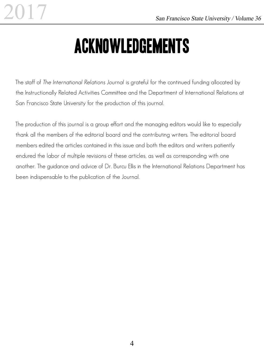## Acknowledgements

The staff of The International Relations Journal is grateful for the continued funding allocated by the Instructionally Related Activities Committee and the Department of International Relations at San Francisco State University for the production of this journal.

The production of this journal is a group effort and the managing editors would like to especially thank all the members of the editorial board and the contributing writers. The editorial board members edited the articles contained in this issue and both the editors and writers patiently endured the labor of multiple revisions of these articles, as well as corresponding with one another. The guidance and advice of Dr. Burcu Ellis in the International Relations Department has been indispensable to the publication of the Journal.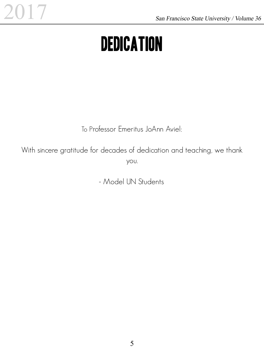## **DEDICATION**

To Professor Emeritus JoAnn Aviel:

With sincere gratitude for decades of dedication and teaching, we thank you.

- Model UN Students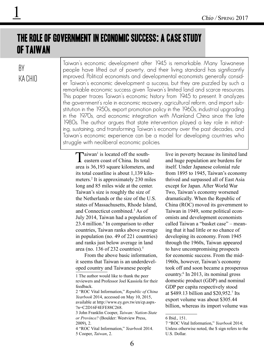### The Role of Government in Economic Success: A Case Study of Taiwan

### By KA CHIO

Taiwan's economic development after 1945 is remarkable. Many Taiwanese people have lifted out of poverty, and their living standard has significantly improved. Political economists and developmental economists generally consider Taiwan's economic development a success, but they are puzzled by such a remarkable economic success given Taiwan's limited land and scarce resources. This paper traces Taiwan's economic history from 1945 to present. It analyzes the government's role in economic recovery, agricultural reform, and import substitution in the 1950s, export promotion policy in the 1960s, industrial upgrading in the 1970s, and economic integration with Mainland China since the late 1980s. The author argues that state intervention played a key role in initiating, sustaining, and transforming Taiwan's economy over the past decades, and Taiwan's economic experience can be a model for developing countries who struggle with neoliberal economic policies.

Taiwan<sup>1</sup> is located off the south-<br>eastern coast of China. Its total  $\sum$ aiwan<sup>1</sup> is located off the southarea is 36,193 square kilometers, and its total coastline is about 1,139 kilometers.<sup>2</sup> It is approximately 230 miles long and 85 miles wide at the center. Taiwan's size is roughly the size of the Netherlands or the size of the U.S. states of Massachusetts, Rhode Island, and Connecticut combined.3 As of July 2014, Taiwan had a population of 23.4 million.<sup>4</sup> In comparison to other countries, Taiwan ranks above average in population (no. 49 of 221 countries) and ranks just below average in land area (no. 136 of 232 countries).<sup>5</sup>

From the above basic information, it seems that Taiwan is an underdeveloped country and Taiwanese people

4 "ROC Vital Information," *Yearbook* 2014. 5 Cooper, *Taiwan*, 2.

live in poverty because its limited land and huge population are burdens for itself. Under Japanese colonial rule from 1895 to 1945, Taiwan's economy thrived and surpassed all of East Asia except for Japan. After World War Two, Taiwan's economy worsened dramatically. When the Republic of China (ROC) moved its government to Taiwan in 1949, some political economists and development economists called Taiwan a "basket case" – meaning that it had little or no chance of developing its economy. From 1945 through the 1960s, Taiwan appeared to have uncompromising prospects for economic success. From the mid-1960s, however, Taiwan's economy took off and soon became a prosperous country.<sup>6</sup> In 2013, its nominal gross domestic product (GDP) and nominal GDP per capita respectively stood at \$489.13 billion and \$20,952.7 Its export volume was about \$305.44 billion, whereas its import volume was

<sup>1</sup> The author would like to thank the peer reviewers and Professor Joel Kassiola for their feedback.

<sup>2 &</sup>quot;ROC Vital Information," *Republic of China Yearbook* 2014, accessed on May 10, 2015, available at http://www.ey.gov.tw/en/cp.aspx- ?n=C2D16F4EFE88C268.

<sup>3</sup> John Franklin Cooper, *Taiwan: Nation-State or Province?* (Boulder: Westview Press, 2009), 2.

<sup>6</sup> Ibid., 151.

<sup>7 &</sup>quot;ROC Vital Information," *Yearbook* 2014; Unless otherwise noted, the \$ sign refers to the U.S. Dollar.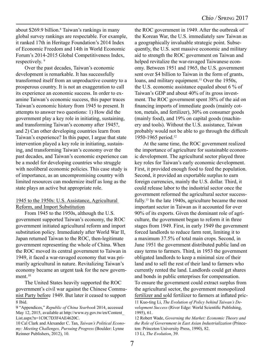about \$269.9 billion.<sup>8</sup> Taiwan's rankings in many global survey rankings are respectable. For example, it ranked 17th in Heritage Foundation's 2014 Index of Economic Freedom and 14th in World Economic Forum's 2014-2015 Global Competitiveness Index, respectively.<sup>9</sup>

Over the past decades, Taiwan's economic development is remarkable. It has successfully transformed itself from an unproductive country to a prosperous country. It is not an exaggeration to call its experience an economic success. In order to examine Taiwan's economic success, this paper traces Taiwan's economic history from 1945 to present. It attempts to answer two questions: 1) How did the government play a key role in initiating, sustaining, and transforming Taiwan's economy after 1945?, and 2) Can other developing countries learn from Taiwan's experience? In this paper, I argue that state intervention played a key role in initiating, sustaining, and transforming Taiwan's economy over the past decades, and Taiwan's economic experience can be a model for developing countries who struggle with neoliberal economic policies. This case study is of importance, as an uncompromising country with limited resources can modernize itself as long as the state plays an active but appropriate role.

#### 1945 to the 1950s: U.S. Assistance, Agricultural Reform, and Import Substitution

From 1945 to the 1950s, although the U.S. government supported Taiwan's economy, the ROC government initiated agricultural reform and import substitution policy. Immediately after World War II, Japan returned Taiwan to the ROC, then-legitimate government representing the whole of China. When the ROC moved its central government to Taiwan in 1949, it faced a war-ravaged economy that was primarily agricultural in nature. Revitalizing Taiwan's economy became an urgent task for the new government.<sup>10</sup>

The United States heavily supported the ROC government's civil war against the Chinese Communist Party before 1949. But later it ceased to support 8 Ibid.

9 "Appendices," *Republic of China Yearbook* 2014, accessed May 12, 2015, available at http://www.ey.gov.tw/en/Content\_ List.aspx?n=1C0C7D3F4AE4620C.

the ROC government in 1949. After the outbreak of the Korean War, the U.S. immediately saw Taiwan as a geographically invaluable strategic point. Subsequently, the U.S. sent massive economic and military aid to strength the ROC government on Taiwan and helped revitalize the war-ravaged Taiwanese economy. Between 1951 and 1965, the U.S. government sent over \$4 billion to Taiwan in the form of grants, loans, and military equipment.<sup>11</sup> Over the 1950s, the U.S. economic assistance equaled about 6 % of Taiwan's GDP and about 40% of its gross investment. The ROC government spent 38% of the aid on financing imports of immediate goods (mainly cotton, metals, and fertilizer), 30% on consumer goods (mainly food), and 19% on capital goods (machinery and tools). Without the U.S. assistance, Taiwan probably would not be able to go through the difficult 1950-1965 period.12

At the same time, the ROC government realized the importance of agriculture for sustainable economic development. The agricultural sector played three key roles for Taiwan's early economic development. First, it provided enough food to feed the population. Second, it provided an exportable surplus to earn foreign currencies, mainly the U.S. dollar. Third, it could release labor to the industrial sector once the government reformed the agricultural sector successfully.<sup>13</sup> In the late 1940s, agriculture became the most important sector in Taiwan as it accounted for over 90% of its exports. Given the dominant role of agriculture, the government began to reform it in three stages from 1949. First, in early 1949 the government forced landlords to reduce farm rent, limiting it to a maximum 37.5% of total main crops. Second, in June 1951 the government distributed public land on easy terms to farmers. Third, in 1953 the government obligated landlords to keep a minimal size of their land and to sell the rest of their land to farmers who currently rented the land. Landlords could get shares and bonds in public enterprises for compensation. To ensure the government could extract surplus from the agricultural sector, the government monopolized fertilizer and sold fertilizer to farmers at inflated pric-

<sup>10</sup> Cal Clark and Alexander C. Tan, *Taiwan's Political Economy: Meeting Challenges, Pursuing Progress* (Boulder: Lynne Reinner Publishers, 2012), 10.

<sup>11</sup> Kuo-ting Li, *The Evolution of Policy behind Taiwan's Development Success* (River Edge: World Scientific Publishing, 1995), 61.

<sup>12</sup> Robert Wade, *Governing the Market: Economic Theory and the Role of Government in East Asian Industrialization* (Princeton: Princeton University Press, 1990), 82. 13 Li, *The Evolution*, 39.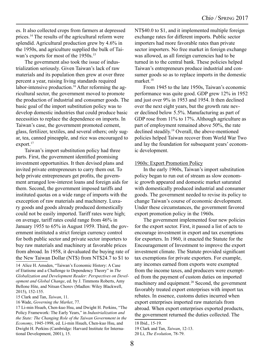es. It also collected crops from farmers at depressed prices.14 The results of the agricultural reform were splendid. Agricultural production grew by 4.6% in the 1950s, and agriculture supplied the bulk of Taiwan's exports for most of the 1950s.<sup>15</sup>

The government also took the issue of industrialization seriously. Given Taiwan's lack of raw materials and its population then grew at over three percent a year, raising living standards required labor-intensive production.<sup>16</sup> After reforming the agricultural sector, the government moved to promote the production of industrial and consumer goods. The basic goal of the import substitution policy was to develop domestic industries that could produce basic necessities to replace the dependence on imports. In Taiwan's case, the government promoted cement, glass, fertilizer, textiles, and several others; only sugar, tea, canned pineapple, and rice was encouraged to export.<sup>17</sup>

Taiwan's import substitution policy had three parts. First, the government identified promising investment opportunities. It then devised plans and invited private entrepreneurs to carry them out. To help private entrepreneurs get profits, the government arranged low-interest loans and foreign aids for them. Second, the government imposed tariffs and instituted quotas on a wide range of imports with the exeception of raw materials and machinery. Luxury goods and goods already produced domestically could not be easily imported. Tariff rates were high; on average, tariff rates could range from 46% in January 1955 to 65% in August 1959. Third, the government instituted a strict foreign currency control for both public sector and private sector importers to buy raw materials and machinery at favorable prices from abroad. In 1958, it devaluated the buying rate of the New Taiwan Dollar (NT\$) from NT\$24.7 to \$1 to

NT\$40.0 to \$1, and it implemented multiple foreign exchange rates for different imports. Public sector importers had more favorable rates than private sector importers. No free market in foreign exchange was allowed, as all foreign currencies had to be turned in to the central bank. These policies helped Taiwan's entrepreneurs produce industrial and consumer goods so as to replace imports in the domestic market.18

From 1945 to the late 1950s, Taiwan's economic performance was quite good. GDP grew 12% in 1952 and just over 9% in 1953 and 1954. It then declined over the next eight years, but the growth rate never declined below 5.5%. Manufacturing as part of GDP rose from 11% to 17%. Although agriculture as part of employment remained above 50%, the rate declined steadily.19 Overall, the above-mentioned policies helped Taiwan recover from World War Two and lay the foundation for subsequent years' economic development.

#### 1960s: Export Promotion Policy

In the early 1960s, Taiwan's import substitution policy began to run out of stream as slow economic growth appeared and domestic market saturated with domestically produced industrial and consumer goods. The government needed to revise its policy to change Taiwan's course of economic development. Under these circumstances, the government favored export promotion policy in the 1960s.

The government implemented four new policies for the export sector. First, it passed a list of acts to encourage investment in export and tax exemptions for exporters. In 1960, it enacted the Statute for the Encouragement of Investment to improve the export investment climate. The Statute provided significant tax exemptions for private exporters. For example, any incomes earned from exports were exempted from the income taxes, and producers were exempted from the payment of custom duties on imported machinery and equipment.<sup>20</sup> Second, the government favorably treated export enterprises with import tax rebates. In essence, customs duties incurred when export enterprises imported raw materials from abroad. When export enterprises exported products, the government returned the duties collected. The

<sup>14</sup> Alice H. Amsden, "Taiwan's Economic History: A Case of Etatisme and a Challenge to Dependency Theory" in *The Globalization and Development Reader: Perspectives on Development and Global Change*, ed. by J. Timmons Roberts, Amy Bellone Hite, and Nitsan Chorev (Madlen: Wiley Blackwell, 2015), 152-155.

<sup>15</sup> Clark and Tan, *Taiwan*, 11.

<sup>16</sup> Wade, *Governing the Market*, 77.

<sup>17</sup> Li-min Hsueh, Chen-kuo Hsu, and Dwight H. Perkins, "The Policy Framework: The Early Years," in *Industrialization and the State: The Changing Role of the Taiwan Government in the Economy*, 1945-1998, ed. Li-min Hsueh, Chen-kuo Hsu, and Dwight H. Perkins (Cambridge: Harvard Institute for International Development, 2001), 15.

<sup>18</sup> Ibid., 15-19.

<sup>19</sup> Clark and Tan, *Taiwan*, 12-13.

<sup>20</sup> Li, *The Evolution*, 78-79.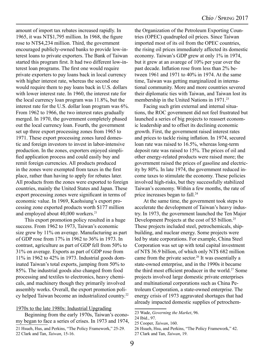amount of import tax rebates increased rapidly. In 1965, it was NT\$1,795 million. In 1968, the figure rose to NT\$4,234 million. Third, the government encouraged publicly-owned banks to provide low-interest loans to private exporters. The Bank of Taiwan started this program first. It had two different low-interest loan programs. The first one would require private exporters to pay loans back in local currency with higher interest rate, whereas the second one would require them to pay loans back in U.S. dollars with lower interest rate. In 1960, the interest rate for the local currency loan program was 11.8%, but the interest rate for the U.S. dollar loan program was 6%. From 1962 to 1966, the two interest rates gradually merged. In 1970, the government completely phased out the local currency loan. Fourth, the government set up three export processing zones from 1965 to 1971. These export processing zones lured domestic and foreign investors to invest in labor-intensive production. In the zones, exporters enjoyed simplified application process and could easily buy and remit foreign currencies. All products produced in the zones were exempted from taxes in the first place, rather than having to apply for rebates later. All products from the zones were exported to foreign countries, mainly the United States and Japan. These export processing zones were significant in terms of economic value. In 1969, Kaohsiung's export processing zone exported products worth \$177 million and employed about 40,000 workers.<sup>21</sup>

This export promotion policy resulted in a huge success. From 1962 to 1973, Taiwan's economic size grew by 11% on average. Manufacturing as part of GDP rose from 17% in 1962 to 36% in 1973. In contrast, agriculture as part of GDP fell from 50% to 31% on average. Exports as part of GDP rose from 11% in 1962 to 42% in 1973. Industrial goods dominated Taiwan's total exports, jumping from 50% to 85%. The industrial goods also changed from food processing and textiles to electronics, heavy chemicals, and machinery though they primarily involved assembly works. Overall, the export promotion policy helped Taiwan become an industrialized country.<sup>22</sup>

#### 1970s to the late 1980s: Industrial Upgrading

- Beginning from the early 1970s, Taiwan's economy began to face a series of crises. In 1973 and 1974,
- 21 Hsueh, Hus, and Perkins, "The Policy Framework," 25-29. 22 Clark and Tan, *Taiwan*, 15-16.

the Organization of the Petroleum Exporting Countries (OPEC) quadrupled oil prices. Since Taiwan imported most of its oil from the OPEC countries, the rising oil prices immediately affected its domestic economy. Taiwan's GDP grew at only 1% in 1974, but it grew at an avarege of 10% per year over the past decade. Inflation rose from less than 2% between 1961 and 1971 to 40% in 1974. At the same time, Taiwan was getting marginalized in international community. More and more countries severed their diplomatic ties with Taiwan, and Taiwan lost its membership in the United Nations in 1971.<sup>23</sup>

Facing such grim external and internal situations, the ROC government did not feel frustrated but launched a series of big projects to reassert economic leadership and to offset its declining economic growth. First, the government raised interest rates and prices to tackle rising inflation. In 1974, secured loan rate was raised to 16.5%, whereas long-term deposit rate was raised to 15%. The prices of oil and other energy-related products were raised more; the government raised the prices of gasoline and electricity by 80%. In late 1974, the government reduced income taxes to stimulate the economy. These policies involved high-risks, but they successfully stabilized Taiwan's economy. Within a few months, the rate of price increases began to fall.24

At the same time, the government took steps to accelerate the development of Taiwan's heavy industry. In 1973, the government launched the Ten Major Development Projects at the cost of \$5 billion.<sup>25</sup> These projects included steel, petrochemicals, shipbuilding, and nuclear energy. Some projects were led by state corporations. For example, China Steel Corporation was set up with total capital investment of NT\$ 36.9 billion, of which only NT\$ 682 million came from the private sector.<sup>26</sup> It was essentially a state-owned enterprise, and in the 1990s it became the third most efficient producer in the world.<sup>27</sup> Some projects involved large domestic private enterprises and multinational corporations such as China Petroleum Corporation, a state-owned enterprise. The energy crisis of 1973 aggravated shortages that had already impacted domestic supplies of petrochem-

<sup>23</sup> Wade, *Governing the Market*, 96.

<sup>24</sup> Ibid., 97.

<sup>25</sup> Cooper, *Taiwan*, 160.

<sup>26</sup> Hsueh, Hsu, and Perkins, "The Policy Framework," 42.

<sup>27</sup> Clark and Tan, *Taiwan*, 19.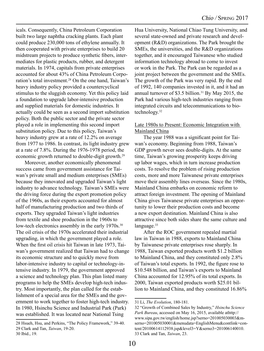icals. Consequently, China Petroleum Corporation built two large naphtha cracking plants. Each plant could produce 230,000 tons of ethylene annually. It then cooperated with private enterprises to build 20 midstream projects to produce synthetic fibers, intermediates for plastic products, rubber, and detergent materials. In 1974, capitals from private enterprises accounted for about 43% of China Petroleum Corporation's total investment.28 On the one hand, Taiwan's heavy industry policy provided a countercyclical stimulus to the sluggish economy. Yet this policy laid a foundation to upgrade labor-intensive production and supplied materials for domestic industries. It actually could be seen as a second import substitution policy. Both the public sector and the private sector played a role in implementing this second import substitution policy. Due to this policy, Taiwan's heavy industry grew at a rate of 12.2% on average from 1977 to 1986. In contrast, its light industry grew at a rate of 7.8%. During the 1976-1978 period, the economic growth returned to double-digit growth.<sup>29</sup>

Moreover, another economically phenomenal success came from government assistance for Taiwan's private small and medium enterprises (SMEs) because they innovated and upgraded Taiwan's light industry to advance technology. Taiwan's SMEs were the driving force during the export promotion policy of the 1960s, as their exports accounted for almost half of manufacturing production and two thirds of exports. They upgraded Taiwan's light industries from textile and shoe production in the 1960s to low-tech electronics assembly in the early 1970s.<sup>30</sup> The oil crisis of the 1970s accelerated their industrial upgrading, in which the government played a role. When the first oil crisis hit Taiwan in late 1973, Taiwan's government realized that Taiwan had to change its economic structure and to quickly move from labor-intensive industry to capital or technology-intensive industry. In 1979, the government approved a science and technology plan. This plan listed many programs to help the SMEs develop high-tech industry. Most importantly, the plan called for the establishment of a special area for the SMEs and the government to work together to foster high-tech industry. In 1980, Hsinchu Science and Industrial Park (Park) was established. It was located near National Tsing

28 Hsueh, Hsu, and Perkins, "The Policy Framework," 39-40. 29 Clark and Tan, *Taiwan*, 19-20.

Hua University, National Chiao Tung University, and several state-owned and private research and development (R&D) organizations. The Park brought the SMEs, the universities, and the R&D organizations together, and it encouraged Taiwanese who studied information technology abroad to come to invest or work in the Park. The Park can be regarded as a joint project between the government and the SMEs. The growth of the Park was very rapid. By the end of 1992, 140 companies invested in it, and it had an annual turnover of \$3.5 billion.<sup>31</sup> By May 2015, the Park had various high-tech industries ranging from integrated circuits and telecommunications to biotechnology.32

#### Late 1980s to Present: Economic Integration with Mainland China

The year 1988 was a significant point for Taiwan's economy. Beginning from 1988, Taiwan's GDP growth never sees double-digits. At the same time, Taiwan's growing prosperity keeps driving up labor wages, which in turn increase production costs. To resolve the problem of rising production costs, more and more Taiwanese private enterprises move their assembly lines overseas. Since the 1980s, Mainland China embarks on economic reform to attract foreign investment. The opening of Mainland China gives Taiwanese private enterprises an opportunity to lower their production costs and become a new export destination. Mainland China is also attractive since both sides share the same culture and language.<sup>33</sup>

After the ROC government repealed martial law in Taiwan in 1988, exports to Mainland China by Taiwanese private enterprises rose sharply. In 1988, Taiwan exported products worth \$1.2 billion to Mainland China, and they constituted only 2.8% of Taiwan's total exports. In 1992, the figure rose to \$10.548 billion, and Taiwan's exports to Mainland China accounted for 12.95% of its total exports. In 2000, Taiwan exported products worth \$25.01 billion to Mainland China, and they constituted 16.86%

<sup>30</sup> Ibid., 19.

<sup>31</sup> Li, *The Evolution*, 180-181.

<sup>32 &</sup>quot;Growth of Combined Sales by Industry," *Hsinchu Science Park Bureau*, accessed on May 16, 2015, available athttp:// www.sipa.gov.tw/english/home.jsp?serno=201005030003&mserno=201005030001&menudata=EnglishMenu&contlink=content/20100614112938.jsp&level3=Y&serno3=201006140010. 33 Clark and Tan, *Taiwan*, 23.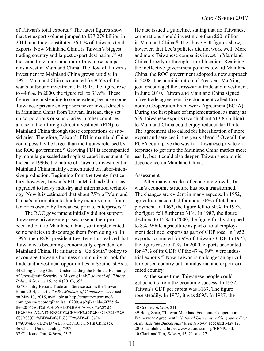of Taiwan's total exports.<sup>34</sup> The latest figures show that the export volume jumped to \$77.279 billion in 2014, and they constituted 26.1 % of Taiwan's total exports. Now Mainland China is Taiwan's biggest trading country and largest export destination.<sup>35</sup> At the same time, more and more Taiwanese companies invest in Mainland China. The flow of Taiwan's investment to Mainland China grows rapidly. In 1991, Mainland China accounted for 9.5% of Taiwan's outbound investment. In 1995, the figure rose to 44.6%. In 2000, the figure fell to 33.9%. These figures are misleading to some extent, because some Taiwanese private enterprisers never invest directly in Mainland China from Taiwan. Instead, they set up corporations or subsidiaries in other countries and send their foreign direct investment (FDI) to Mainland China through these corporations or subsidiaries. Therefore, Taiwan's FDI in mainland China could possibly be larger than the figures released by the ROC government.<sup>36</sup> Growing FDI is accompanied by more large-scaled and sophisticated investment. In the early 1990s, the nature of Taiwan's investment in Mainland China mainly concentrated on labor-intensive production. Beginning from the twenty-first century, however, Taiwan's FDI in Mainland China has upgraded to heavy industry and information technology. Now it is estimated that about 75% of Mainland China's information technology exports come from factories owned by Taiwanese private enterprisers.<sup>37</sup>

The ROC government initially did not support Taiwanese private enterprises to send their projects and FDI to Mainland China, so it implemented some policies to discourage them from doing so. In 1995, then-ROC president Lee Teng-hui realized that Taiwan was becoming economically dependent on Mainland China. He initiated a "Go South" policy to encourage Taiwan's business community to look for trade and investment opportunities in Southeast Asia.

34 Ching-Chang Chen, "Understanding the Political Economy of Cross-Strait Security: A Missing Link," *Journal of Chinese Political Science* 15, no.4 (2010), 395.

35 "Country Report: Trade and Service across the Taiwan Strait 2014, Chart 2," *PRC Ministry of Commerce*, accessed on May 13, 2015, available at http://countryreport.mofcom.gov.cn/record/qikanlist110209.asp?qikanid=6975&title=2014%C4%EA%D6%D0%B9%FA%CC%A8%C-D%E5%CA%A1%BB%F5%CE%EF%C3%B3%D2%D7%B-C%B0%C1%BD%B0%B6%CB%AB%B1%D-F%C3%B3%D2%D7%B8%C5%BF%F6 (In Chinese). 36 Chen, "Understanding, "397. 37 Clark and Tan, *Taiwan*, 23-24.

He also issued a guideline, stating that no Taiwanese corporations should invest more than \$50 million in Mainland China.<sup>38</sup> The above FDI figures show, however, that Lee's policies did not work well. More and more Taiwanese companies invest in Mainland China directly or through a third location. Realizing the ineffective government policies toward Mainland China, the ROC government adopted a new approach in 2008. The administration of President Ma Yingjeou encouraged the cross-strait trade and investment. In June 2010, Taiwan and Mainland China signed a free trade agreement-like document called Economic Cooperation Framework Agreement (ECFA). During the first phase of implementation, as many as 539 Taiwanese exports (worth about \$13.83 billion) to Mainland China could enjoy reduced tariff rate. The agreement also called for liberalization of more export and services in the years ahead.<sup>39</sup> Overall, the ECFA could pave the way for Taiwanese private enterprises to get into the Mainland China market more easily, but it could also deepen Taiwan's economic dependence on Mainland China.

#### Assessment

After many decades of economic growth, Taiwan's economic structure has been transformed. The changes are evident in many aspects. In 1952, agriculture accounted for about 56% of total employment. In 1962, the figure fell to 50%. In 1973, the figure fell further to 31%. In 1987, the figure declined to 15%. In 2000, the figure finally dropped to 8%. While agriculture as part of total employment declined, exports as part of GDP rose. In 1952, exports accounted for 9% of Taiwan's GDP. In 1973, the figure rose to 42%. In 2000, exports accounted for 47% of its GDP. Of the 47%, 99% were industrial exports.40 Now Taiwan is no longer an agriculture-based country but an industrial and export-oriented country.

At the same time, Taiwanese people could get benefits from the economic success. In 1952, Taiwan's GDP per capita was \$167. The figure rose steadily. In 1973, it was \$695. In 1987, the

<sup>38</sup> Cooper, *Taiwan*, 211.

<sup>39</sup> Hong Zhao, "Taiwan-Mainland Economic Cooperation Framework Agreement," *National University of Singapore East Asian Institute Background Brief No.549*, accessed May 12, 2015, available at http://www.eai.nus.edu.sg/BB549.pdf. 40 Clark and Tan, *Taiwan*, 13, 21, and 27.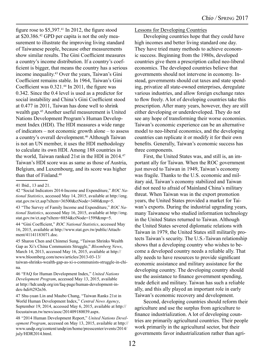figure rose to  $$5,397<sup>41</sup>$  In 2012, the figure stood at \$20.386.42 GPD per capita is not the only measurement to illustrate the improving living standard of Taiwanese people, because other measurements show similar results. The Gini Coefficient measures a country's income distribution. If a country's coefficient is bigger, that means the country has a serious income inequality.43 Over the years, Taiwan's Gini Coefficient remains stable. In 1964, Taiwan's Gini Coefficient was 0.321.<sup>44</sup> In 2011, the figure was 0.342. Since the 0.4 level is used as a predictor for social instability and China's Gini Coefficient stood at 0.477 in 2011, Taiwan has done well to shrink wealth gap.45 Another useful measurement is United Nations Development Program's Human Development Index (HDI). The HDI measures a wide range of indicators – not economic growth alone – to assess a country's overall development.<sup>46</sup> Although Taiwan is not an UN member, it uses the HDI methodology to calculate its own HDI. Among 188 countries in the world, Taiwan ranked 21st in the HDI in 2014.<sup>47</sup> Taiwan's HDI score was as same as those of Austria, Belgium, and Luxembourg, and its score was higher than that of Finland.48

42 "Social Indicators 2014-Income and Expenditure," *ROC National Statistics*, accessed May 14, 2015, available at http://eng. stat.gov.tw/ct.asp?xItem=36500&ctNode=3480&mp=5.

43 "The Survey of Family Income and Expenditure," *ROC National Statistics*, accessed May 16, 2015, available at http://eng. stat.gov.tw/ct.asp?xItem=8854&ctNode=1599&mp=5.

44 "Gini Coefficient," *ROC National Statistics*, accessed May 16, 2015, available at http://www.stat.gov.tw/public/Attachment/41141183071.doc.

45 Sharon Chen and Chinmei Sung, "Taiwan Shrinks Wealth Gap as Xi's China Communists Struggle," *Bloomberg News*, March 14, 2013, accessed May 16, 2015, available at http:// www.bloomberg.com/news/articles/2013-03-13/ taiwan-shrinks-wealth-gap-as-xi-s-communists-struggle-in-china.

46 "FAQ for Human Development Index," *United Nations Development Program*, accessed May 13, 2015, available at http://hdr.undp.org/en/faq-page/human-development-index-hdi#t292n36.

47 Shu-yuan Lin and Maubo Chang, "Taiwan Ranks 21st in World Human Development Index," *Central News Agency*, September 19, 2014, accessed May 6, 2015, available at http:// focustaiwan.tw/news/asoc/201409180039.aspx.

48 "2014 Human Development Report," *United Nations Development Program*, accessed on May 13, 2015, available at http:// www.undp.org/content/undp/en/home/presscenter/events/2014/ july/HDR2014.html.

Lessons for Developing Countries

Developing countries hope that they could have high incomes and better living standard one day. They have tried many methods to achieve economic success. Beginning from the 1980s, developed countries give them a prescription called neo-liberal economics. The developed countries believe that governments should not intervene in economy. Instead, governments should cut taxes and state spending, privatize all state-owned enterprises, deregulate various industries, and allow foreign exchange rates to flow freely. A lot of developing countries take this prescription. After many years, however, they are still either developing or underdeveloped. They do not see any hope of transforming their worse economies. Taiwan's economic experience can be an alternative model to neo-liberal economics, and the developing countries can replicate it or modify it for their own benefits. Generally, Taiwan's economic success has three components.

First, the United States was, and still is, an important ally for Taiwan. When the ROC government just moved to Taiwan in 1949, Taiwan's economy was fragile. Thanks to the U.S. economic and military aid, Taiwan's economy stabilized and Taiwan did not need to afraid of Mainland China's military threat. When Taiwan was in the export promotion years, the United States provided a market for Taiwan's exports. During the industrial upgrading years, many Taiwanese who studied information technology in the United States returned to Taiwan. Although the United States severed diplomatic relations with Taiwan in 1979, the United States still militarily protects Taiwan's security. The U.S.-Taiwan relationship shows that a developing country who wishes to become a developed country needs a reliable ally. That ally needs to have resources to provide significant economic assistance and military assistance for the developing country. The developing country should use the assistance to finance government spending, trade deficit and military. Taiwan has such a reliable ally, and this ally played an important role in early Taiwan's economic recovery and development.

Second, developing countries should reform their agriculture and use the surplus from agriculture to finance industrialization. A lot of developing countries are primarily agricultural countries. Their people work primarily in the agricultural sector, but their governments favor industrialization rather than agri-

<sup>41</sup> Ibid., 13 and 21.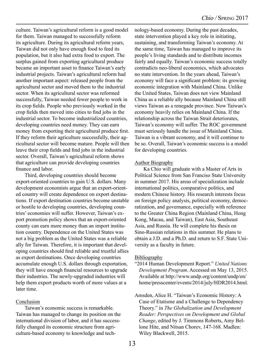culture. Taiwan's agricultural reform is a good model for them. Taiwan managed to successfully reform its agriculture. During its agricultural reform years, Taiwan did not only have enough food to feed its population, but it also had extra food to export. The surplus gained from exporting agricultural produce became an important asset to finance Taiwan's early industrial projects. Taiwan's agricultural reform had another important aspect: released people from the agricultural sector and moved them to the industrial sector. When its agricultural sector was reformed successfully, Taiwan needed fewer people to work in its crop fields. People who previously worked in the crop fields then moved into cities to find jobs in the industrial sector. To become industrialized countries, developing countries need money. They can earn money from exporting their agricultural produce first. If they reform their agriculture successfully, their agricultural sector will become mature. People will then leave their crop fields and find jobs in the industrial sector. Overall, Taiwan's agricultural reform shows that agriculture can provide developing countries finance and labor.

Third, developing countries should become export-oriented countries to gain U.S. dollars. Many development economists argue that an export-oriented country will create dependence on export destinations. If export destination countries become unstable or hostile to developing countries, developing countries' economies will suffer. However, Taiwan's export promotion policy shows that an export-oriented county can earn more money than an import institution country. Dependence on the United States was not a big problem as the United States was a reliable ally for Taiwan. Therefore, it is important that developing countries should find reliable and trustful allies as export destinations. Once developing countries accumulate enough U.S. dollars through exportation, they will have enough financial resources to upgrade their industries. The newly-upgraded industries will help them export products worth of more values at a later time.

#### Conclusion

Taiwan's economic success is remarkable. Taiwan has managed to change its position on the international division of labor, and it has successfully changed its economic structure from agriculture-based economy to knowledge and tech-

nology-based economy. During the past decades, state intervention played a key role in initiating, sustaining, and transforming Taiwan's economy. At the same time, Taiwan has managed to improve its people's living standards and to distribute incomes fairly and equally. Taiwan's economic success totally contradicts neo-liberal economics, which advocates no state intervention. In the years ahead, Taiwan's economy will face a significant problem: its growing economic integration with Mainland China. Unlike the United States, Taiwan does not view Mainland China as a reliable ally because Mainland China still views Taiwan as a renegade province. Now Taiwan's economy heavily relies on Mainland China. If the relationship across the Taiwan Strait deteriorates, Taiwan's economy will suffer. The ROC government must seriously handle the issue of Mainland China. Taiwan is a vibrant economy, and it will continue to be so. Overall, Taiwan's economic success is a model for developing countries.

#### Author Biography

Ka Chio will graduate with a Master of Arts in Political Science from San Franciso State University in summer 2017. His areas of specialization include international politics, comparative politics, and modern Chinese history. His research interests focus on foreign policy analysis, political economy, democratization, and governance, especially with reference to the Greater China Region (Mainland China, Hong Kong, Macau, and Taiwan), East Asia, Southeast Asia, and Russia. He will complete his thesis on Sino-Russian relations in this summer. He plans to obtain a J.D. and a Ph.D. and return to S.F. State University as a faculty in future.

#### **Bibliography**

- "2014 Human Development Report." *United Nations Development Program*. Accessed on May 13, 2015. Available at http://www.undp.org/content/undp/en/ home/presscenter/events/2014/july/HDR2014.html.
- Amsden, Alice H. "Taiwan's Economic History: A Case of Etatisme and a Challenge to Dependency Theory." in *The Globalization and Development Reader: Perspectives on Development and Global Change*, edited by J. Timmons Roberts, Amy Bellone Hite, and Nitsan Chorev, 147-168. Madlen: Wiley Blackwell, 2015.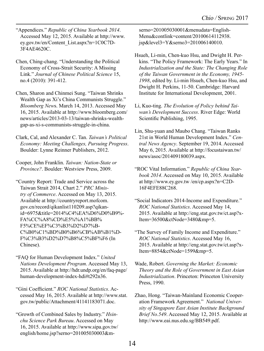"Appendices." *Republic of China Yearbook 2014*. Accessed May 12, 2015. Available at http://www. ey.gov.tw/en/Content\_List.aspx?n=1C0C7D-3F4AE4620C.

Chen, Ching-chang. "Understanding the Political Economy of Cross-Strait Security: A Missing Link." *Journal of Chinese Political Science* 15, no.4 (2010): 391-412.

Chen, Sharon and Chinmei Sung. "Taiwan Shrinks Wealth Gap as Xi's China Communists Struggle." *Bloomberg New*s. March 14, 2013. Accessed May 16, 2015. Available at http://www.bloomberg.com/ news/articles/2013-03-13/taiwan-shrinks-wealthgap-as-xi-s-communists-struggle-in-china.

Clark, Cal, and Alexander C. Tan. *Taiwan's Political Economy: Meeting Challenges, Pursuing Progress*. Boulder: Lynne Reinner Publishers, 2012.

Cooper, John Franklin. *Taiwan: Nation-State or Province?*. Boulder: Westview Press, 2009.

"Country Report: Trade and Service across the Taiwan Strait 2014, Chart 2." *PRC Ministry of Commerce*. Accessed on May 13, 2015. Available at http://countryreport.mofcom. gov.cn/record/qikanlist110209.asp?qikanid=6975&title=2014%C4%EA%D6%D0%B9%- FA%CC%A8%CD%E5%%A1%BB% F5%CE%EF%C3%B3%D2%D7%B-C%B0%C1%BD%B0%B6%CB%AB%B1%D-F%C3%B3%D2%D7%B8%C5%BF%F6 (In Chinese).

"FAQ for Human Development Index." *United Nations Development Program*. Accessed May 13, 2015. Available at http://hdr.undp.org/en/faq-page/ human-development-index-hdi#t292n36.

"Gini Coefficient." *ROC National Statistics*. Accessed May 16, 2015. Available at http://www.stat. gov.tw/public/Attachment/41141183071.doc.

"Growth of Combined Sales by Industry." *Hsinchu Science Park Bureau*. Accessed on May 16, 2015. Available at http://www.sipa.gov.tw/ english/home.jsp?serno=201005030003&mserno=201005030001&menudata=English-Menu&contlink=content/20100614112938. jsp&level3=Y&serno3=201006140010.

- Hsueh, Li-min, Chen-kuo Hsu, and Dwight H. Perkins. "The Policy Framework: The Early Years." In *Industrialization and the State: The Changing Role of the Taiwan Government in the Economy, 1945- 1998*, edited by. Li-min Hsueh, Chen-kuo Hsu, and Dwight H. Perkins, 11-50. Cambridge: Harvard Institute for International Development, 2001.
- Li, Kuo-ting. *The Evolution of Policy behind Taiwan's Development Success*. River Edge: World Scientific Publishing, 1995.
- Lin, Shu-yuan and Maubo Chang. "Taiwan Ranks 21st in World Human Development Index." *Central News Agency*. September 19, 2014. Accessed May 6, 2015. Available at http://focustaiwan.tw/ news/asoc/201409180039.aspx.
- "ROC Vital Information." *Republic of China Yearbook 2014*. Accessed on May 10, 2015. Available at http://www.ey.gov.tw /en/cp.aspx?n=C2D-16F4EFE88C268.
- "Social Indicators 2014-Income and Expenditure." *ROC National Statistics*. Accessed May 14, 2015. Available at http://eng.stat.gov.tw/ct.asp?x-Item=36500&ctNode=3480&mp=5.
- "The Survey of Family Income and Expenditure." *ROC National Statistics*. Accessed May 16, 2015. Available at http://eng.stat.gov.tw/ct.asp?x-Item=8854&ctNode=1599&mp=5.
- Wade, Robert. *Governing the Market: Economic Theory and the Role of Government in East Asian Industrialization*. Princeton: Princeton University Press, 1990.

Zhao, Hong. "Taiwan-Mainland Economic Cooperation Framework Agreement." *National University of Singapore East Asian Institute Background Brief No.549*. Accessed May 12, 2015. Available at http://www.eai.nus.edu.sg/BB549.pdf.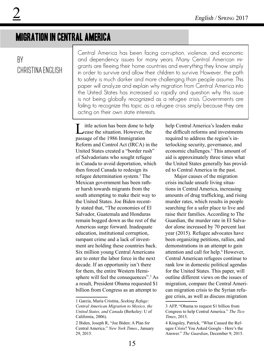## Migration in Central america

### By christina english

Central America has been facing corruption, violence, and economic and dependency issues for many years. Many Central American migrants are fleeing their home countries and everything they know simply in order to survive and allow their children to survive. However, the path to safety is much darker and more challenging than people assume. This paper will analyze and explain why migration from Central America into the United States has increased so rapidly and question why this issue is not being globally recognized as a refugee crisis. Governments are failing to recognize this topic as a refugee crisis simply because they are acting on their own state interests.

ittle action has been done to help  $\Box$  ease the situation. However, the passage of the 1986 Immigration Reform and Control Act (IRCA) in the United States created a "border rush" of Salvadorians who sought refugee in Canada to avoid deportation, which then forced Canada to redesign its refugee determination system.<sup>1</sup> The Mexican government has been rather harsh towards migrants from the south attempting to make their way to the United States. Joe Biden recently stated that, "The economies of El Salvador, Guatemala and Honduras remain bogged down as the rest of the Americas surge forward. Inadequate education, institutional corruption, rampant crime and a lack of investment are holding these countries back. Six million young Central Americans are to enter the labor force in the next decade. If an opportunity isn't there for them, the entire Western Hemisphere will feel the consequences".<sup>2</sup> As a result, President Obama requested \$1 billion from Congress as an attempt to

help Central America's leaders make the difficult reforms and investments required to address the region's interlocking security, governance, and economic challenges.3 This amount of aid is approximately three times what the United States generally has provided to Central America in the past.

Major causes of the migration crisis include unsafe living situations in Central America, increasing amounts of drug trafficking, and rising murder rates, which results in people searching for a safer place to live and raise their families. According to The Guardian, the murder rate in El Salvador alone increased by 70 percent last year (2015). Refugee advocates have been organizing petitions, rallies, and demonstrations in an attempt to gain attention and call for help.<sup>4</sup> However, Central American refugees continue to rank low in domestic political agendas for the United States. This paper, will outline different views on the issues of migration, compare the Central American migration crisis to the Syrian refugee crisis, as well as discuss migration

<sup>1</sup> García, María Cristina, *Seeking Refuge: Central American Migration to Mexico, the United States, and Canada* (Berkeley: U of California, 2006).

<sup>2</sup> Biden, Joseph R, "Joe Biden: A Plan for Central America." *New York Times*., January 29, 2015.

<sup>3</sup> AFP, "Obama to request \$1 billion from Congress to help Central America." *The Tico Times*, 2015.

<sup>4</sup> Kingsley, Patrick, "What Caused the Refugee Crisis? You Asked Google - Here's the Answer." *The Guardian*, December 9, 2015.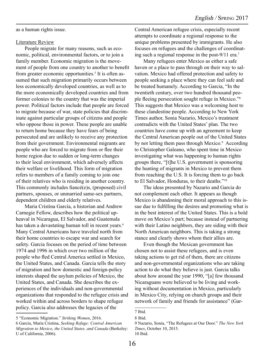as a human rights issue.

#### Literature Review

People migrate for many reasons, such as economic, political, environmental factors, or to join a family member. Economic migration is the movement of people from one country to another to benefit from greater economic opportunities.<sup>5</sup> It is often assumed that such migration primarily occurs between less economically developed countries, as well as to the more economically developed countries and from former colonies to the country that was the imperial power. Political factors include that people are forced to migrate because of war, state policies that discriminate against particular groups of citizens and people who oppose those in power. These people are unable to return home because they have fears of being persecuted and are unlikely to receive any protection from their government. Environmental migrants are people who are forced to migrate from or flee their home region due to sudden or long-term changes to their local environment, which adversely affects their welfare or livelihood. This form of migration refers to members of a family coming to join one of their relatives who is residing in another country. This commonly includes fiancé(e)s, (proposed) civil partners, spouses, or unmarried same-sex partners, dependent children and elderly relatives.

Maria Cristina García, a historian and Andrew Carnegie Fellow, describes how the political upheaval in Nicaragua, El Salvador, and Guatemala has taken a devastating human toll in recent years.<sup>6</sup> Many Central Americans have traveled north from their home countries to escape war and search for safety. Garcia focuses on the period of time between 1974 and 1996 in which over two million of the people who fled Central America settled in Mexico, the United States, and Canada. Garcia tells the story of migration and how domestic and foreign-policy interests shaped the asylum policies of Mexico, the United States, and Canada. She describes the experiences of the individuals and non-governmental organizations that responded to the refugee crisis and worked within and across borders to shape refugee policy. Garcia also addresses the legacies of the

5 "Economic Migration." *Striking Women*, 2016.

6 García, María Cristina, *Seeking Refuge: Central American Migration to Mexico, the United States, and Canada* (Berkeley: U of California, 2006).

Central American refugee crisis, especially recent attempts to coordinate a regional response to the unique problems presented by immigrants. He also focuses on refugees and the challenges of coordinating such a regional response in the post-9/11 era.7

Many refugees enter Mexico as either a safe haven or a place to pass through on their way to salvation. Mexico had offered protection and safety to people seeking a place where they can feel safe and be treated humanely. According to Garcia, "In the twentieth century, over two hundred thousand people fleeing persecution sought refuge in Mexico."<sup>8</sup> This suggests that Mexico was a welcoming host to these clandestine people. According to New York Times author, Sonia Nazario, Mexico's treatment contradicts with the United States' plan. The two countries have come up with an agreement to keep the Central American people out of the United States by not letting them pass through Mexico.<sup>9</sup> According to Christopher Galeano, who spent time in Mexico investigating what was happening to human rights groups there, "[t]he U.S. government is sponsoring the hunting of migrants in Mexico to prevent them from reaching the U.S. It is forcing them to go back to El Salvador, Honduras, to their deaths."10

The ideas presented by Nazario and Garcia do not complement each other. It appears as though Mexico is abandoning their moral approach to this issue due to fulfilling the desires and promoting what is in the best interest of the United States. This is a bold move on Mexico's part; because instead of partnering with their Latino neighbors, they are siding with their North American neighbors. This is taking a strong stance and clearly shows whom their allies are.

Even though the Mexican government has chosen not to assist these refugees, and is even taking actions to get rid of them, there are citizens and non-governmental organizations who are taking action to do what they believe is just. Garcia talks about how around the year 1990, "[a] few thousand Nicaraguans were believed to be living and working without documentation in Mexico, particularly in Mexico City, relying on church groups and their network of family and friends for assistance" (Gar-

<sup>7</sup> Ibid.

<sup>8</sup> Ibid.

<sup>9</sup> Nazario, Sonia, "The Refugees at Our Door." *The New York Times*, October 10, 2015. 10 Ibid.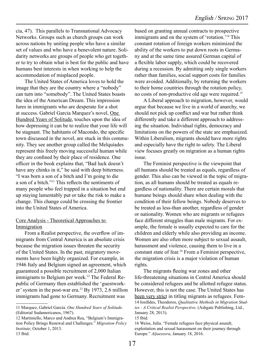cia, 47). This parallels to Transnational Advocacy Networks. Groups such as church groups can work across nations by uniting people who have a similar set of values and who have a benevolent nature. Solidarity networks are groups of people who get together to try to obtain what is best for the public and have humans best interests in when working to help the accommodation of misplaced people.

The United States of America loves to hold the image that they are the country where a "nobody" can turn into "somebody". The United States boasts the idea of the American Dream. This impression lures in immigrants who are desperate for a shot at success. Gabriel Garcia Marquez's novel, One Hundred Years of Solitude, touches upon the idea of how depressing it can be to realize that your life will be stagnant. The habitants of Macondo, the specific town discussed in the novel, are stuck in this community. They see another group called the Melquíades represent this freely moving successful human while they are confined by their place of residence. One officer in the book explains that, "Bad luck doesn't have any chinks in it," he said with deep bitterness. "I was born a son of a bitch and I'm going to die a son of a bitch."11 This reflects the sentiments of many people who feel trapped in a situation but end up staying lamentably put or take the risk to make a change. This change could be crossing the frontier into the United States of America.

#### Core Analysis - Theoretical Approaches to **Immigration**

From a Realist perspective, the overflow of immigrants from Central America is an absolute crisis because the migration issues threaten the security of the United States. In the past, migratory movements have been highly organized. For example, in 1946 Italy and Belgium signed an agreement, which guaranteed a possible recruitment of 2,000 Italian immigrants to Belgium per week.<sup>12</sup> The Federal Republic of Germany then established the 'guestworker' system in the post-war era.<sup>13</sup> By 1973, 2.6 million immigrants had gone to Germany. Recruitment was

12 Martiniello, Marco and Andrea Rea, "Belgium's Immigration Policy Brings Renewal and Challenges." *Migration Policy Institute*, October 1, 2013. 13 Ibid.

based on granting annual contracts to prospective immigrants and on the system of 'rotation.'14 This constant rotation of foreign workers minimized the ability of the workers to put down roots in Germany and at the same time assured German capital of a flexible labor supply, which could be recovered during a recession. By admitting only single workers rather than families, social support costs for families were avoided. Additionally, by returning the workers to their home countries through the rotation policy, no costs of non-productive old age were required.15

A Liberal approach to migration, however, would argue that because we live in a world of anarchy, we should not pick up conflict and war but rather think differently and take a different approach to addressing the situation. Individual rights, democracy and limitations on the powers of the state are emphasized. Within Liberalism, migrants should have more rights and especially have the right to safety. The Liberal view focuses greatly on migration as a human rights issue.

The Feminist perspective is the viewpoint that all humans should be treated as equals, regardless of gender. This also can be viewed in the topic of migration, as all humans should be treated as equals regardless of nationality. There are certain morals that humane beings should share when dealing with the condition of their fellow beings. Nobody deserves to be treated as less-than another, regardless of gender or nationality. Women who are migrants or refugees face different struggles than male migrants. For example, the female is usually expected to care for the children and elderly while also providing an income. Women are also often more subject to sexual assault, harassment and violence, causing them to live in a constant state of fear.16 From a Feminist perspective, the migration crisis is a major violation of human rights.

The migrants fleeing war zones and other life-threatening situations in Central America should be considered refugees and be allotted refugee status. However, this is not the case. The United States has been very strict in titling migrants as refugees. Fem-14 Iosifides, Theodoros, *Qualitative Methods in Migration Studies : A Critical Realist Perspective*. (Ashgate Publishing, Ltd., January 28, 2013).

16 Weiss, Julia. "Female refugees face physical assault, exploitation and sexual harassment on their journey through Europe." *Aljaezeera*, January 18, 2016.

<sup>11</sup> Marquez, Gabriel García. *One Hundred Years of Solitude*. (Editorial Sudamericanos, 1967).

<sup>15</sup> Ibid.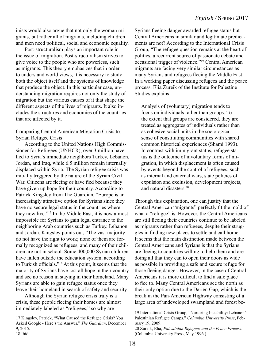inists would also argue that not only the woman migrants, but rather all of migrants, including children and men need political, social and economic equality.

Post-structuralism plays an important role in the issue of migration. Post-structuralism strives to give voice to the people who are powerless, such as migrants. This theory emphasizes that in order to understand world views, it is necessary to study both the object itself and the systems of knowledge that produce the object. In this particular case, understanding migration requires not only the study of migration but the various causes of it that shape the different aspects of the lives of migrants. It also includes the structures and economies of the countries that are affected by it.

#### Comparing Central American Migration Crisis to Syrian Refugee Crisis

According to the United Nations High Commissioner for Refugees (UNHCR), over 3 million have fled to Syria's immediate neighbors Turkey, Lebanon, Jordan, and Iraq, while 6.5 million remain internally displaced within Syria. The Syrian refugee crisis was initially triggered by the nature of the Syrian Civil War. Citizens are fleeing or have fled because they have given up hope for their country. According to Patrick Kingsley from The Guardian, "Europe is an increasingly attractive option for Syrians since they have no secure legal status in the countries where they now live."17 In the Middle East, it is now almost impossible for Syrians to gain legal entrance to the neighboring Arab countries such as Turkey, Lebanon, and Jordan. Kingsley points out, "The vast majority do not have the right to work; none of them are formally recognized as refugees; and many of their children are not in school. Some 400,000 Syrian children have fallen outside the education system, according to Turkish officials."18 At this point, it seems that the majority of Syrians have lost all hope in their country and see no reason in staying in their homeland. Many Syrians are able to gain refugee status once they leave their homeland in search of safety and security.

Although the Syrian refugee crisis truly is a crisis, these people fleeing their homes are almost immediately labeled as "refugees," so why are

Syrians fleeing danger awarded refugee status but Central Americans in similar and legitimate predicaments are not? According to the International Crisis Group, "The refugee question remains at the heart of politics, a recurrent source of passionate debate and occasional trigger of violence."19 Central American migrants are facing very similar circumstances as many Syrians and refugees fleeing the Middle East. In a working paper discussing refugees and the peace process, Elia Zureik of the Institute for Palestine Studies explains:

Analysis of (voluntary) migration tends to focus on individuals rather than groups. To the extent that groups are considered, they are treated as aggregates of individuals rather than as cohesive social units in the sociological sense of constituting communities with shared common historical experiences (Shami 1993). In contrast with immigrant status, refugee status is the outcome of involuntary forms of migration, in which displacement is often caused by events beyond the control of refugees, such as internal and external wars, state policies of expulsion and exclusion, development projects, and natural disasters.20

Through this explanation, one can justify that the Central American "migrants" perfectly fit the mold of what a "refugee" is. However, the Central Americans are still fleeing their countries continue to be labeled as migrants rather than refugees, despite their struggles in finding new places to settle and call home. It seems that the main distinction made between the Central Americans and Syrians is that the Syrians are fleeing to countries willing to help them and are doing all that they can to open their doors as wide as possible in providing a safe and secure refuge for those fleeing danger. However, in the case of Central Americans it is more difficult to find a safe place to flee to. Many Central Americans see the north as their only option due to the Darién Gap, which is the break in the Pan-American Highway consisting of a large area of undeveloped swampland and forest be-

<sup>17</sup> Kingsley, Patrick, "What Caused the Refugee Crisis? You Asked Google - Here's the Answer." *The Guardian*, December 9, 2015.

<sup>18</sup> Ibid.

<sup>19</sup> International Crisis Group, "Nurturing Instability: Lebanon's Palestinian Refugee Camps." *Columbia University Press*, February 19, 2009.

<sup>20</sup> Zureik, Elia, *Palestinian Refugees and the Peace Process*. (Columbia University Press, May 1996.)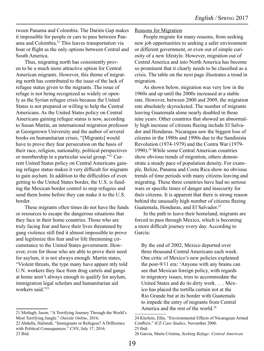tween Panama and Colombia. The Darién Gap makes it impossible for people or cars to pass between Panama and Colombia.21 This leaves transportation via boat or flight as the only options between Central and South America.

Thus, migrating north has consistently proven to be a much more attractive option for Central American migrants. However, this theme of migrating north has contributed to the issue of the lack of refugee status given to the migrants. The issue of refuge is not being recognized as widely or openly as the Syrian refugee crisis because the United States is not prepared or willing to help the Central Americans. As the United States policy on Central Americans gaining refugee status is now, according to Susan Martin, an international migration professor at Georgetown University and the author of several books on humanitarian crises, "[Migrants] would have to prove they fear persecution on the basis of their race, religion, nationality, political perspectives or membership in a particular social group."22 Current United States policy on Central Americans gaining refugee status makes it very difficult for migrants to gain asylum. In addition to the difficulties of even getting to the United States border, the U.S. is funding the Mexican border control to stop refugees and send them home before they can make it to the U.S. border.

These migrants often times do not have the funds or resources to escape the dangerous situations that they face in their home countries. Those who are truly facing fear and have their lives threatened by gang violence still find it almost impossible to prove and legitimize this fear and/or life threatening circumstance to the United States government. However, even for those who are able to prove their need for asylum, it is not always enough. Martin states, "Violent threats, the type many have appare ntly told U.N. workers they face from drug cartels and gangs at home aren't always enough to qualify for asylum, immigration legal scholars and humanitarian aid workers said<sup>"23</sup>

#### Reasons for Migration

People migrate for many reasons, from seeking new job opportunities to seeking a safer environment or different government, or even out of simple curiosity of a new lifestyle. However, migration out of Central America and into North America has become so prominent that it clearly needs to be classified as a crisis. The table on the next page illustrates a trend in migration.

As shown below, migration was very low in the 1960s and up until the 2000s increased at a stable rate. However, between 2000 and 2009, the migration rate absolutely skyrocketed. The number of migrants leaving Guatemala alone nearly doubled in those nine years. Other countries that showed an abnormally high increase of citizens fleeing include El Salvador and Honduras. Nicaragua saw the biggest loss of citizens in the 1980s and 1990s due to the Sandinista Revolution (1974-1979) and the Contra War (1979- 1990).24 While some Central American countries show obvious trends of migration, others demonstrate a steady pace of population density. For example, Belize, Panama and Costa Rica show no obvious trends of time periods with many citizens leaving and migrating. These three countries have had no serious wars or specific times of danger and insecurity for their citizens. It is apparent that there is strong reason behind the unusually high number of citizens fleeing Guatemala, Honduras, and El Salvador.<sup>25</sup>

In the path to leave their homeland, migrants are forced to pass through Mexico, which is becoming a more difficult journey every day. According to García:

By the end of 2002, Mexico deported over three thousand Central Americans each week. One critic of Mexico's new policies explained the post-9/11 era: 'Anyone with any brains can see that Mexican foreign policy, with regards to migratory issues, tries to accommodate the United States and do its dirty work. . . . Mexico has placed the tortilla curtain not at the Rio Grande but at its border with Guatemala to impede the entry of migrants from Central America and the rest of the world.<sup>26</sup>

<sup>21</sup> Motlagh, Jason, "A Terrifying Journey Through the World's Most Terrifying Jungle." *Outside Online*, 2016.

<sup>22</sup> Abdulla, Halimah, "Immigrants or Refugees? A Difference with Political Consequences." *CNN*, July 17, 2016. 23 Ibid.

<sup>24</sup> Klerlein, Ellie, "Environmental Effects of Nicaraguan Armed Conflicts." *ICE Case Studies*, November 2006. 25 Ibid.

<sup>26</sup> García, María Cristina, *Seeking Refuge: Central American*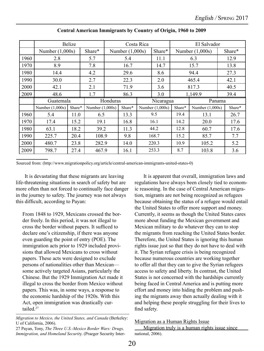|      | <b>Belize</b>     | Costa Rica |                   |                   |        | El Salvador |                   |                   |                   |        |
|------|-------------------|------------|-------------------|-------------------|--------|-------------|-------------------|-------------------|-------------------|--------|
|      | Number $(1,000s)$ |            | Share*            | Number $(1,000s)$ |        |             | Share*            | Number $(1,000s)$ |                   | Share* |
| 1960 | 2.8               |            | 5.7               | 5.4               |        |             | 11.1              | 6.3               |                   | 12.9   |
| 1970 | 8.9               |            | 7.8               | 16.7              |        |             | 14.7              | 15.7              |                   | 13.8   |
| 1980 | 14.4              |            | 4.2               | 29.6              |        |             | 8.6               | 94.4              |                   | 27.3   |
| 1990 | 30.0              |            | 2.7               | 22.3              |        |             | 2.0               | 465.4             |                   | 42.1   |
| 2000 | 42.1              | 2.1        |                   | 71.9              |        |             | 3.6               | 817.3             |                   | 40.5   |
| 2009 | 48.6              |            | 1.7               | 86.3              |        |             | 3.0               |                   | 1,149.9           | 39.4   |
|      | Guatemala         |            | Honduras          |                   |        |             | Nicaragua         |                   | Panama            |        |
|      | Number $(1,000s)$ | Share*     | Number $(1,000s)$ |                   | Share* |             | Number $(1,000s)$ | Share*            | Number $(1,000s)$ | Share* |
| 1960 | 5.4               | 11.0       | 6.5               |                   | 13.3   | 9.5         |                   | 19.4              | 13.1              | 26.7   |
| 1970 | 17.4              | 15.2       | 19.1              |                   | 16.8   | 16.1        |                   | 14.2              | 20.0              | 17.6   |
| 1980 | 63.1              | 18.2       | 39.2              |                   | 11.3   | 44.2        |                   | 12.8              | 60.7              | 17.6   |
| 1990 | 225.7             | 20.4       | 108.9             |                   | 9.8    | 168.7       |                   | 15.2              | 85.7              | 7.7    |
| 2000 | 480.7             | 23.8       | 282.9             |                   | 14.0   | 220.3       |                   | 10.9              | 105.2             | 5.2    |
| 2009 | 798.7             | 27.4       | 467.9             |                   | 16.1   | 253.3       |                   | 8.7               | 103.8             | 3.6    |

#### Central American Immigrants by Country of Origin, 1960 to 2009

Sourced from: (http://www.migrationpolicy.org/article/central-american-immigrants-united-states-0)

It is devastating that these migrants are leaving life-threatening situations in search of safety but are more often than not forced to continually face danger in the journey to safety. The journey was not always this difficult, according to Payan:

From 1848 to 1929, Mexicans crossed the border freely. In this period, it was not illegal to cross the border without papers. It sufficed to declare one's citizenship, if there was anyone even guarding the point of entry (POE). The immigration acts prior to 1929 included provisions that allowed Mexicans to cross without papers. These acts were designed to exclude persons of nationalities other than Mexican some actively targeted Asians, particularly the Chinese. But the 1929 Immigration Act made it illegal to cross the border from Mexico without papers. This was, in some ways, a response to the economic hardship of the 1920s. With this Act, open immigration was drastically curtailed.<sup>27</sup>

It is apparent that overall, immigration laws and regulations have always been closely tied to economic reasoning. In the case of Central American migration, migrants are not being recognized as refugees because obtaining the status of a refugee would entail the United States to offer more support and money. Currently, it seems as though the United States cares more about funding the Mexican government and Mexican military to do whatever they can to stop the migrants from reaching the United States border. Therefore, the United States is ignoring this human rights issue just so that they do not have to deal with it. The Syrian refugee crisis is being recognized because numerous countries are working together to offer all that they can to give the Syrian refugees access to safety and liberty. In contrast, the United States is not concerned with the hardships currently being faced in Central America and is putting more effort and money into hiding the problem and pushing the migrants away then actually dealing with it and helping these people struggling for their lives to find safety.

#### Migration as a Human Rights Issue

Migration truly is a human rights issue since national, 2006).

*Migration to Mexico, the United States, and Canada* (Berkeley: U of California, 2006).

<sup>27</sup> Payan, Tony, *The Three U.S.-Mexico Border Wars: Drugs, Immigration, and Homeland Securit*y. (Praeger Security Inter-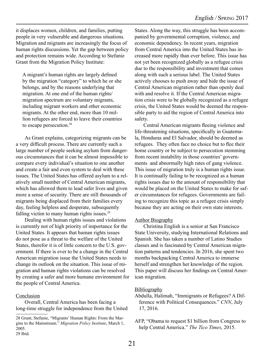it displaces women, children, and families, putting people in very vulnerable and dangerous situations. Migration and migrants are increasingly the focus of human rights discussions. Yet the gap between policy and protection remains wide. According to Stefanie Grant from the Migration Policy Institute:

A migrant's human rights are largely defined by the migration "category" to which he or she belongs, and by the reasons underlying that migration. At one end of the human rights/ migration spectrum are voluntary migrants, including migrant workers and other economic migrants. At the other end, more than 10 million refugees are forced to leave their countries to escape persecution.28

As Grant explains, categorizing migrants can be a very difficult process. There are currently such a large number of people seeking asylum from dangerous circumstances that it can be almost impossible to compare every individual's situation to one another and create a fair and even system to deal with these issues. The United States has offered asylum to a relatively small number of Central American migrants, which has allowed them to lead safer lives and given more a sense of security. There are still thousands of migrants being displaced from their families every day, feeling helpless and desperate, subsequently falling victim to many human rights issues.<sup>29</sup>

Dealing with human rights issues and violations is currently not of high priority of importance for the United States. It appears that human rights issues do not pose as a threat to the welfare of the United States, therefor it is of little concern to the U.S. government. If there is ever to be a change in the Central American migration issue the United States needs to change its outlook on the situation. This issue of migration and human rights violations can be resolved by creating a safer and more humane environment for the people of Central America.

#### Conclusion

Overall, Central America has been facing a long-time struggle for independence from the United States. Along the way, this struggle has been accompanied by governmental corruption, violence, and economic dependency. In recent years, migration from Central America into the United States has increased more rapidly than ever before. This issue has not yet been recognized globally as a refugee crisis due to the responsibility and investment that comes along with such a serious label. The United States actively chooses to push away and hide the issue of Central American migration rather than openly deal with and resolve it. If the Central American migration crisis were to be globally recognized as a refugee crisis, the United States would be deemed the responsible party to aid the region of Central America into safety.

Central American migrants fleeing violence and life-threatening situations, specifically in Guatemala, Honduras and El Salvador, should be deemed as refugees. They often face no choice but to flee their home country or be subject to persecution stemming from recent instability in those countries' governments and abnormally high rates of gang violence. This issue of migration truly is a human rights issue. It is continually failing to be recognized as a human rights issues due to the amount of responsibility that would be placed on the United States to make for safer circumstances for refugees. Governments are failing to recognize this topic as a refugee crisis simply because they are acting on their own state interests.

#### **Author Biography**

Christina English is a senior at San Francisco State University, studying International Relations and Spanish. She has taken a number of Latino Studies classes and is fascinated by Central American migration patterns and tendencies. In 2016, she spent two months backpacking Central America to immerse herself and strengthen her knowledge of the region. This paper will discuss her findings on Central American migration.

#### **Bibliography**

- Abdulla, Halimah, "Immigrants or Refugees? A Difference with Political Consequences." *CNN*, July 17, 2016.
- AFP, "Obama to request \$1 billion from Congress to help Central America." *The Tico Times*, 2015.

<sup>28</sup> Grant, Stefanie, "Migrants' Human Rights: From the Margins to the Mainstream." *Migration Policy Institute*, March 1, 2005. 29 Ibid.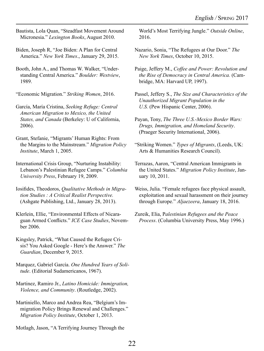Bautista, Lola Quan, "Steadfast Movement Around Micronesia." *Lexington Books*, August 2010.

Biden, Joseph R, "Joe Biden: A Plan for Central America." *New York Times*., January 29, 2015.

Booth, John A., and Thomas W. Walker, "Understanding Central America." *Boulder: Westview*, 1989.

"Economic Migration." *Striking Women*, 2016.

García, María Cristina, *Seeking Refuge: Central American Migration to Mexico, the United States, and Canada* (Berkeley: U of California, 2006).

Grant, Stefanie, "Migrants' Human Rights: From the Margins to the Mainstream." *Migration Policy Institute*, March 1, 2005.

International Crisis Group, "Nurturing Instability: Lebanon's Palestinian Refugee Camps." *Columbia University Press*, February 19, 2009.

Iosifides, Theodoros, *Qualitative Methods in Migration Studies : A Critical Realist Perspective.* (Ashgate Publishing, Ltd., January 28, 2013).

Klerlein, Ellie, "Environmental Effects of Nicaraguan Armed Conflicts." *ICE Case Studies*, November 2006.

Kingsley, Patrick, "What Caused the Refugee Crisis? You Asked Google - Here's the Answer." *The Guardian*, December 9, 2015.

Marquez, Gabriel García. *One Hundred Years of Solitude*. (Editorial Sudamericanos, 1967).

Martinez, Ramiro Jr., *Latino Homicide: Immigration, Violence, and Community*. (Routledge, 2002).

Martiniello, Marco and Andrea Rea, "Belgium's Immigration Policy Brings Renewal and Challenges." *Migration Policy Institute*, October 1, 2013.

Motlagh, Jason, "A Terrifying Journey Through the

World's Most Terrifying Jungle." *Outside Online*, 2016.

- Nazario, Sonia, "The Refugees at Our Door." *The New York Times*, October 10, 2015.
- Paige, Jeffery M., *Coffee and Power: Revolution and the Rise of Democracy in Central America.* (Cambridge, MA: Harvard UP, 1997).
- Passel, Jeffery S., *The Size and Characteristics of the Unauthorized Migrant Population in the U.S.* (Pew Hispanic Center, 2006).
- Payan, Tony, *The Three U.S.-Mexico Border Wars: Drugs, Immigration, and Homeland Security*. (Praeger Security International, 2006).
- "Striking Women." *Types of Migrants*, (Leeds, UK: Arts & Humanities Research Council).
- Terrazas, Aaron, "Central American Immigrants in the United States." *Migration Policy Institute*, January 10, 2011.
- Weiss, Julia. "Female refugees face physical assault, exploitation and sexual harassment on their journey through Europe." *Aljaezeera*, January 18, 2016.

Zureik, Elia, P*alestinian Refugees and the Peace Process*. (Columbia University Press, May 1996.)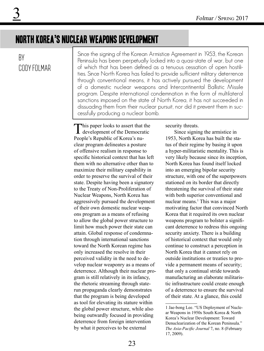### north korea's nuclear weapons development

### By CODY FOI MAR

Since the signing of the Korean Armistice Agreement in 1953, the Korean Peninsula has been perpetually locked into a quasi-state of war, but one of which that has been defined as a tenuous cessation of open hostilities. Since North Korea has failed to provide sufficient military deterrence through conventional means, it has actively pursued the development of a domestic nuclear weapons and Intercontinental Ballistic Missile program. Despite international condemnation in the form of multilateral sanctions imposed on the state of North Korea, it has not succeeded in dissuading them from their nuclear pursuit, nor did it prevent them in successfully producing a nuclear bomb.

This paper looks to assert that the development of the Democratic People's Republic of Korea's nuclear program delineates a posture of offensive realism in response to specific historical context that has left them with no alternative other than to maximize their military capability in order to preserve the survival of their state. Despite having been a signatory to the Treaty of Non-Proliferation of Nuclear Weapons, North Korea has aggressively pursued the development of their own domestic nuclear weapons program as a means of refusing to allow the global power structure to limit how much power their state can attain. Global response of condemnation through international sanctions toward the North Korean regime has only increased the resolve in their perceived validity in the need to develop nuclear weaponry as a means of deterrence. Although their nuclear program is still relatively in its infancy, the rhetoric streaming through staterun propaganda clearly demonstrates that the program is being developed as tool for elevating its stature within the global power structure, while also being outwardly focused in providing deterrence from foreign intervention by what it perceives to be external

security threats.

Since signing the armistice in 1953, North Korea has built the status of their regime by basing it upon a hyper-militaristic mentality. This is very likely because since its inception, North Korea has found itself locked into an emerging bipolar security structure, with one of the superpowers stationed on its border that directly threatening the survival of their state with both superior conventional and nuclear means.<sup>1</sup> This was a major motivating factor that convinced North Korea that it required its own nuclear weapons program to bolster a significant deterrence to redress this ongoing security anxiety. There is a building of historical context that would only continue to construct a perception in North Korea that it cannot rely on outside institutions or treaties to provide a permanent means of security; that only a continual stride towards manufacturing an elaborate militaristic infrastructure could create enough of a deterrence to ensure the survival of their state. At a glance, this could

<sup>1</sup> Jae-bong Lee. "US Deployment of Nuclear Weapons in 1950s South Korea & North Korea's Nuclear Development: Toward Denuclearization of the Korean Peninsula." *The Asia-Pacific Journal* 7, no. 8 (February 17, 2009).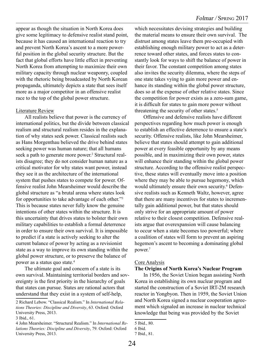appear as though the situation in North Korea does give some legitimacy to defensive realist stand point, because it has caused an international reaction to try and prevent North Korea's ascent to a more powerful position in the global security structure. But the fact that global efforts have little effect in preventing North Korea from attempting to maximize their own military capacity through nuclear weaponry, coupled with the rhetoric being broadcasted by North Korean propaganda, ultimately depicts a state that sees itself more as a major competitor in an offensive realist race to the top of the global power structure.

#### Literature Review

All realists believe that power is the currency of international politics, but the divide between classical realism and structural realism resides in the explanation of why states seek power. Classical realists such as Hans Morgenthau believed the drive behind states seeking power was human nature; that all humans seek a path to generate more power.<sup>2</sup> Structural realists disagree; they do not consider human nature as a critical motivator for why states want power, instead they see it as the architecture of the international system that pushes states to compete for power. Offensive realist John Mearsheimer would describe the global structure as "a brutal arena where states look for opportunities to take advantage of each other."3 This is because states never fully know the genuine intentions of other states within the structure. It is this uncertainty that drives states to bolster their own military capabilities to establish a formal deterrence in order to ensure their own survival. It is impossible to predict if a state is actively seeking to alter the current balance of power by acting as a revisionist state as a way to improve its own standing within the global power structure, or to preserve the balance of power as a status quo state.4

The ultimate goal and concern of a state is its own survival. Maintaining territorial borders and sovereignty is the first priority in the hierarchy of goals that states can pursue. States are rational actors that understand that they exist in a system of self-help,

which necessitates devising strategies and building the material means to ensure their own survival. The distrust among states leave them pre-occupied with establishing enough military power to act as a deterrence toward other states, and forces states to constantly look for ways to shift the balance of power in their favor. The constant competition among states also invites the security dilemma, where the steps of one state takes vying to gain more power and enhance its standing within the global power structure, does so at the expense of other relative states. Since the competition for power exists as a zero-sum game, it is difficult for states to gain more power without threatening the security of other states.<sup>5</sup>

Offensive and defensive realists have different perspectives regarding how much power is enough to establish an effective deterrence to ensure a state's security. Offensive realists, like John Mearsheimer, believe that states should attempt to gain additional power at every feasible opportunity by any means possible, and in maximizing their own power, states will enhance their standing within the global power structure. According to the offensive realist perspective, these states will eventually move into a position where they may be able to pursue hegemony, which would ultimately ensure their own security.<sup>6</sup> Defensive realists such as Kenneth Waltz, however, agree that there are many incentives for states to incrementally gain additional power, but that states should only strive for an appropriate amount of power relative to their closest competition. Defensive realists argue that overexpansion will cause balancing to occur when a state becomes too powerful; where a coalition of states will form to prevent an aspiring hegemon's ascent to becoming a dominating global power.7

#### Core Analysis

#### **The Origins of North Korea's Nuclear Program**

In 1956, the Soviet Union began assisting North Korea in establishing its own nuclear program and started the construction of a Soviet IRT-2M research reactor in Yongbyon. Then in 1959, the Soviet Union and North Korea signed a nuclear cooperation agreement which signaled an increase in nuclear technical knowledge that being was provided by the Soviet

<sup>2</sup> Richard Lebow. "Classical Realism." In *International Relations Theories: Discipline and Diversity*, 63. Oxford: Oxford University Press, 2013.

<sup>3</sup> Ibid., 61.

<sup>4</sup> John Mearsheimer. "Structural Realism." In *International Relations Theories: Discipline and Diversity*, 79. Oxford: Oxford University Press, 2013.

<sup>5</sup> Ibid., 80.

<sup>6</sup> Ibid.

<sup>7</sup> Ibid., 81.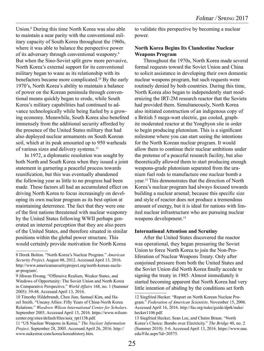Union.8 During this time North Korea was also able to maintain a near parity with the conventional military capacity of South Korea throughout the 1960s, where it was able to balance the perspective power of its adversary through conventional weaponry.9 But when the Sino-Soviet split grew more pervasive, North Korea's external support for its conventional military began to wane as its relationship with its benefactors became more complicated.<sup>10</sup> By the early 1970's, North Korea's ability to maintain a balance of power on the Korean peninsula through conventional means quickly began to erode, while South Korea's military capabilities had continued to advance technologically while being fueled by a growing economy. Meanwhile, South Korea also benefited immensely from the additional security afforded by the presence of the United States military that had also deployed nuclear armaments on South Korean soil, which at its peak amounted up to 950 warheads of various sizes and delivery systems.<sup>11</sup>

In 1972, a diplomatic resolution was sought by both North and South Korea when they issued a joint statement in garnering a peaceful process towards reunification, but this was eventually abandoned the following year as little to no progress had been made. These factors all had an accumulated effect on driving North Korea to focus increasingly on developing its own nuclear program as its best option at maintaining deterrence. The fact that they were one of the first nations threatened with nuclear weaponry by the United States following WWII perhaps generated an internal perception that they are also peers of the United States, and therefore situated in similar positions within the global power structure. This would certainly provide motivation for North Korea

to validate this perspective by becoming a nuclear power.

#### **North Korea Begins Its Clandestine Nuclear Weapons Program**

Throughout the 1970s, North Korea made several formal requests toward the Soviet Union and China to solicit assistance in developing their own domestic nuclear weapons program, but such requests were routinely denied by both countries. During this time, North Korea also began to independently start modernizing the IRT-2M research reactor that the Soviets had provided them. Simultaneously, North Korea also initiated construction of an indigenous copy of a British 5 mega-watt electric, gas cooled, graphite moderated reactor at the Yongbyon site in order to begin producing plutonium. This is a significant milestone where you can start seeing the intentions for the North Korean nuclear program. It would allow them to continue their nuclear ambitions under the pretense of a peaceful research facility, but also theoretically allowed them to start producing enough weapons-grade plutonium separated from the uranium fuel rods to manufacture one nuclear bomb a year.12 This demonstrates that the direction of North Korea's nuclear program had always focused towards building a nuclear arsenal; because this specific size and style of reactor does not produce a tremendous amount of energy, but it is ideal for nations with limited nuclear infrastructure who are pursuing nuclear weapons development.<sup>13</sup>

#### **International Attention and Scrutiny**

After the United States discovered the reactor was operational, they began pressuring the Soviet Union to force North Korea to join the Non-Proliferation of Nuclear Weapons Treaty. Only after conjoined pressure from both the United States and the Soviet Union did North Korea finally accede to signing the treaty in 1985. Almost immediately it started becoming apparent that North Korea had very little intention of abiding by the conditions set forth

<sup>8</sup> Derek Bolton. "North Korea's Nuclear Program." *American Security Project*. August 08, 2012. Accessed April 13, 2016. http://www.americansecurityproject.org/north-koreas-nuclear-program/.

<sup>9</sup> Jihwan Hwang. "Offensive Realism, Weaker States, and Windows of Opportunity: The Soviet Union and North Korea in Comparative Perspective." *World Affairs* 168, no. 1 (Summer 2005): 39-48. Accessed April 13, 2016.

<sup>10</sup> Timothy Hildebrandt, Chen Jian, Samuel Kim, and Hazel Smith. "Uneasy Allies: Fifty Years of China-North Korea Relations." *Woodrow Wilson International Center for Scholars*. September 2003. Accessed April 13, 2016. https://www.wilsoncenter.org/sites/default/files/asia\_rpt115b.pdf.

<sup>11 &</sup>quot;US Nuclear Weapons in Korea." *The Nuclear Information Project*. September 28, 2005. Accessed April 26, 2016. http:// www.nukestrat.com/korea/koreahistory.htm.

<sup>12</sup> Siegfried Hecker. "Report on North Korean Nuclear Program." *Federation of American Scientists*. November 15, 2006. Accessed April 16, 2016. http://fas.org/nuke/guide/dprk/nuke/ hecker1106.pdf.

<sup>13</sup> Siegfried Hecker, Sean Lee, and Chaim Braun. "North Korea's Choice: Bombs over Electricity." *The Bridge* 40, no. 2 (Summer 2010): 5-6. Accessed April 13, 2016. https://www.nae. edu/File.aspx?id=20575.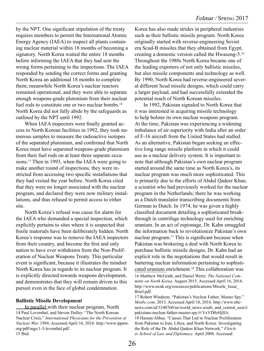by the NPT. One significant stipulation of the treaty requires members to permit the International Atomic Energy Agency (IAEA) to inspect all plants containing nuclear material within 18 months of becoming a signatory. North Korea waited the entire 18 months before informing the IAEA that they had sent the wrong forms pertaining to the inspections. The IAEA responded by sending the correct forms and granting North Korea an additional 18 months to complete them; meanwhile North Korea's nuclear reactors remained operational, and they were able to separate enough weapons-grade plutonium from their nuclear fuel rods to constitute one or two nuclear bombs.<sup>14</sup> North Korea did not fully abide by the safeguards as outlined by the NPT until 1992.

When IAEA inspectors were finally granted access to North Korean facilities in 1992, they took numerous samples to measure the radioactive isotopes of the separated plutonium, and confirmed that North Korea must have separated weapons-grade plutonium from their fuel rods on at least three separate occasions.<sup>15</sup> Then in 1993, when the IAEA were going to make another round of inspections, they were restricted from accessing two specific installations that they had visited the year before. North Korea cited that they were no longer associated with the nuclear program, and declared they were now military installations, and thus refused to permit access to either site.

North Korea's refusal was cause for alarm for the IAEA who demanded a special inspection, which explicitly pertains to sites where it is suspected that fissile materials have been deliberately hidden. North Korea's response was to remove the IAEA inspectors from their country, and become the first and only nation to have ever withdrawn from the Non-Proliferation of Nuclear Weapons Treaty. This particular event is significant, because it illustrates the mindset North Korea has in regards to its nuclear program. It is explicitly directed towards weapons development, and demonstrates that they will remain driven to this pursuit even in the face of global condemnation.

#### **Ballistic Missile Development**

In parallel with their nuclear program, North 14 Paul Leventhal, and Steven Dolley. "The North Korean Nuclear Crisis." *International Physicians for the Prevention of Nuclear War.* 1994. Accessed April 16, 2016. http://www.ippnw. org/pdf/mgs/1-3-leventhal.pdf. 15 Ibid.

Korea has also made strides in peripheral industries such as their ballistic missile program. North Korea originally started with reverse-engineering Soviet era Scud-B missiles that they obtained from Egypt, creating a domestic version called the Hwasong-5.16 Throughout the 1980s North Korea became one of the leading exporters of not only ballistic missiles, but also missile components and technology as well. By 1990, North Korea had reverse-engineered several different Scud missile designs, which could carry a larger payload, and had successfully extended the potential reach of North Korean missiles.

In 1992, Pakistan signaled to North Korea that it was interested in acquiring missile technology to help bolster its own nuclear weapons program. At the time, Pakistan was experiencing a widening imbalance of air superiority with India after an order of F-16 aircraft from the United States had stalled. As an alternative, Pakistan began seeking an effective long range missile platform in which it could use as a nuclear delivery system. It is important to note that although Pakistan's own nuclear program started around the same time as North Korea's, its nuclear program was much more sophisticated. This is primarily due to the efforts of Abdul Qadeer Khan, a scientist who had previously worked for the nuclear program in the Netherlands; there he was working as a Dutch translator transcribing documents from German to Dutch. In 1974, he was given a highly classified document detailing a sophisticated breakthrough in centrifuge technology used for enriching uranium. In an act of espionage, Dr. Kahn smuggled the information back to revolutionize Pakistan's own nuclear program.17 This is significant because when Pakistan was brokering a deal with North Korea to purchase ballistic missile designs, Dr. Kahn had an explicit role in the negotiations that would result in bartering nuclear information pertaining to sophisticated uranium enrichment.18 This collaboration was 16 Matthew McGrath, and Daniel Wertz. *The National Committe on North Korea*. August 2015. Accessed April 16, 2016. http://www.ncnk.org/resources/publications/Missile\_Issue\_ Brief.pdf.

17 Robert Windrem. "Pakistan's Nuclear Father, Master Spy." *Msnbc.com*. 2013. Accessed April 18, 2016. http://www.nbcnews.com/id/3340760/ns/world\_news-south\_and\_central\_asia/t/ pakistans-nuclear-father-master-spy/#.VxVD0zHjIlA. 18 Hassan Abbas. "Causes That Led to Nuclear Proliferation from Pakistan to Iran, Libya, and North Korea: Investigating the Role of the Dr. Abdul Qadeer Khan Network." *Fletcher School of Law and Diplomacy*. April 2008. Accessed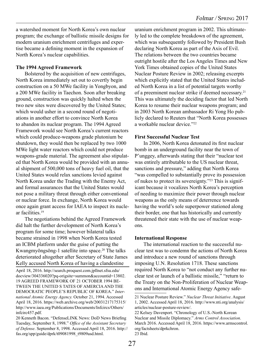a watershed moment for North Korea's own nuclear program; the exchange of ballistic missile designs for modern uranium enrichment centrifuges and expertise became a defining moment in the expansion of North Korea's nuclear capabilities.

#### **The 1994 Agreed Framework**

Bolstered by the acquisition of new centrifuges, North Korea immediately set out to covertly begin construction on a 50 MWe facility in Yongbyon, and a 200 MWe facility in Taechon. Soon after breaking ground, construction was quickly halted when the two new sites were discovered by the United States; which would usher in a second round of negotiations in another effort to convince North Korea to abandon its nuclear program. The 1994 Agreed Framework would see North Korea's current reactors which could produce-weapons grade plutonium be shutdown, they would then be replaced by two 1000 MWe light water reactors which could not produce weapons-grade material. The agreement also stipulated that North Korea would be provided with an annual shipment of 500,000 tons of heavy fuel oil, that the United States would relax sanctions levied against North Korea under the Trading with the Enemy Act, and formal assurances that the United States would not pose a military threat through either conventional or nuclear force. In exchange, North Korea would once again grant access for IAEA to inspect its nuclear facilities.19

The negotiations behind the Agreed Framework did halt the further development of North Korea's program for some time; however bilateral talks became strained in 1998 when North Korea tested an ICBM platform under the guise of putting the Kwangmyŏngsŏng-1 satellite into space.<sup>20</sup> The talks deteriorated altogether after Secretary of State James Kelly accused North Korea of having a clandestine

April 18, 2016. http://search.proquest.com.jpllnet.sfsu.edu/ docview/304336020?pq-origsite=summon&accountid=13802. 19 AGREED FRAMEWORK OF 21 OCTOBER 1994 BE-TWEEN THE UNITED S TATES OF AMERCIA AND THE DEMOCRATIC PEOPLE'S REPUBLIC OF KOREA." *International Atomic Energy Agency.* October 21, 1994. Accessed April 18, 2016. https://web.archive.org/web/20031217175315/ http://www.iaea.org/Publications/Documents/Infcircs/Others/ infcirc457.pdf.

20 Kenneth Bacon. "DefenseLINK News: DoD News Briefing Tuesday, September 8, 1998." *Office of the Assistant Secretary of Defense*. September 8, 1998. Accessed April 18, 2016. http:// fas.org/spp/guide/dprk/t09081998\_t9809asd.html.

uranium enrichment program in 2002. This ultimately led to the complete breakdown of the agreement, which was subsequently followed by President Bush declaring North Korea as part of the Axis of Evil. The relations between the two countries became outright hostile after the Los Angeles Times and New York Times obtained copies of the United States Nuclear Posture Review in 2002; releasing excerpts which explicitly stated that the United States included North Korea in a list of potential targets worthy of a preeminent nuclear strike if deemed necessary.21 This was ultimately the deciding factor that led North Korea to resume their nuclear weapons program; and in 2003 North Korean ambassador Ri Yong Ho publicly declared to Reuters that "North Korea possesses a workable nuclear device."22

#### **First Successful Nuclear Test**

In 2006, North Korea detonated its first nuclear bomb in an underground facility near the town of P'unggey, afterwards stating that their "nuclear test was entirely attributable to the US nuclear threat, sanctions and pressure," adding that North Korea "was compelled to substantially prove its possession of nukes to protect its sovereignty."23 This is significant because it vocalizes North Korea's perception of needing to maximize their power through nuclear weapons as the only means of deterrence towards having the world's sole superpower stationed along their border, one that has historically and currently threatened their state with the use of nuclear weapons.

#### **International Response**

The international reaction to the successful nuclear test was to condemn the actions of North Korea and introduce a new round of sanctions through imposing U.N. Resolution 1718. These sanctions required North Korea to "not conduct any further nuclear test or launch of a ballistic missile," "return to the Treaty on the Non-Proliferation of Nuclear Weapons and International Atomic Energy Agency safe-

<sup>21</sup> Nuclear Posture Review." *Nuclear Threat Initiative*. August 1, 2002. Accessed April 18, 2016. http://www.nti.org/analysis/ articles/nuclear-posture-review/.

<sup>22</sup> Kelsey Davenport. "Chronology of U.S.-North Korean Nuclear and Missile Diplomacy." *Arms Control Association*. March 2016. Accessed April 18, 2016. https://www.armscontrol. org/factsheets/dprkchron. 23 Ibid.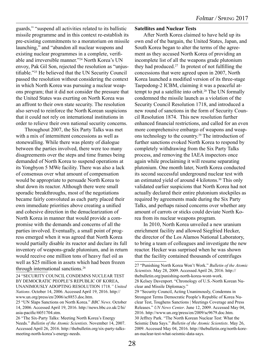guards," "suspend all activities related to its ballistic missile programme and in this context re-establish its pre-existing commitments to a moratorium on missile launching," and "abandon all nuclear weapons and existing nuclear programmes in a complete, verifiable and irreversible manner."24 North Korea's UN envoy, Pak Gil Son, rejected the resolution as "unjustifiable."25 He believed that the UN Security Council passed the resolution without considering the context in which North Korea was pursuing a nuclear weapons program; that it did not consider the pressure that the United States was exerting on North Korea was an affront to their own state security. The resolution also served to reinforce the North Korean suspicions that it could not rely on international institutions in order to relieve their own national security concerns.

Throughout 2007, the Six Party Talks was met with a mix of intermittent concessions as well as stonewalling. While there was plenty of dialogue between the parties involved, there were too many disagreements over the steps and time frames being demanded of North Korea to suspend operations at its Yongbyon 5 MWe facility. There was also a lack of consensus over what amount of compensation would be appropriate to persuade North Korea to shut down its reactor. Although there were small sporadic breakthroughs, most of the negotiations became fairly convoluted as each party placed their own immediate priorities above creating a unified and cohesive direction in the denuclearization of North Korea in manner that would provide a compromise with the demands and concerns of all the parties involved. Eventually, a small point of progress emerged when it was agreed that North Korea would partially disable its reactor and declare its full inventory of weapons-grade plutonium, and in return would receive one million tons of heavy fuel oil as well as \$25 million in assets which had been frozen through international sanctions.<sup>26</sup>

- 24 "SECURITY COUNCIL CONDEMNS NUCLEAR TEST BY DEMOCRATIC PEOPLE'S REPUBLIC OF KOREA, UNANIMOUSLY ADOPTING RESOLUTION 1718.*" United Nations*. October 14, 2006. Accessed April 19, 2016. http:// www.un.org/press/en/2006/sc8853.doc.htm.
- 25 "UN Slaps Sanctions on North Korea." *BBC News*. October 14, 2006. Accessed April 19, 2016. http://news.bbc.co.uk/2/hi/ asia-pacific/6051704.stm.
- 26 "The Six-Party Talks: Meeting North Korea's Energy Needs." *Bulletin of the Atomic Scientists*. November 14, 2007. Accessed April 26, 2016. http://thebulletin.org/six-party-talksmeeting-north-korea's-energy-needs.

#### **Satellites and Nuclear Tests**

After North Korea claimed to have held up its own end of the bargain, the United States, Japan, and South Korea began to alter the terms of the agreement as they accused North Korea of providing an incomplete list of all the weapons grade plutonium they had produced.27 In protest of not fulfilling the concessions that were agreed upon in 2007, North Korea launched a modified version of its three-stage Taepodong-2 ICBM, claiming it was a peaceful attempt to put a satellite into orbit.<sup>28</sup> The UN formally condemned the missile launch as a violation of the Security Council Resolution 1718, and introduced a new round of sanctions in the form of Security Council Resolution 1874. This new resolution further enhanced financial restrictions, and called for an even more comprehensive embargo of weapons and weapons technology to the country.29 The introduction of further sanctions evoked North Korea to respond by completely withdrawing from the Six Party Talks process, and removing the IAEA inspectors once again while proclaiming it will resume separating plutonium. One month later, North Korea conducted its second successful underground nuclear test with an estimated yield of around 4 kilotons.<sup>30</sup> This only validated earlier suspicions that North Korea had not actually declared their entire plutonium stockpiles as required by agreements made during the Six Party Talks, and perhaps raised concerns over whether any amount of carrots or sticks could deviate North Korea from its nuclear weapons program.

In 2010, North Korea unveiled a new uranium enrichment facility and allowed Siegfried Hecker, the director of the Los Alamos National Laboratory, to bring a team of colleagues and investigate the new reactor. Hecker was surprised when he was shown that the facility contained thousands of centrifuges

an-nuclear-test-what-seismic-data-says.

<sup>27 &</sup>quot;Punishing North Korea Won't Work." *Bulletin of the Atomic Scientists*. May 28, 2009. Accessed April 26, 2016. http:// thebulletin.org/punishing-north-korea-wont-work. 28 Kelsey Davenport. "Chronology of U.S.-North Korean Nuclear and Missile Diplomacy." 29 "Security Council, Acting Unanimously, Condemns in Strongest Terms Democratic People's Republic of Korea Nuclear Test, Toughens Sanctions | Meetings Coverage and Press Releases." *UN News Center*. June 12, 2009. Accessed May 04, 2016. http://www.un.org/press/en/2009/sc9679.doc.htm. 30 Jeffrey Park. "The North Korean Nuclear Test: What the Seismic Data Says." *Bulletin of the Atomic Scientists*. May 26, 2009. Accessed May 04, 2016. http://thebulletin.org/north-kore-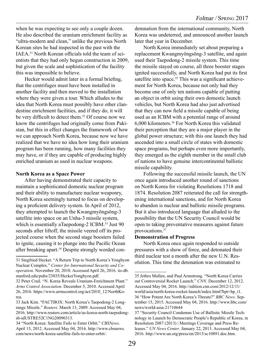when he was expecting to see only a couple dozen. He also described the uranium enrichment facility as "ultra-modern and clean," unlike the previous North Korean sites he had inspected in the past with the IAEA.31 North Korean officials told the team of scientists that they had only begun construction in 2009, but given the scale and sophistication of the facility this was impossible to believe.

Hecker would admit later in a formal briefing, that the centrifuges must have been installed in another facility and then moved to the installation where they were given a tour. Which alludes to the idea that North Korea must possibly have other clandestine enrichment facilities, and if they do, it will be very difficult to detect them.<sup>32</sup> Of course now we know the centrifuges had originally come from Pakistan, but this in effect changes the framework of how we can approach North Korea, because now we have realized that we have no idea how long their uranium program has been running, how many facilities they may have, or if they are capable of producing highly enriched uranium as used in nuclear weapons.

#### **North Korea as a Space Power**

After having demonstrated their capacity to maintain a sophisticated domestic nuclear program and their ability to manufacture nuclear weaponry, North Korea seemingly turned to focus on developing a proficient delivery system. In April of 2012, they attempted to launch the Kwangmyŏngsŏng-3 satellite into space on an Unha-3 missile system, which is essentially aTaepodong-2 ICBM.<sup>33</sup> Just 90 seconds after liftoff, the missile veered off its projected course when the second stage boosters failed to ignite, causing it to plunge into the Pacific Ocean after breaking apart.<sup>34</sup> Despite strongly worded condemnation from the international community, North Korea was undeterred, and announced another launch later that year in December.

North Korea immediately set about preparing a replacement Kwangmyŏngsŏng-3 satellite, and again used their Taepodong-2 missile system. This time the missile stayed on course, all three booster stages ignited successfully, and North Korea had put its first satellite into space.<sup>35</sup> This was a significant achievement for North Korea, because not only had they become one of only ten nations capable of putting an object in orbit using their own domestic launch vehicles, but North Korea had also just advertised that they can now field a missile capable of being used as an ICBM with a potential range of around 6,000 kilometers.36 For North Korea this validated their perception that they are a major player in the global power structure; with this one launch they had ascended into a small circle of states with domestic space programs, but perhaps even more importantly, they emerged as the eighth member in the small club of nations to have genuine intercontinental ballistic missile capability.

Following the successful missile launch, the UN once again introduced another round of sanctions on North Korea for violating Resolutions 1718 and 1874. Resolution 2087 reiterated the call for strengthening international sanctions, and for North Korea to abandon is nuclear and ballistic missile programs. But it also introduced language that alluded to the possibility that the UN Security Council would be open to taking preventative measures against future provocations.37

#### **Demonstration of Progress**

North Korea once again responded to outside pressures with a show of force, and detonated their third nuclear test a month after the new U.N. Resolution. This time the detonation was estimated to

<sup>31</sup> Siegfried Hecker. "A Return Trip to North Korea's Yongbyon Nuclear Complex." *Center for International Security and Cooperation*. November 20, 2010. Accessed April 26, 2016. iis-db. stanford.edu/pubs/23035/HeckerYongbyon.pdf.

<sup>32</sup> Peter Crail. "N. Korea Reveals Uranium-Enrichment Plant." *Arms Control Association*. December 5, 2010. Accessed April 26, 2016. https://www.armscontrol.org/act/2010\_12/NorthKorea.

<sup>33</sup> Jack Kim. "FACTBOX: North Korea's Taepodong-2 Longrange Missile." *Reuters*. March 13, 2009. Accessed May 04, 2016. http://www.reuters.com/article/us-korea-north-taepodongsb-idUSTRE52C1NG20090313.

<sup>34 &</sup>quot;North Korea: Satellite Fails to Enter Orbit." *CBSNews*. April 13, 2012. Accessed May 04, 2016. http://www.cbsnews. com/news/north-korea-satellite-fails-to-enter-orbit/.

<sup>35</sup> Jethro Mullen, and Paul Armstrong. "North Korea Carries out Controversial Rocket Launch." *CNN*. December 12, 2012. Accessed May 04, 2016. http://edition.cnn.com/2012/12/11/ world/asia/north-korea-rocket-launch/index.html?hpt=hp\_t1. 36 "How Potent Are North Korea's Threats?" *BBC News*. September 15, 2015. Accessed May 04, 2016. http://www.bbc.com/ news/world-asia-21710644

<sup>37 &</sup>quot;Security Council Condemns Use of Ballistic Missile Technology in Launch by Democratic People's Republic of Korea, in Resolution 2087 (2013) | Meetings Coverage and Press Releases." *UN News Center*. January 22, 2013. Accessed May 04, 2016. http://www.un.org/press/en/2013/sc10891.doc.htm.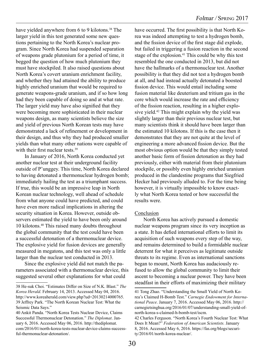have yielded anywhere from 6 to 9 kilotons.<sup>38</sup> The larger yield in this test generated some new questions pertaining to the North Korea's nuclear program. Since North Korea had suspended separation of weapons grade plutonium for a period of time, it begged the question of how much plutonium they must have stockpiled. It also raised questions about North Korea's covert uranium enrichment facility, and whether they had attained the ability to produce highly enriched uranium that would be required to generate weapons-grade uranium, and if so how long had they been capable of doing so and at what rate. The larger yield may have also signified that they were becoming more sophisticated in their nuclear weapons design, as many scientists believe the size and yield of previous North Korean tests may have demonstrated a lack of refinement or development in their design, and thus why they had produced smaller yields than what many other nations were capable of with their first nuclear tests.<sup>39</sup>

In January of 2016, North Korea conducted yet another nuclear test at their underground facility outside of P'unggey. This time, North Korea declared to having detonated a thermonuclear hydrogen bomb; immediately hailing the test as a triumphant success. If true, this would be an impressive leap in North Korean nuclear technology, well ahead of schedule from what anyone could have predicted, and could have even more radical implications in altering the security situation in Korea. However, outside observers estimated the yield to have been only around 10 kilotons.40 This raised many doubts throughout the global community that the test could have been a successful detonation of a thermonuclear device. The explosive yield for fusion devices are generally measured in megatons, and this test was only a little larger than the nuclear test conducted in 2013.

Since the explosive yield did not match the parameters associated with a thermonuclear device, this suggested several other explanations for what could

have occurred. The first possibility is that North Korea was indeed attempting to test a hydrogen bomb, and the fission device of the first stage did explode, but failed in triggering a fusion reaction in the second stage of the explosion.<sup>41</sup> This could be why this test resembled the one conducted in 2013, but did not have the hallmarks of a thermonuclear test. Another possibility is that they did not test a hydrogen bomb at all, and had instead actually detonated a boosted fission device. This would entail including some fusion material like deuterium and tritium gas in the core which would increase the rate and efficiency of the fission reaction, resulting in a higher explosive yield.<sup>42</sup> This might explain why the yield was slightly larger than their previous nuclear test, but many scientists think it should have been larger than the estimated 10 kilotons. If this is the case then it demonstrates that they are not quite at the level of engineering a more advanced fission device. But the most obvious option would be that they simply tested another basic form of fission detonation as they had previously, either with material from their plutonium stockpile, or possibly even highly enriched uranium produced in the clandestine programs that Siegfried Hecker had previously alluded to. For the time being however, it is virtually impossible to know exactly what North Korea tested or how successful the results were.

#### Conclusion

North Korea has actively pursued a domestic nuclear weapons program since its very inception as a state. It has defied international efforts to limit its acquisition of such weapons every step of the way, and remains determined to build a formidable nuclear deterrent for what it perceives as legitimate outside threats to its regime. Even as international sanctions began to mount, North Korea has audaciously refused to allow the global community to limit their ascent to becoming a nuclear power. They have been steadfast in their efforts of maximizing their military

<sup>38</sup> He-suk Choi. "Estimates Differ on Size of N.K. Blast." *The Korea Herald*. February 14, 2013. Accessed May 04, 2016. http://www.koreaherald.com/view.php?ud=20130214000765. 39 Jeffrey Park. "The North Korean Nuclear Test: What the Seismic Data Says."

<sup>40</sup> Ankit Panda. "North Korea Tests Nuclear Device, Claims Successful Thermonuclear Detonation." *The Diplomat*. January 6, 2016. Accessed May 06, 2016. http://thediplomat. com/2016/01/north-korea-tests-nuclear-device-claims-successful-thermonuclear-detonation/.

<sup>41</sup> Tong Zhao. "Understanding the Small Yield of North Korea's Claimed H-Bomb Test." *Carnegie Endowment for International Peace*. January 7, 2016. Accessed May 06, 2016. http:// carnegietsinghua.org/2016/01/07/understanding-small-yield-ofnorth-korea-s-claimed-h-bomb-test/iscm.

<sup>42</sup> Charles Ferguson. "North Korea's Fourth Nuclear Test: What Does It Mean?" *Federation of American Scientists.* January 8, 2016. Accessed May 6, 2016. https://fas.org/blogs/security/2016/01/north-korea-nuclear/.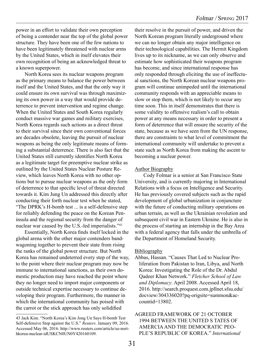power in an effort to validate their own perception of being a contender near the top of the global power structure. They have been one of the few nations to have been legitimately threatened with nuclear arms by the United States, which in itself elevates their own recognition of being an acknowledged threat to a known superpower.

North Korea sees its nuclear weapons program as the primary means to balance the power between itself and the United States, and that the only way it could ensure its own survival was through maximizing its own power in a way that would provide deterrence to prevent intervention and regime change. When the United States and South Korea regularly conduct massive war games and military exercises, North Korea regards such actions as a direct threat to their survival since their own conventional forces are decades obsolete, leaving the pursuit of nuclear weapons as being the only legitimate means of forming a substantial deterrence. There is also fact that the United States still currently identifies North Korea as a legitimate target for preemptive nuclear strike as outlined by the United States Nuclear Posture Review, which leaves North Korea with no other options but to pursue nuclear weapons as the only form of deterrence to that specific level of threat directed towards it. Kim Jung Un addressed this directly after conducting their forth nuclear test when he stated, "The DPRK's H-bomb test ... is a self-defensive step for reliably defending the peace on the Korean Peninsula and the regional security from the danger of nuclear war caused by the U.S.-led imperialists."43

Essentially, North Korea finds itself locked in the global arena with the other major contenders bandwagoning together to prevent their state from rising the ranks of the global power structure. But North Korea has remained undeterred every step of the way, to the point where their nuclear program may now be immune to international sanctions, as their own domestic production may have reached the point where they no longer need to import major components or outside technical expertise necessary to continue developing their program. Furthermore, the manner in which the international community has poised with the carrot or the stick approach has only solidified

their resolve in the pursuit of power, and driven the North Korean program literally underground where we can no longer obtain any major intelligence on their technological capabilities. The Hermit Kingdom lives up to its nickname, as we can only observe and estimate how sophisticated their weapons program has become, and since international response has only responded through eliciting the use of ineffectual sanctions, the North Korean nuclear weapons program will continue unimpeded until the international community responds with an appreciable means to slow or stop them, which is not likely to occur any time soon. This in itself demonstrates that there is some validity to offensive realism's call to obtain power at any means necessary in order to present a form of deterrence that will ensure the security of the state, because as we have seen from the UN response, there are constraints to what level of commitment the international community will undertake to prevent a state such as North Korea from making the ascent to becoming a nuclear power.

#### **Author Biography**

Cody Folmar is a senior at San Francisco State University, and is currently majoring in International Relations with a focus on Intelligence and Security. He has previously covered subjects such as the rapid development of global urbanization in conjuncture with the future of conducting military operations on urban terrain, as well as the Ukrainian revolution and subsequent civil war in Eastern Ukraine. He is also in the process of starting an internship in the Bay Area with a federal agency that falls under the umbrella of the Department of Homeland Security.

#### Bibliography

Abbas, Hassan. "Causes That Led to Nuclear Proliferation from Pakistan to Iran, Libya, and North Korea: Investigating the Role of the Dr. Abdul Qadeer Khan Network." *Fletcher School of Law and Diplomacy*. April 2008. Accessed April 18, 2016. http://search.proquest.com.jpllnet.sfsu.edu/ docview/304336020?pq-origsite=summon&accountid=13802.

#### AGREED FRAMEWORK OF 21 OCTOBER 1994 BETWEEN THE UNITED S TATES OF AMERCIA AND THE DEMOCRATIC PEO-PLE'S REPUBLIC OF KOREA." *International*

<sup>43</sup> Jack Kim. "North Korea's Kim Jong Un Says H-bomb Test Self-defensive Step against the U.S." *Reuters*. January 09, 2016. Accessed May 06, 2016. http://www.reuters.com/article/us-northkorea-nuclear-idUSKCN0UN0Y420160109.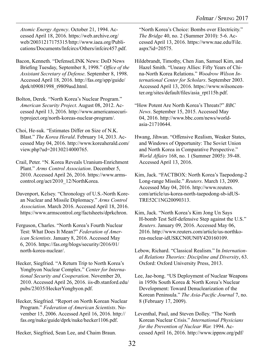*Atomic Energy Agency*. October 21, 1994. Accessed April 18, 2016. https://web.archive.org/ web/20031217175315/http://www.iaea.org/Publications/Documents/Infcircs/Others/infcirc457.pdf.

- Bacon, Kenneth. "DefenseLINK News: DoD News Briefing Tuesday, September 8, 1998." *Office of the Assistant Secretary of Defense*. September 8, 1998. Accessed April 18, 2016. http://fas.org/spp/guide/ dprk/t09081998\_t9809asd.html.
- Bolton, Derek. "North Korea's Nuclear Program." *American Security Project*. August 08, 2012. Accessed April 13, 2016. http://www.americansecurityproject.org/north-koreas-nuclear-program/.
- Choi, He-suk. "Estimates Differ on Size of N.K. Blast." *The Korea Herald*. February 14, 2013. Accessed May 04, 2016. http://www.koreaherald.com/ view.php?ud=20130214000765.
- Crail, Peter. "N. Korea Reveals Uranium-Enrichment Plant." *Arms Control Association*. December 5, 2010. Accessed April 26, 2016. https://www.armscontrol.org/act/2010\_12/NorthKorea.
- Davenport, Kelsey. "Chronology of U.S.-North Korean Nuclear and Missile Diplomacy." *Arms Control Association*. March 2016. Accessed April 18, 2016. https://www.armscontrol.org/factsheets/dprkchron.
- Ferguson, Charles. "North Korea's Fourth Nuclear Test: What Does It Mean?" *Federation of American Scientists*. January 8, 2016. Accessed May 6, 2016. https://fas.org/blogs/security/2016/01/ north-korea-nuclear/.
- Hecker, Siegfried. "A Return Trip to North Korea's Yongbyon Nuclear Complex." *Center for International Security and Cooperation*. November 20, 2010. Accessed April 26, 2016. iis-db.stanford.edu/ pubs/23035/HeckerYongbyon.pdf.
- Hecker, Siegfried. "Report on North Korean Nuclear Program." *Federation of American Scientists*. November 15, 2006. Accessed April 16, 2016. http:// fas.org/nuke/guide/dprk/nuke/hecker1106.pdf.
- Hecker, Siegfried, Sean Lee, and Chaim Braun.

"North Korea's Choice: Bombs over Electricity." *The Bridge* 40, no. 2 (Summer 2010): 5-6. Accessed April 13, 2016. https://www.nae.edu/File. aspx?id=20575.

- Hildebrandt, Timothy, Chen Jian, Samuel Kim, and Hazel Smith. "Uneasy Allies: Fifty Years of China-North Korea Relations." *Woodrow Wilson International Center for Scholars*. September 2003. Accessed April 13, 2016. https://www.wilsoncenter.org/sites/default/files/asia\_rpt115b.pdf.
- "How Potent Are North Korea's Threats?" *BBC News*. September 15, 2015. Accessed May 04, 2016. http://www.bbc.com/news/worldasia-21710644.
- Hwang, Jihwan. "Offensive Realism, Weaker States, and Windows of Opportunity: The Soviet Union and North Korea in Comparative Perspective." *World Affairs* 168, no. 1 (Summer 2005): 39-48. Accessed April 13, 2016.
- Kim, Jack. "FACTBOX: North Korea's Taepodong-2 Long-range Missile." *Reuters*. March 13, 2009. Accessed May 04, 2016. http://www.reuters. com/article/us-korea-north-taepodong-sb-idUS-TRE52C1NG20090313.
- Kim, Jack. "North Korea's Kim Jong Un Says H-bomb Test Self-defensive Step against the U.S." *Reuters*. January 09, 2016. Accessed May 06, 2016. http://www.reuters.com/article/us-northkorea-nuclear-idUSKCN0UN0Y420160109.
- Lebow, Richard. "Classical Realism." In *International Relations Theories: Discipline and Diversity*, 63. Oxford: Oxford University Press, 2013.
- Lee, Jae-bong. "US Deployment of Nuclear Weapons in 1950s South Korea & North Korea's Nuclear Development: Toward Denuclearization of the Korean Peninsula." *The Asia-Pacific Journal* 7, no. 8 (February 17, 2009).
- Leventhal, Paul, and Steven Dolley. "The North Korean Nuclear Crisis." *International Physicians for the Prevention of Nuclear War.* 1994. Accessed April 16, 2016. http://www.ippnw.org/pdf/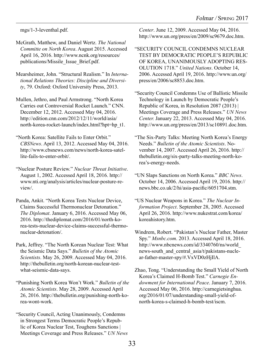mgs/1-3-leventhal.pdf.

McGrath, Matthew, and Daniel Wertz. *The National Committe on North Korea*. August 2015. Accessed April 16, 2016. http://www.ncnk.org/resources/ publications/Missile\_Issue\_Brief.pdf.

Mearsheimer, John. "Structural Realism." In *International Relations Theories: Discipline and Diversity*, 79. Oxford: Oxford University Press, 2013.

Mullen, Jethro, and Paul Armstrong. "North Korea Carries out Controversial Rocket Launch." CNN. December 12, 2012. Accessed May 04, 2016. http://edition.cnn.com/2012/12/11/world/asia/ north-korea-rocket-launch/index.html?hpt=hp\_t1.

"North Korea: Satellite Fails to Enter Orbit." *CBSNews*. April 13, 2012. Accessed May 04, 2016. http://www.cbsnews.com/news/north-korea-satellite-fails-to-enter-orbit/.

"Nuclear Posture Review." *Nuclear Threat Initiative*. August 1, 2002. Accessed April 18, 2016. http:// www.nti.org/analysis/articles/nuclear-posture-review/.

Panda, Ankit. "North Korea Tests Nuclear Device, Claims Successful Thermonuclear Detonation." *The Diplomat*. January 6, 2016. Accessed May 06, 2016. http://thediplomat.com/2016/01/north-korea-tests-nuclear-device-claims-successful-thermonuclear-detonation/.

Park, Jeffrey. "The North Korean Nuclear Test: What the Seismic Data Says." *Bulletin of the Atomic Scientists*. May 26, 2009. Accessed May 04, 2016. http://thebulletin.org/north-korean-nuclear-testwhat-seismic-data-says.

"Punishing North Korea Won't Work." *Bulletin of the Atomic Scientists*. May 28, 2009. Accessed April 26, 2016. http://thebulletin.org/punishing-north-korea-wont-work.

"Security Council, Acting Unanimously, Condemns in Strongest Terms Democratic People's Republic of Korea Nuclear Test, Toughens Sanctions | Meetings Coverage and Press Releases." *UN News*  *Center*. June 12, 2009. Accessed May 04, 2016. http://www.un.org/press/en/2009/sc9679.doc.htm.

"SECURITY COUNCIL CONDEMNS NUCLEAR TEST BY DEMOCRATIC PEOPLE'S REPUBLIC OF KOREA, UNANIMOUSLY ADOPTING RES-OLUTION 1718." *United Nations*. October 14, 2006. Accessed April 19, 2016. http://www.un.org/ press/en/2006/sc8853.doc.htm.

"Security Council Condemns Use of Ballistic Missile Technology in Launch by Democratic People's Republic of Korea, in Resolution 2087 (2013) | Meetings Coverage and Press Releases." *UN News Center.* January 22, 2013. Accessed May 04, 2016. http://www.un.org/press/en/2013/sc10891.doc.htm.

"The Six-Party Talks: Meeting North Korea's Energy Needs." *Bulletin of the Atomic Scientists*. November 14, 2007. Accessed April 26, 2016. http:// thebulletin.org/six-party-talks-meeting-north-korea's-energy-needs.

"UN Slaps Sanctions on North Korea." *BBC News*. October 14, 2006. Accessed April 19, 2016. http:// news.bbc.co.uk/2/hi/asia-pacific/6051704.stm.

"US Nuclear Weapons in Korea." *The Nuclear Information Project*. September 28, 2005. Accessed April 26, 2016. http://www.nukestrat.com/korea/ koreahistory.htm.

Windrem, Robert. "Pakistan's Nuclear Father, Master Spy." *Msnbc.com*. 2013. Accessed April 18, 2016. http://www.nbcnews.com/id/3340760/ns/world\_ news-south\_and\_central\_asia/t/pakistans-nuclear-father-master-spy/#.VxVD0zHjIlA.

Zhao, Tong. "Understanding the Small Yield of North Korea's Claimed H-Bomb Test." *Carnegie Endowment for International Peace*. January 7, 2016. Accessed May 06, 2016. http://carnegietsinghua. org/2016/01/07/understanding-small-yield-ofnorth-korea-s-claimed-h-bomb-test/iscm.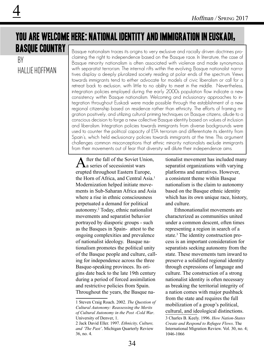#### you are welcome here: national identity and immigration in Euskadi, basque country Basque nationalism traces its origins to very exclusive and racially driven doctrines pro-

By hallie hoffman

4

claiming the right to independence based on the Basque race. In literature, the case of Basque minority nationalism is often associated with violence and made synonymous with separatist terrorism. The internal rifts within the evolving Basque nationalist narratives display a deeply pluralized society residing at polar ends of the spectrum. Views towards immigrants tend to either advocate for models of civic liberalism or call for a retreat back to exclusion, with little to no ability to meet in the middle. Nevertheless, integration policies employed during the early 2000s population flow indicate a new consistency within Basque nationalism. Welcoming and inclusionary approaches to integration throughout Euskadi were made possible through the establishment of a new regional citizenship based on residence rather than ethnicity. The efforts of framing migration positively, and utilizing cultural priming techniques on Basque citizens, allude to a conscious decision to forge a new collective Basque identity based on values of inclusion and liberalism. Integration policies towards immigrants from diverse backgrounds were used to counter the political capacity of ETA terrorism and differentiate its identity from Spain's, which held exclusionary policies towards immigrants at the time. This argument challenges common misconceptions that ethnic minority nationalists exclude immigrants from their movements out of fear that diversity will dilute their independence aims.

fter the fall of the Soviet Union,  $\Gamma$  a series of secessionist wars erupted throughout Eastern Europe, the Horn of Africa, and Central Asia.<sup>1</sup> Modernization helped initiate movements in Sub-Saharan Africa and Asia where a rise in ethnic consciousness perpetuated a demand for political autonomy.2 Today, ethnic nationalist movements and separatist behavior portrayed by diasporic groups - such as the Basques in Spain- attest to the ongoing complexities and prevalence of nationalist ideology. Basque nationalism promotes the political unity of the Basque people and culture, calling for independence across the three Basque-speaking provinces. Its origins date back to the late 19th century during a period of forced assimilation and restrictive policies from Spain. Throughout the years, the Basque na-

tionalist movement has included many separatist organizations with varying platforms and narratives. However, a consistent theme within Basque nationalism is the claim to autonomy based on the Basque ethnic identity which has its own unique race, history, and culture.

Ethnonationalist movements are characterized as communities united under a common descent, often times representing a region in search of a state.<sup>3</sup> The identity construction process is an important consideration for separatists seeking autonomy from the state. These movements turn inward to preserve a solidified regional identity through expressions of language and culture. The construction of a strong nationalist identity is often necessary as breaking the territorial integrity of a nation comes with major pushback from the state and requires the full mobilization of a group's political, cultural, and ideological distinctions.

3 Charles B. Keely. 1996. *How Nation-States Create and Respond to Refugee Flows*. The International Migration Review. Vol. 30, no. 4; 1046-1066

<sup>1</sup> Steven Craig Roach. 2002. *The Question of Cultural Autonomy: Reassessing the Merits of Cultural Autonomy in the Post -Cold War*. University of Denver, 1.

<sup>2</sup> Jack David Eller. 1997. *Ethnicity, Culture, and 'The Past'*. Michigan Quarterly Review 36, no. 4.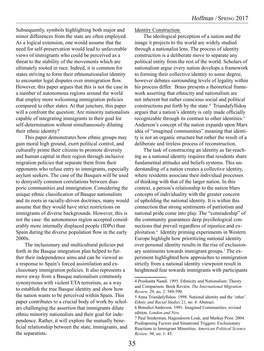Subsequently, symbols highlighting both major and minor differences from the state are often employed. As a logical extension, one would assume that the need for self-preservation would lead to unfavorable views of immigrants who could be perceived as a threat to the stability of the movements which are ultimately rooted in race. Indeed, it is common for states striving to form their ethnonationalist identity to encounter legal disputes over immigration flow. However, this paper argues that this is not the case in a number of autonomous regions around the world that employ more welcoming immigration policies compared to other states. At that juncture, this paper will a confront the question: Are minority nationalists capable of integrating immigrants in their goal for self-determination without simultaneously diluting their ethnic identity?

This paper demonstrates how ethnic groups may gain moral high ground, exert political control, and culturally prime their citizens to promote diversity and human capital in their region through inclusive migration policies that separate them from their opponents who refuse entry to immigrants, especially asylum seekers. The case of the Basques will be used to demystify common correlations between diasporic communities and immigration. Considering the unique ethnic classification of Basque nationalism and its roots in racially-driven doctrines, many would assume that they would have strict restrictions on immigrants of diverse backgrounds. However, this is not the case: the autonomous region accepted considerably more internally displaced people (IDPs) than Spain during the diverse population flow in the early 2000s.

The inclusionary and multicultural policies put forth in the Basque integration plan helped to further their independence aims and can be viewed as a response to Spain's forced assimilation and exclusionary immigration policies. It also represents a move away from a Basque nationalism commonly synonymous with violent ETA terrorism, as a way to establish the true Basque identity and show how the nation wants to be perceived within Spain. This paper contributes to a crucial body of work by scholars challenging the assertion that immigrants dilute ethnic minority nationalists and their goal for independence. Rather, it will explore the mutually beneficial relationship between the state, immigrants, and the separatists.

#### Identity Construction

The ideological perception of a nation and the image it projects to the world are widely studied through a nationalist lens. The process of identity construction is a deliberate move to separate any political entity from the rest of the world. Scholars of nationalism argue every nation develops a framework to forming their collective identity to some degree, however debates surrounding levels of legality within his process differ. Brass presents a theoretical framework asserting that ethnicity and nationalism are not inherent but rather conscious social and political constructions put forth by the state.<sup>4</sup> Triandafyllidou argues that a nation's identity is only made officially recognizable through its contrast to other identities.<sup>5</sup> Anderson's concept of the nation expands upon Marx idea of "imagined communities" meaning that identity is not an organic structure but rather the result of a deliberate and tireless process of reconstruction.

The task of constructing an identity as far-reaching as a national identity requires that residents share fundamental attitudes and beliefs systems. This understanding of a nation creates a collective identity, where residents associate their individual processes of thinking with that of the larger nation. In this context, a person's relationship to the nation blurs concepts of individuality with the greater concern of upholding the national identity. It is within this connection that strong sentiments of patriotism and national pride come into play. The "comradeship" of the community guarantees deep psychological connections that prevail regardless of injustice and exploitation.6 Identity priming experiments in Western Europe highlight how prioritizing national identity over personal identity results in the rise of exclusionary sentiments towards immigrant groups.<sup>7</sup> The experiment highlighted how approaches to immigration strictly from a national identity viewpoint result in heightened fear towards immigrants with participants

<sup>4</sup> Proshanta Nandi. 1995. Ethnicity and Nationalism: Theory and Comparison. Book Review. *The International Migration Review*. 29, no. 2: 589-590.

<sup>5</sup> Anna Triandafyllidou. 1998. National identity and the 'other'. *Ethnic and Racial Studies* 21, no. 4: Abstract.

<sup>6</sup> Benedict Anderson. 1991. Imagined Communities, revised edition. *London and New.*

<sup>7</sup> Paul Sniderman, Hagendoorn Louk, and Markus Prior. 2004. Predisposing Factors and Situational Triggers: Exclusionary Reactions to Immigrant Minorities. *American Political Science Review*. 98, no. 1: 45.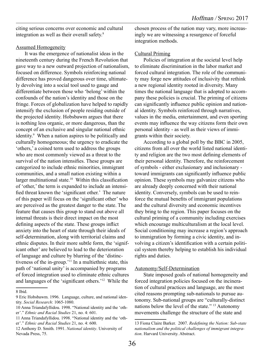citing serious concerns over economic and cultural integration as well as their overall safety.8

#### Assumed Homogeneity

It was the emergence of nationalist ideas in the nineteenth century during the French Revolution that gave way to a new outward projection of nationalism, focused on difference. Symbols reinforcing national difference has proved dangerous over time, ultimately devolving into a social tool used to gauge and differentiate between those who 'belong' within the confounds of the nation's identity and those on the fringe. Forces of globalization have helped to rapidly intensify the exclusion of people residing outside of the projected identity. Hobsbawm argues that there is nothing less organic, or more dangerous, than the concept of an exclusive and singular national ethnic identity.<sup>9</sup> When a nation aspires to be politically and culturally homogeneous; the urgency to eradicate the 'others,' a coined term used to address the groups who are most commonly viewed as a threat to the survival of the nation intensifies. These groups are categorized to include ethnic minorities, immigrant communities, and a small nation existing within a larger multinational state.<sup>10</sup> Within this classification of 'other,' the term is expanded to include an intensified threat known the 'significant other.' The nature of this paper will focus on the 'significant other' who are perceived as the greatest danger to the state. The feature that causes this group to stand out above all internal threats is their direct impact on the most defining aspects of the state. These groups inflict anxiety into the heart of state through their ideals of self-determination, along with territorial claims and ethnic disputes. In their more subtle form, the 'significant other' are believed to lead to the deterioration of language and culture by blurring of the 'distinctiveness of the in-group.'11 In a multiethnic state, this path of 'national unity' is accompanied by programs of forced integration used to eliminate ethnic cultures and languages of the 'significant others.'12 While the

chosen process of the nation may vary, more increasingly we are witnessing a resurgence of forceful integration methods.

#### Cultural Priming

Policies of integration at the societal level help to eliminate discrimination in the labor market and forced cultural integration. The role of the community may forge new attitudes of inclusivity that rethink a new regional identity rooted in diversity. Many times the national language that is adopted to accompany these policies is crucial. The priming of citizens can significantly influence public opinion and national identity. Symbols reinforced through narratives, values in the media, entertainment, and even sporting events may influence the way citizens form their own personal identity - as well as their views of immigrants within their society.

According to a global poll by the BBC in 2005, citizens from all over the world listed national identity and religion are the two most defining elements of their personal identity. Therefore, the reinforcement of symbols - either exclusionary and inclusionary toward immigrants can significantly influence public opinion. These symbols may galvanize citizens who are already deeply concerned with their national identity. Conversely, symbols can be used to reinforce the mutual benefits of immigrant populations and the cultural diversity and economic incentives they bring to the region. This paper focuses on the cultural priming of a community including exercises which encourage multiculturalism at the local level. Social conditioning may increase a region's approach to immigration by forming a civic identity, and involving a citizen's identification with a certain political system thereby helping to establish his individual rights and duties.

#### Autonomy/Self-Determination

State imposed goals of national homogeneity and forced integration policies focused on the incineration of cultural practices and language, are the most cited reasons prompting sub-nationals to pursue autonomy. Sub-national groups are "culturally-distinct nations below the level of the state." 13 Autonomy movements challenge the structure of the state and

<sup>8</sup> Ibid.

<sup>9</sup> Eric Hobsbawm. 1996. Language, culture, and national identity. *Social Research*: 1065-1080.

<sup>10</sup> Anna Triandafyllidou. 1998. "National identity and the 'other'." *Ethnic and Racial Studies* 21, no. 4: 601.

<sup>11</sup> Anna Triandafyllidou. 1998. "National identity and the 'other'." *Ethnic and Racial Studies* 21, no. 4: 600.

<sup>12</sup> Anthony D. Smith. 1991. *National identity*. University of Nevada Press, 75.

<sup>13</sup> Fiona Claire Barker. 2007. *Redefining the Nation: Sub-state nationalism and the political challenges of immigrant integration*. Harvard University. Abstract.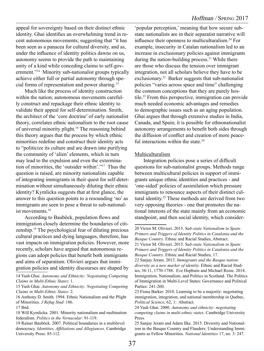appeal for sovereignty based on their distinct ethnic identity. Ghai identifies an overwhelming trend in recent autonomous movements; suggesting that "it has been seen as a panacea for cultural diversity, and as, under the influence of identity politics dawns on us, autonomy seems to provide the path to maintaining unity of a kind while conceding claims to self-government."14 Minority sub-nationalist groups typically achieve either full or partial autonomy through special forms of representation and power sharing.15

Much like the process of identity construction within the nation; autonomous movements carefully construct and repackage their ethnic identity to validate their appeal for self-determination. Smith, the architect of the 'core doctrine' of early nationalist theory, correlates ethnic nationalism to the root cause of universal minority plight.16 The reasoning behind this theory argues that the process by which ethnic minorities redefine and construct their identity acts to "politicize its culture and are drawn into purifying the community of 'alien' elements, which in turn may lead to the expulsion and even the extermination of minorities, the 'outsider within'."17 Thus the question is raised, are minority nationalists capable of integrating immigrants in their quest for self-determination without simultaneously diluting their ethnic identity? Kymlicka suggests that at first glance, the answer to this question points to a resounding 'no' as immigrants are seen to pose a threat to sub-nationalist movements.<sup>18</sup>

According to Bauböck, population flows and immigration closely determine the boundaries of citizenship.19 The psychological fear of diluting precious cultural practices and dying languages, therefore, has vast impacts on immigration policies. However, more recently, scholars have argued that autonomous regions can adopt policies that benefit both immigrants and aims of separatism. Olivieri argues that immigration policies and identity discourses are shaped by

'popular perception,' meaning that how secure substate nationalists are in their separatist narrative will influence their openness to multiculturalism.20 For example, insecurity in Catalan nationalism led to an increase in exclusionary policies against immigrants during the nation-building process.<sup>21</sup> While there are those who discuss the tension over immigrant integration, not all scholars believe they have to be exclusionary.<sup>22</sup> Barker suggests that sub-nationalist policies "varies across space and time" challenging the common conceptions that they are purely hostile.23 From this perspective, immigration can provide much needed economic advantages and remedies to demographic issues such as an aging population. Ghai argues that through extensive studies in India, Canada, and Spain; it is possible for ethnonationalist autonomy arrangements to benefit both sides through the diffusion of conflict and creation of more peaceful interactions within the state. $24$ 

#### Multiculturalism

Integration policies pose a series of difficult questions for sub-nationalist groups. Methods range between multicultural policies in support of immigrants unique ethnic identities and practices - and 'one-sided' policies of assimilation which pressure immigrants to renounce aspects of their distinct cultural identity.25 These methods are derived from two very opposing theories - one that promotes the national interests of the state mainly from an economic standpoint, and then social identity, which consider-

<sup>14</sup> Yash Ghai. *Autonomy and Ethnicity: Negotiating Competing Claims in Multi-Ethnic States*: 1.

<sup>15</sup> Yash Ghai. *Autonomy and Ethnicity: Negotiating Competing Claims in Multi-Ethnic States*: 2.

<sup>16</sup> Anthony D. Smith. 1994. Ethnic Nationalism and the Plight of Minorities. *J Refug Stud*: 186.

<sup>17</sup> Ibid.

<sup>18</sup> Will Kymlicka. 2001. Minority nationalism and multination federalism. *Politics in the Vernacular*: 91-119.

<sup>19</sup> Rainer Bauböck. 2007. Political boundaries in a multilevel democracy. *Identities, Affiliations and Allegiances*. Cambridge University Press: 85-112.

<sup>20</sup> Victor M. Olivieri. 2015. S*ub-state Nationalism in Spain: Primers and Triggers of Identity Politics in Catalonia and the Basque Country*. Ethnic and Racial Studies, Abstract. 21 Victor M. Olivieri. 2015. S*ub-state Nationalism in Spain:* 

*Primers and Triggers of Identity Politics in Catalonia and the Basque Country*. Ethnic and Racial Studies, 17.

<sup>22</sup> Sanjay Jeram. 2013. *Immigrants and the Basque nation: diversity as a new marker of identity.* Ethnic and Racial Studies, 36:11, 1770-1788. Eve Hepburn and Michael Rosie. 2014. Immigration, Nationalism, and Politics in Scotland. The Politics of Immigration in Multi-Level States: Governance and Political Parties: 241-260.

<sup>23</sup> Fiona Barker. 2010. Learning to be a majority: negotiating immigration, integration, and national membership in Quebec, *Political Science*, 62, 1: Abstract.

<sup>24</sup> Yash Ghai. 2000. *Autonomy and ethnicity: negotiating competing claims in multi-ethnic states*. Cambridge University Press.

<sup>25</sup> Sanjay Jeram and Adam Ilke. 2015. Diversity and Nationalism in the Basque Country and Flanders: Understanding Immigrants as Fellow Minorities. *National Identities* 17, no. 3: 247.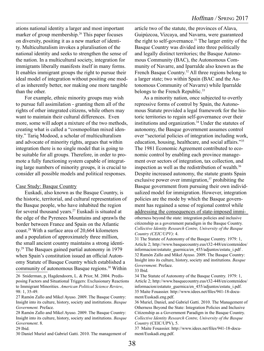ations national identity a larger and most important marker of group membership.<sup>26</sup> This paper focuses on diversity, positing it as a new marker of identity. Multiculturalism invokes a pluralisation of the national identity and seeks to strengthen the sense of the nation. In a multicultural society, integration for immigrants liberally manifests itself in many forms. It enables immigrant groups the right to pursue their ideal model of integration without positing one model as inherently better, nor making one more tangible than the other.

For example, ethnic minority groups may wish to pursue full assimilation - granting them all of the rights of other integrated citizens, while others may want to maintain their cultural differences. Even more, some will adopt a mixture of the two methods, creating what is called a "cosmopolitan mixed identity." Tariq Modood, a scholar of multiculturalism and advocate of minority rights, argues that within integration there is no single model that is going to be suitable for all groups. Therefore, in order to promote a fully functioning system capable of integrating large numbers of minority groups, it is crucial to consider all possible models and political responses.

#### Case Study: Basque Country

Euskadi, also known as the Basque Country, is the historic, territorial, and cultural representation of the Basque people, who have inhabited the region for several thousand years.27 Euskadi is situated at the edge of the Pyrenees Mountains and sprawls the border between France and Spain on the Atlantic coast.28 With a surface area of 20,664 kilometers and a population of approximately three million, the small ancient country maintains a strong identity.29 The Basques gained partial autonomy in 1979 when Spain's constitution issued an official Autonomy Statute of Basque Country which established a community of autonomous Basque regions.<sup>30</sup> Within

26 Sniderman, p, Hagdendoorn, L. & Prior, M. 2004. Predisposing Factors and Situational Triggers: Exclusionary Reactions to Immigrant Minorities. *American Political Science Review*, 98: 1, 35-49.

29 Ibid.

30 Daniel Muriel and Gabriel Gatti. 2010. The management of

article two of the statute, the provinces of Alava, Guipúzcoa, Vizcaya, and Navarra, were guaranteed the right to self-governance.31 The larger entity of the Basque Country was divided into three politically and legally distinct territories; the Basque Autonomous Community (BAC), the Autonomous Community of Navarre, and Iparralde also known as the French Basque Country.<sup>32</sup> All three regions belong to a larger state; two within Spain (BAC and the Autonomous Community of Navarre) while Iparralde belongs to the French Republic.<sup>33</sup>

As a minority nation, once subjected to overtly repressive forms of control by Spain, the Autonomous Statute provided a legal framework for the historic territories to regain self-governance over their institutions and organization.<sup>34</sup> Under the statutes of autonomy, the Basque government assumes control over "sectorial policies of integration including work, education, housing, healthcare, and social affairs."35 The 1981 Economic Agreement contributed to economic control by enabling each province management over sectors of integration, tax collection, and inspection as well as the redistribution of wealth.36 Despite increased autonomy, the statute grants Spain exclusive power over immigration, $37$  prohibiting the Basque government from pursuing their own individualized model for immigration. However, integration policies are the mode by which the Basque government has regained a sense of regional control while addressing the consequences of state-imposed immiotherness beyond the state: integration policies and inclusive citizenship as a government paradigm in the Basque Country. *Collective Identity Research Centre, University of the Basque Country (CEIC/UPV)*: 4.

31 The Statute of Autonomy of the Basque Country. 1979: 1, Article 2; http://www.basquecountry.eus/t32-448/en/contenidos/ informacion/estatuto\_guernica/en\_455/adjuntos/estatu\_i.pdf . 32 Ramón Zallo and Mikel Ayuso. 2009. The Basque Country: Insight into its culture, history, society and institutions. *Basque Government*. Preface.

33 Ibid.

34 The Statute of Autonomy of the Basque Country. 1979: 1, Article 2; http://www.basquecountry.eus/t32-448/en/contenidos/ informacion/estatuto\_guernica/en\_455/adjuntos/estatu\_i.pdf. 35 Maite Fouassier. http://www.idees.net/files/941-18-document/Euskadi.eng.pdf.

36 Muriel, Daniel, and Gabriel Gatti. 2010. The Management of Otherness Beyond the State: Integration Policies and Inclusive Citizenship as a Government Paradigm in the Basque Country. *Collective Identity Research Centre, University of the Basque Country* (CEIC/UPV), 5.

37 Maite Fouassier. http://www.idees.net/files/941-18-document/Euskadi.eng.pdf.

<sup>27</sup> Ramón Zallo and Mikel Ayuso. 2009. The Basque Country: Insight into its culture, history, society and institutions. *Basque Government.* Preface.

<sup>28</sup> Ramón Zallo and Mikel Ayuso. 2009. The Basque Country: Insight into its culture, history, society and institutions. *Basque Government*. 8.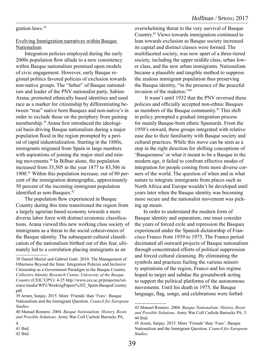gration laws.38

#### Evolving Immigration narratives within Basque Nationalism

Integration policies employed during the early 2000s population flow allude to a new consistency within Basque nationalism premised upon models of civic engagement. However, early Basque regional politics favored policies of exclusion towards non-native groups. The "father" of Basque nationalism and leader of the PNV nationalist party, Sabino Arana, promoted ethnically based identities and used race as a marker for citizenship by differentiating between "true" native born Basques and non-native's in order to exclude those on the periphery from gaining membership.39 Arana first introduced the ideological basis driving Basque nationalism during a major population flood in the region prompted by a period of rapid industrialization. Starting in the 1880s, immigrants migrated from Spain in large numbers with aspirations of joining the major steel and mining movements.40 In Bilbao alone, the population increased from 35,505 in the year 1877 to 83,306 in 1900.41 Within this population increase, out of 80 percent of the immigration demographic, approximately 50 percent of the incoming immigrant population identified as non-Basques.<sup>42</sup>

The population flow experienced in Basque Country during this time transitioned the region from a largely agrarian based economy towards a more diverse labor force with distinct economic classifications. Arana viewed this new working class society of immigrants as a threat to the social cohesiveness of the Basque identity. The subsequent cultural classification of the nationalism birthed out of this fear, ultimately led to a correlation placing immigrants as an

overwhelming threat to the very survival of Basque Country.43 Views towards immigration continued to lean towards exclusion as Basque society increased its capital and distinct classes were formed. The multifaceted society, was now apart of a three-tiered society, including the upper middle class, urban lower class, and the new urban immigrants. Nationalism became a plausible and tangible method to suppress the zealous immigrant population thus preserving the Basque identity, "in the presence of the peaceful invasion of the maketos."44

 It wasn't until 1932 that the PNV reversed these policies and officially accepted non-ethnic Basques as members of the Basque community.45 This shift in policy prompted a gradual integration process for mainly Basque-born ethnic Spaniards. From the 1950's onward, these groups integrated with relative ease due to their familiarity with Basque society and cultural practices. While this move can be seen as a step in the right direction for shifting conceptions of 'Basquesness' or what it meant to be a Basque in the modern age, it failed to confront effective modes of integration for people coming from more diverse corners of the world. The question of when and in what nature to integrate immigrants from places such as North Africa and Europe wouldn't be developed until years later when the Basque identity was becoming more secure and the nationalist movement was picking up steam.

In order to understand the modern form of Basque identity and separatism, one must consider the years of forced exile and repression the Basques experienced under the Spanish dictatorship of Francisco Franco from 1939 to 1975. The Franco period decimated all outward projects of Basque nationalism through concentrated efforts of political suppression and forced cultural cleansing. By eliminating the symbols and practices fueling the various minority aspirations of the region, Franco and his regime hoped to target and subdue the groundwork acting to support the political platforms of the autonomous movements. Until his death in 1975, the Basque language, flag, songs, and celebrations were forbid-

<sup>38</sup> Daniel Muriel and Gabriel Gatti. 2010. The Management of Otherness Beyond the State: Integration Policies and Inclusive Citizenship as a Government Paradigm in the Basque Country. *Collective Identity Research Centre, University of the Basque Country* (CEIC/UPV): 4-25 http://www.ces.uc.pt/projectos/tolerace/media/WP2/WorkingPapers%202\_Spain-BasqueCountry. pdf.

<sup>39</sup> Jeram, Sanjay. 2015. More 'Friends' than 'Foes': Basque Nationalism and the Immigrant Question. *Council for European Studies*.

<sup>40</sup> Manuel Romero. 2004. *Basque Nationalism: History, Roots and Possible Solutions*. Army War Coll Carlisle Barracks PA,

<sup>4.</sup>

<sup>41</sup> Ibid.

<sup>42</sup> Ibid.

<sup>43</sup> Manuel Romero. 2004. *Basque Nationalism: History, Roots and Possible Solutions*. Army War Coll Carlisle Barracks PA, 5. 44 Ibid.

<sup>45</sup> Jeram, Sanjay. 2015. More 'Friends' than 'Foes': Basque Nationalism and the Immigrant Question. *Council for European Studies*.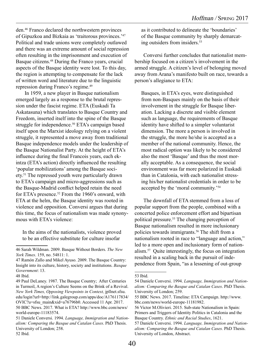den.46 Franco declared the northwestern provinces of Gipuzkoa and Bizkaia as 'traitorous provinces.'47 Political and trade unions were completely outlawed and there was an extreme amount of social repression often resulting in the imprisonment and execution of Basque citizens.<sup>48</sup> During the Franco years, crucial aspects of the Basque identity were lost. To this day, the region is attempting to compensate for the lack of written word and literature due to the linguistic repression during Franco's regime.<sup>49</sup>

In 1959, a new player in Basque nationalism emerged largely as a response to the brutal repression under the fascist regime. ETA (Euskadi Ta Askatasuna) which translates to Basque Country and Freedom, inserted itself into the spine of the Basque struggle for independence.<sup>50</sup> ETA's campaign based itself upon the Marxist ideology relying on a violent struggle, it represented a move away from traditional Basque independence models under the leadership of the Basque Nationalist Party. At the height of ETA's influence during the final Francois years, each ekintza (ETA's action) directly influenced the resulting 'popular mobilizations' among the Basque society.51 The repressed youth were particularly drawn to ETA's campaign and micro-aggressions such as the Basque-Madrid conflict helped retain the need for ETA's presence.<sup>52</sup> From the 1960's onward, with ETA at the helm, the Basque identity was rooted in violence and opposition. Conversi argues that during this time, the focus of nationalism was made synonymous with ETA's violence:

In the aims of the nationalists, violence proved to be an effective substitute for culture insofar

48 Ibid.

as it contributed to delineate the 'boundaries' of the Basque community by sharply demarcating outsiders from insiders.53

Conversi further concludes that nationalist membership focused on a citizen's involvement in the armed struggle. A citizen's level of belonging moved away from Arana's manifesto built on race, towards a person's allegiance to ETA:

Basques, in ETA's eyes, were distinguished from non-Basques mainly on the basis of their involvement in the struggle for Basque liberation. Lacking a discrete and visible element such as language, the requirements of Basque identity have shifted to a simpler voluntarist dimension. The more a person is involved in the struggle, the more he/she is accepted as a member of the national community. Hence, the most radical option was likely to be considered also the most 'Basque' and thus the most morally acceptable. As a consequence, the social environment was far more polarized in Euskadi than in Catalonia, with each nationalist stressing his/her nationalist credentials in order to be accepted by the 'moral community.'54

The downfall of ETA stemmed from a loss of popular support from the people, combined with a concerted police enforcement effort and bipartisan political pressure.<sup>55</sup> The changing perception of Basque nationalism resulted in more inclusionary policies towards immigrants.<sup>56</sup> The shift from a nationalism rooted in race to "language and action," led to a more open and inclusionary form of nationalism.57 Quite interestingly, the focus on integration resulted in a scaling back in the pursuit of independence from Spain, "as a lessening of out-group

<sup>46</sup> Sarah Wildman. 2009. Basque Without Borders. *The New York Times*. 159, no. 54811: 1.

<sup>47</sup> Ramón Zallo and Mikel Ayuso. 2009. The Basque Country: Insight into its culture, history, society and institutions. *Basque Government*: 13.

<sup>49</sup> Paul DeLaney. 1987. The Basque Country; After Centuries in Turmoil, A region's Culture Seems on the Brink of a Revival. *New York Times, Opposing Viewpoints in Context,* jpllnet.sfsu. edu/login?url=http://link.galegroup.com/apps/doc/A176117834/ OVIC?u=sfsu\_main&xid=a76796b0. Accessed 11 Apr. 2017. 50 BBC News. 2017. What is ETA? http://www.bbc.com/news/ world-europe-11183574.

<sup>51</sup> Daniele Conversi. 1994. *Language, Immigration and Nationalism: Comparing the Basque and Catalan Cases*. PhD Thesis. University of London; 258. 52 Ibid.

<sup>53</sup> Ibid.

<sup>54</sup> Daniele Conversi. 1994. *Language, Immigration and Nationalism: Comparing the Basque and Catalan Cases*. PhD Thesis. University of London; 259.

<sup>55</sup> BBC News. 2017. Timeline: ETA Campaign. http://www. bbc.com/news/world-europe-11181982.

<sup>56</sup> Victor M.Olivieri. 2015. Sub-state Nationalism in Spain: Primers and Triggers of Identity Politics in Catalonia and the Basque Country. *Ethnic and Racial Studies*, 1621.

<sup>57</sup> Daniele Conversi. 1994. *Language, Immigration and Nationalism: Comparing the Basque and Catalan Cases.* PhD Thesis. University of London, Abstract.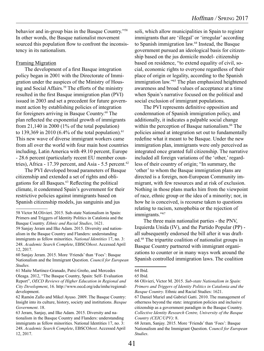behavior and in-group bias in the Basque Country."58 In other words, the Basque nationalist movement sourced this population flow to confront the inconsistency in its nationalism.

#### Framing Migration

The development of a first Basque integration policy began in 2001 with the Directorate of Immigration under the auspices of the Ministry of Housing and Social Affairs.<sup>59</sup> The efforts of the ministry resulted in the first Basque immigration plan (PVI) issued in 2003 and set a precedent for future government action by establishing policies of integration for foreigners arriving in Basque Country.<sup>60</sup> The plan reflected the exponential growth of immigrants from  $21,140$  in 2000 (1% of the total population) to 139,369 in 2010 (6.4% of the total population).<sup>61</sup> This new wave of diverse immigrant workers came from all over the world with four main host countries including, Latin America with 49.10 percent, Europe - 28.6 percent (particularly recent EU member countries), Africa - 17.39 percent, and Asia - 5.5 percent.<sup>62</sup>

The PVI developed broad parameters of Basque citizenship and extended a set of rights and obligations for all Basques.63 Reflecting the political climate, it condemned Spain's government for their restrictive policies against immigrants based on Spanish citizenship models, jus sanguinis and jus

soli, which allow municipalities in Spain to register immigrants that are 'illegal' or 'irregular' according to Spanish immigration law.<sup>64</sup> Instead, the Basque government pursued an ideological basis for citizenship based on the jus domicile model- citizenship based on residence, "to extend equality of civil, social, economic rights to everyone regardless of their place of origin or legality, according to the Spanish immigration law."65 The plan emphasized heightened awareness and broad values of acceptance at a time when Spain's narrative focused on the political and social exclusion of immigrant populations.

The PVI represents definitive opposition and condemnation of Spanish immigration policy, and additionally, it indicates a palpable social change within the perception of Basque nationalism.<sup>66</sup> The policies aimed at integration set out to fundamentally redefine what it meant to be Basque. Under the new immigration plan, immigrants were only perceived as integrated once granted full citizenship. The narrative included all foreign variations of the 'other,' regardless of their country of origin; "In summary, the 'other' to whom the Basque immigration plans are directed is a foreign, non-European Community immigrant, with few resources and at risk of exclusion. Nothing in those plans marks him from the viewpoint of race, ethnic group or the idea of a minority; nor, in how he is conceived, is recourse taken to questions relating to racism, xenophobia or the rejection of immigrants."<sup>67</sup>

The three main nationalist parties - the PNV, Izquierda Unida (IV), and the Partido Popular (PP) all subsequently endorsed the bill after it was drafted.68 The tripartite coalition of nationalist groups in Basque Country partnered with immigrant organizations to counter or in many ways work around the Spanish controlled immigration laws. The coalition

<sup>58</sup> Victor M.Olivieri. 2015. Sub-state Nationalism in Spain: Primers and Triggers of Identity Politics in Catalonia and the Basque Country. *Ethnic and Racial Studies*, 1621.

<sup>59</sup> Sanjay Jeram and Ilke Adam. 2015. Diversity and nationalism in the Basque Country and Flanders: understanding immigrants as fellow minorities. *National Identities* 17, no. 3: 248. *Academic Search Complete*, EBSCO*host*. Accessed April 12, 2017.

<sup>60</sup> Sanjay Jeram. 2015. More 'Friends' than 'Foes': Basque Nationalism and the Immigrant Question. *Council for European Studies.*

<sup>61</sup> Maite Martínez-Granado, Patxi Greño, and Mercedes Oleaga. 2012, "The Basque Country, Spain: Self- Evaluation Report", *OECD Reviews of Higher Education in Regional and City Development*, 16. http://www.oecd.org/edu/imhe/regionaldevelopment.

<sup>62</sup> Ramón Zallo and Mikel Ayuso. 2009. The Basque Country: Insight into its culture, history, society and institutions. *Basque Government*. 18.

<sup>63</sup> Jeram, Sanjay, and Ilke Adam. 2015. Diversity and nationalism in the Basque Country and Flanders: understanding immigrants as fellow minorities. National Identities 17, no. 3: 248. *Academic Search Complete*, EBSCO*host*. Accessed April 12, 2017.

<sup>64</sup> Ibid.

<sup>65</sup> Ibid.

<sup>66</sup> Olivieri, Victor M. 2015. *Sub-state Nationalism in Spain: Primers and Triggers of Identity Politics in Catalonia and the Basque Country*. Ethnic and Racial Studies: 1621.

<sup>67</sup> Daniel Muriel and Gabriel Gatti. 2010. The management of otherness beyond the state: integration policies and inclusive citizenship as a government paradigm in the Basque Country. *Collective Identity Research Centre, University of the Basque Country (CEIC/UPV)*: 8.

<sup>68</sup> Jeram, Sanjay. 2015. More 'Friends' than 'Foes': Basque Nationalism and the Immigrant Question. C*ouncil for European Studies*.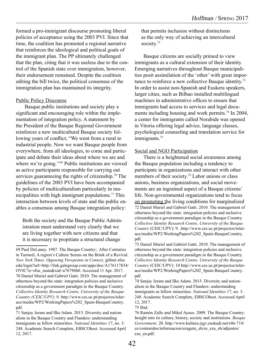formed a pro-immigrant discourse promoting liberal policies of acceptance using the 2003 PVI. Since that time, the coalition has promoted a regional narrative that reinforces the ideological and political goals of the immigrant plan. The PP ultimately challenged that the plan, citing that it was useless due to the control of the Spanish state over immigration, however, their endorsement remained. Despite the coalition editing the bill twice, the political consensus of the immigration plan has maintained its integrity.

#### Public Policy Discourse

Basque public institutions and society play a significant and encouraging role within the implementation of integration policy. A statement by the President of the Basque Regional Government reinforces a new multicultural Basque society following years of conflict; "We went from a rural to industrial people. Now we want Basque people from everywhere, from all ideologies, to come and participate and debate their ideas about where we are and where we're going."<sup>69</sup> Public institutions are viewed as active participants responsible for carrying out services guaranteeing the rights of citizenship.<sup>70</sup> The guidelines of the 2003 PVI have been accompanied by policies of multiculturalism particularly in municipalities with high immigrant populations.<sup>71</sup> This interaction between levels of state and the public enables a consensus among Basque integration policy:

Both the society and the Basque Public Administration must understand very clearly that we are living together with new citizens and that it is necessary to propitiate a structural change

that permits inclusion without distinctions as the only way of achieving an intercultural society.<sup>72</sup>

Basque citizens are socially primed to view immigrants as a cultural extension of their identity. Emerging narratives throughout Basque municipalities posit assimilation of the 'other' with great importance to reinforce a new collective Basque identity.73 In order to assist non-Spanish and Euskera speakers, larger cities, such as Bilbao installed multilingual machines in administrative offices to ensure that immigrants had access to services and legal documents including housing and work permits.<sup>74</sup> In 2004, a center for immigrants called Norabide was opened in Vitoria offering legal advice, language classes, psychological counseling and translation service for immigrants.<sup>75</sup>

#### Social and NGO Participation

There is a heightened social awareness among the Basque population including a tendency to participate in organizations and interact with other members of their society.<sup>76</sup> Labor unions or class unions, business organizations, and social movements are an ingrained aspect of a Basque citizens' life. Non-governmental organizations tend to focus on promoting the living conditions for marginalized 72 Daniel Muriel and Gabriel Gatti. 2010. The management of otherness beyond the state: integration policies and inclusive citizenship as a government paradigm in the Basque Country. *Collective Identity Research Centre, University of the Basque Country* (CEIC/UPV): 9. .http://www.ces.uc.pt/projectos/tolerace/media/WP2/WorkingPapers%202\_Spain-BasqueCountry. pdf.

73 Daniel Muriel and Gabriel Gatti. 2010. The management of otherness beyond the state: integration policies and inclusive citizenship as a government paradigm in the Basque Country. *Collective Identity Research Centre, University of the Basque Country* (CEIC/UPV): 10 http://www.ces.uc.pt/projectos/tolerace/media/WP2/WorkingPapers%202\_Spain-BasqueCountry. pdf.

74 Sanjay Jeram and Ilke Adam. 2015. Diversity and nationalism in the Basque Country and Flanders: understanding immigrants as fellow minorities. *National Identities* 17, no. 3: 248. Academic Search Complete, EBSCOhost. Accessed April 12, 2017.

75 Ibid.

<sup>69</sup> Paul DeLaney. 1987. The Basque Country; After Centuries in Turmoil, A region's Culture Seems on the Brink of a Revival. *New York Times, Opposing Viewpoints in Context,* jpllnet.sfsu. edu/login?url=http://link.galegroup.com/apps/doc/A176117834/ OVIC?u=sfsu\_main&xid=a76796b0. Accessed 11 Apr. 2017. 70 Daniel Muriel and Gabriel Gatti. 2010. The management of otherness beyond the state: integration policies and inclusive citizenship as a government paradigm in the Basque Country. *Collective Identity Research Centre, University of the Basque Country (CEIC/UPV)*: 9. http://www.ces.uc.pt/projectos/tolerace/media/WP2/WorkingPapers%202\_Spain-BasqueCountry. pdf.

<sup>71</sup> Sanjay Jeram and Ilke Adam. 2015. Diversity and nationalism in the Basque Country and Flanders: understanding immigrants as fellow minorities. *National Identities* 17, no. 3: 248. Academic Search Complete, EBSCOhost. Accessed April 12, 2017.

<sup>76</sup> Ramón Zallo and Mikel Ayuso. 2009. The Basque Country: Insight into its culture, history, society and institutions. *Basque Government*. 20. http://www.kultura.ejgv.euskadi.net/r46-714/ es/contenidos/informacion/ezagutu\_eh/es\_eza\_eh/adjuntos/ eza\_en.pdf.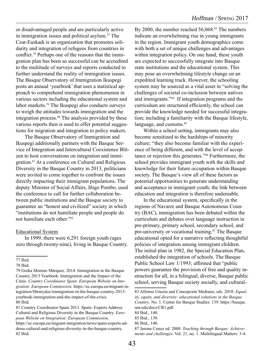or disadvantaged people and are particularly active in immigration issues and political asylum.<sup>77</sup> The Cear-Euskadi is an organization that promotes solidarity and integration of refugees from countries in conflict.78 Perhaps one of the reasons that the immigration plan has been so successful can be accredited to the multitude of surveys and reports conducted to further understand the reality of immigration issues. The Basque Observatory of Immigration Ikuspegi posts an annual 'yearbook' that uses a statistical approach to comprehend immigration phenomenon in various sectors including the educational system and labor markets.79 The Ikuspegi also conducts surveys to weigh the attitudes towards immigration and the integration process.<sup>80</sup> The analysis provided by these various reports then is used to offer potential suggestions for migration and integration to policy makers.

The Basque Observatory of Immigration and Ikuspegi additionally partners with the Basque Service of Integration and Intercultural Coexistence Blitzen to host conversations on integration and immigration.81 At a conference on Cultural and Religious Diversity in the Basque Country in 2013, politicians were invited to come together to confront the issues directly impacting their immigrant populations. The deputy Minister of Social Affairs, Iñigo Pombo, used the conference to call for further collaboration between public institutions and the Basque society to guarantee an "honest and civilized" society in which "institutions do not humiliate people and people do not humiliate each other."82

#### Educational System

In 1999, there were 6,291 foreign youth (ages zero through twenty-nine), living in Basque Country. By 2000, the number reached 56,068.<sup>83</sup> The numbers indicate an overwhelming rise in young immigrants in the region. Immigrant youth demographics come with both a set of unique challenges and advantages within integration policy. On one hand, these youth are expected to successfully integrate into Basque state institutions and the educational system. This may pose an overwhelming lifestyle change on an expedited learning track. However, the schooling system may be sourced as a vital asset in "solving the challenges of societal co-inclusion between natives and immigrants."84 If integration programs and the curriculum are structured efficiently, the school can provide the knowledge needed for successful integration; including a familiarity with the Basque lifestyle, language, and customs.<sup>85</sup>

Within a school setting, immigrants may also become sensitized to the hardships of minority culture; "they also become familiar with the experience of being different, and with the level of acceptance or rejection this generates."86 Furthermore, the school provides immigrant youth with the skills and knowledge for their future occupation within Basque society. The Basque's view all of these factors as potential opportunities to generate understanding and acceptance in immigrant youth; the link between education and integration is therefore undeniable.

In the educational system, specifically in the regions of Navarre and Basque Autonomous Country (BAC), immigration has been debated within the curriculum and debates over language instruction in pre-primary, primary school, secondary school, and pre-university or vocational training.<sup>87</sup> The Basque educational opted for a narrative reflecting thoughtful policies of integration among immigrant children. The initial plan in 1982, the Special Education Plan, established the integration of schools. The Basque Public School Law 1/1993; affirmed that "public powers guarantee the provision of free and quality instruction for all, in a bilingual, diverse, Basque public school, serving Basque society socially, and cultural-

<sup>77</sup> Ibid.

<sup>78</sup> Ibid.

<sup>79</sup> Gorka Moreno Márquez. 2014. Immigration in the Basque Country 2013 Yearbook: Immigration and the Impact of the Crisis. *Country Coordinator Spain. European Website on Integration: European Commission*. https://ec.europa.eu/migrant-integration/librarydoc/immigration-in-the-basque-country-2013 yearbook-immigration-and-the-impact-of-the-crisis. 80 Ibid.

<sup>81</sup> Country Coordinator Spain 2013. Spain: Experts Address Cultural and Religious Diversity in the Basque Country. *European Website on Integration: European Commission*. https://ec.europa.eu/migrant-integration/news/spain-experts-address-cultural-and-religious-diversity-in-the-basque-country. 82 Ibid.

<sup>83</sup> Alfonso Unceta and Concepción Medrano, eds. 2010. *Equality, equity, and diversity: educational solutions in the Basque Country*. No. 1. Center for Basque Studies: 139. https://basque. unr.edu/docs/CR1.pdf.

<sup>84</sup> Ibid., 140.

<sup>85</sup> Ibid., 139.

<sup>86</sup> Ibid., 140.

<sup>87</sup> Jasone Cenoz ed. 2008. *Teaching through Basque: Achievements and challenges*. Vol. 21, no. 1. Multilingual Matters: 3-4.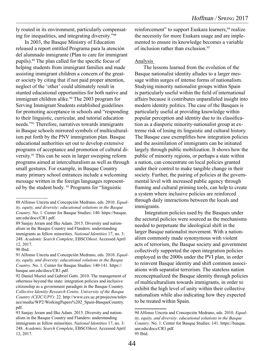ly routed in its environment, particularly compensating for inequalities, and integrating diversity."88

In 2003, the Basque Ministry of Education released a report entitled Programa para la atención del alumnado inmigrante (Plan to care for immigrant pupils).89 The plan called for the specific focus of helping students from immigrant families and made assisting immigrant children a concern of the greater society by citing that if not paid proper attention, neglect of the 'other' could ultimately result in stunted educational opportunities for both native and immigrant children alike.<sup>90</sup> The 2003 program for Serving Immigrant Students established guidelines for promoting acceptance in schools and "responding to their linguistic, curricular, and tutorial education needs."91 Therefore, narratives towards immigrants in Basque schools mirrored symbols of multiculturalism put forth by the PNV immigration plan. Basque educational authorities set out to develop extensive programs of acceptance and promotion of cultural diversity.92 This can be seen in larger sweeping reform programs aimed at interculturalism as well as through small gestures. For example, in Basque Country many primary school entrances include a welcoming message written in the foreign languages represented by the student body. 93 Programs for "linguistic

reinforcement" to support Euskara learners, <sup>94</sup> realize the necessity for more Euskara usage and are implemented to ensure its knowledge becomes a variable of inclusion rather than exclusion.95

#### Analysis

The lessons learned from the evolution of the Basque nationalist identity alludes to a larger message within surges of intense forms of nationalism. Studying minority nationalist groups within Spain is particularly useful within the field of international affairs because it contributes unparalleled insight into modern identity politics. The case of the Basques is particularly useful at providing knowledge within popular perception and identity due to its classification as a diasporic minority-nationalist group at extreme risk of losing its linguistic and cultural history. The Basque case exemplifies how integration policies and the assimilation of immigrants can be initiated largely through public mobilization. It shows how the public of minority regions, or perhaps a state within a nation, can concentrate on local policies granted under their control to make tangible change in their society. Further, the pairing of policies at the governmental level with increased public agency through framing and cultural priming tools, can help to create a system where inclusive policies are reinforced through daily interactions between the locals and immigrants.

 Integration policies used by the Basques under the sectoral policies were sourced as the mechanisms needed to perpetuate the ideological shift in the larger Basque nationalist movement. With a nationalism commonly made synonymous with violent acts of terrorism, the Basque society and government collectively supported the open integration policies employed in the 2000s under the PVI plan, in order to reinvent Basque identity and shift common associations with separatist terrorism. The stateless nation reconceptualized the Basque identity through policies of multiculturalism towards immigrants, in order to exhibit the high level of unity within their collective nationalism while also indicating how they expected to be treated within Spain.

<sup>88</sup> Alfonso Unceta and Concepción Medrano, eds. 2010. *Equality, equity, and diversity: educational solutions in the Basque Country*. No. 1. Center for Basque Studies: 140. https://basque. unr.edu/docs/CR1.pdf.

<sup>89</sup> Sanjay Jeram and Ilke Adam. 2015. Diversity and nationalism in the Basque Country and Flanders: understanding immigrants as fellow minorities. *National Identities* 17, no. 3: 248. *Academic Search Complete*, EBSCO*host*. Accessed April 12, 2017.

<sup>90</sup> Ibid.

<sup>91</sup> Alfonso Unceta and Concepción Medrano, eds. 2010. *Equality, equity, and diversity: educational solutions in the Basque Country*. No. 1. Center for Basque Studies: 140-141. https:// basque.unr.edu/docs/CR1.pdf.

<sup>92</sup> Daniel Muriel and Gabriel Gatti. 2010. The management of otherness beyond the state: integration policies and inclusive citizenship as a government paradigm in the Basque Country. *Collective Identity Research Centre, University of the Basque Country (CEIC/UPV)*: 22. http://www.ces.uc.pt/projectos/tolerace/media/WP2/WorkingPapers%202\_Spain-BasqueCountry. pdf.

<sup>93</sup> Sanjay Jeram and Ilke Adam. 2015. Diversity and nationalism in the Basque Country and Flanders: understanding immigrants as fellow minorities. *National Identities* 17, no. 3: 248. *Academic Search Complete*, EBSCO*host*. Accessed April 12, 2017.

<sup>94</sup> Alfonso Unceta and Concepción Medrano, eds. 2010. *Equality, equity, and diversity: educational solutions in the Basque Country*. No. 1. Center for Basque Studies: 141. https://basque. unr.edu/docs/CR1.pdf. 95 Ibid.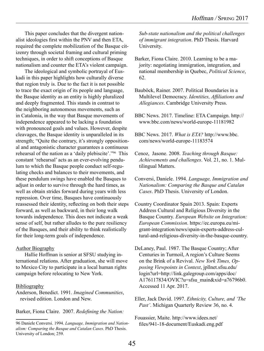This paper concludes that the divergent nationalist ideologies first within the PNV and then ETA, required the complete mobilization of the Basque citizenry through societal framing and cultural priming techniques, in order to shift conceptions of Basque nationalism and counter the ETA's violent campaign.

The ideological and symbolic portrayal of Euskadi in this paper highlights how culturally diverse that region truly is. Due to the fact it is not possible to trace the exact origin of its people and language, the Basque identity as an entity is highly pluralized and deeply fragmented. This stands in contrast to the neighboring autonomous movements, such as in Catalonia, in the way that Basque movements of independence appeared to be lacking a foundation with pronounced goals and values. However, despite cleavages, the Basque identity is unparalleled in its strength; "Quite the contrary, it's strongly oppositional and antagonistic character guarantees a continuous rehearsal of the nation as a 'daily plebiscite'."96 This constant 'rehearsal' acts as an ever-evolving pendulum to which the Basque people conduct self-regulating checks and balances to their movements, and these pendulum swings have enabled the Basques to adjust in order to survive through the hard times, as well as obtain strides forward during years with less repression. Over time, Basques have continuously reassessed their identity, reflecting on both their steps forward, as well as backward, in their long walk towards independence. This does not indicate a weak sense of self, but rather alludes to the pure resiliency of the Basques, and their ability to think realistically for their long-term goals of independence.

#### Author Biography

Hallie Hoffman is senior at SFSU studying international relations. After graduation, she will move to Mexico City to participate in a local human rights campaign before relocating to New York.

#### Bibliography

Anderson, Benedict. 1991. *Imagined Communities*, revised edition. London and New.

Barker, Fiona Claire. 2007. *Redefining the Nation:* 

*Sub-state nationalism and the political challenges of immigrant integration*. PhD Thesis. Harvard University.

- Barker, Fiona Claire. 2010. Learning to be a majority: negotiating immigration, integration, and national membership in Quebec, *Political Science*, 62.
- Bauböck, Rainer. 2007. Political Boundaries in a Multilevel Democracy. *Identities, Affiliations and Allegiances*. Cambridge University Press.
- BBC News. 2017. Timeline: ETA Campaign. http:// www.bbc.com/news/world-europe-11181982
- BBC News. 2017. *What is ETA?* http://www.bbc. com/news/world-europe-11183574
- Cenoz, Jasone. 2008. *Teaching through Basque: Achievements and challenges*. Vol. 21, no. 1. Multilingual Matters.
- Conversi, Daniele. 1994. *Language, Immigration and Nationalism: Comparing the Basque and Catalan Cases*. PhD Thesis. University of London.
- Country Coordinator Spain 2013. Spain: Experts Address Cultural and Religious Diversity in the Basque Country. *European Website on Integration: European Commission*. https://ec.europa.eu/migrant-integration/news/spain-experts-address-cultural-and-religious-diversity-in-the-basque-country.
- DeLaney, Paul. 1987. The Basque Country; After Centuries in Turmoil, A region's Culture Seems on the Brink of a Revival. *New York Times, Opposing Viewpoints in Context*, jpllnet.sfsu.edu/ login?url=http://link.galegroup.com/apps/doc/ A176117834/OVIC?u=sfsu\_main&xid=a76796b0. Accessed 11 Apr. 2017.
- Eller, Jack David. 1997. *Ethnicity, Culture, and 'The Past'*. Michigan Quarterly Review 36, no. 4.
- Fouassier, Maite. http://www.idees.net/ files/941-18-document/Euskadi.eng.pdf

<sup>96</sup> Daniele Conversi. 1994. *Language, Immigration and Nationalism: Comparing the Basque and Catalan Cases*. PhD Thesis. University of London; 259.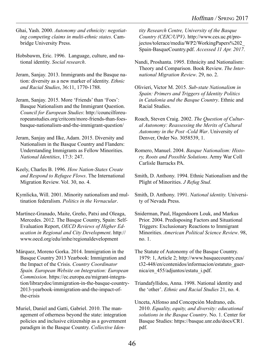- Ghai, Yash. 2000. *Autonomy and ethnicity: negotiating competing claims in multi-ethnic states*. Cambridge University Press.
- Hobsbawm, Eric. 1996. Language, culture, and national identity. *Social research*.
- Jeram, Sanjay. 2013. Immigrants and the Basque nation: diversity as a new marker of identity. *Ethnic and Racial Studies*, 36:11, 1770-1788.
- Jeram, Sanjay. 2015. More 'Friends' than 'Foes': Basque Nationalism and the Immigrant Question. *Council for European Studies*: http://councilforeuropeanstudies.org/critcom/more-friends-than-foesbasque-nationalism-and-the-immigrant-question/
- Jeram, Sanjay and Ilke, Adam. 2015. Diversity and Nationalism in the Basque Country and Flanders: Understanding Immigrants as Fellow Minorities. *National Identities*, 17:3: 247.
- Keely, Charles B. 1996. *How Nation-States Create and Respond to Refugee Flows*. The International Migration Review. Vol. 30, no. 4.
- Kymlicka, Will. 2001. Minority nationalism and multination federalism. *Politics in the Vernacular*.
- Martínez-Granado, Maite, Greño, Patxi and Oleaga, Mercedes. 2012. The Basque Country, Spain: Self-Evaluation Report, *OECD Reviews of Higher Education in Regional and City Development*. http:// www.oecd.org/edu/imhe/regionaldevelopment
- Márquez, Moreno Gorka. 2014. Immigration in the Basque Country 2013 Yearbook: Immigration and the Impact of the Crisis. *Country Coordinator Spain. European Website on Integration: European Commission*. https://ec.europa.eu/migrant-integration/librarydoc/immigration-in-the-basque-country-2013-yearbook-immigration-and-the-impact-ofthe-crisis
- Muriel, Daniel and Gatti, Gabriel. 2010. The management of otherness beyond the state: integration policies and inclusive citizenship as a government paradigm in the Basque Country. *Collective Iden-*

*tity Research Centre, University of the Basque Country (CEIC/UPV)*. http://www.ces.uc.pt/projectos/tolerace/media/WP2/WorkingPapers%202\_ Spain-BasqueCountry.pdf. *Accessed 11 Apr. 2017*.

- Nandi, Proshanta. 1995. Ethnicity and Nationalism: Theory and Comparison. Book Review. *The International Migration Review*. 29, no. 2.
- Olivieri, Victor M. 2015. *Sub-state Nationalism in Spain: Primers and Triggers of Identity Politics in Catalonia and the Basque Country*. Ethnic and Racial Studies.
- Roach, Steven Craig. 2002. *The Question of Cultural Autonomy: Reassessing the Merits of Cultural Autonomy in the Post -Cold War*. University of Denver, Order No. 3058539, 1.
- Romero, Manuel. 2004. *Basque Nationalism: History, Roots and Possible Solutions*. Army War Coll Carlisle Barracks PA.
- Smith, D. Anthony. 1994. Ethnic Nationalism and the Plight of Minorities. *J Refug Stud*.
- Smith, D. Anthony. 1991. *National identity.* University of Nevada Press.
- Sniderman, Paul, Hagendoorn Louk, and Markus Prior. 2004. Predisposing Factors and Situational Triggers: Exclusionary Reactions to Immigrant Minorities. *American Political Science Review*. 98, no. 1.
- The Statute of Autonomy of the Basque Country. 1979: 1, Article 2; http://www.basquecountry.eus/ t32-448/en/contenidos/informacion/estatuto\_guernica/en\_455/adjuntos/estatu\_i.pdf.
- Triandafyllidou, Anna. 1998. National identity and the 'other'. *Ethnic and Racial Studies* 21, no. 4.
- Unceta, Alfonso and Concepción Medrano, eds. 2010. *Equality, equity, and diversity: educational solutions in the Basque Country*. No. 1. Center for Basque Studies: https://basque.unr.edu/docs/CR1. pdf.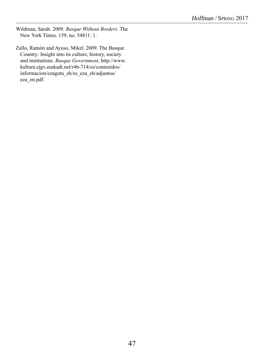Wildman, Sarah. 2009. *Basque Without Borders*. The New York Times. 159, no. 54811: 1.

Zallo, Ramón and Ayuso, Mikel. 2009. The Basque Country: Insight into its culture, history, society and institutions. *Basque Government*, http://www. kultura.ejgv.euskadi.net/r46-714/es/contenidos/ informacion/ezagutu\_eh/es\_eza\_eh/adjuntos/ eza\_en.pdf.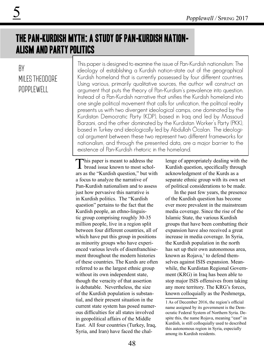## The Pan-Kurdish Myth: A Study of Pan-Kurdish Nationalism and Party Politics

### By Miles Theodore Popplewell

This paper is designed to examine the issue of Pan-Kurdish nationalism: The ideology of establishing a Kurdish nation-state out of the geographical Kurdish homeland that is currently possessed by four different countries. Using various, primarily qualitative sources, the author will construct an argument that puts the theory of Pan-Kurdism's prevalence into question. Instead of a Pan-Kurdish narrative that unifies the Kurdish homeland into one single political movement that calls for unification, the political reality presents us with two divergent ideological camps, one dominated by the Kurdistan Democratic Party (KDP), based in Iraq and led by Massoud Barzani, and the other dominated by the Kurdistan Worker's Party (PKK), based in Turkey and ideologically led by Abdullah Öcalan. The ideological argument between these two represent two different frameworks for nationalism, and through the presented data, are a major barrier to the existence of Pan-Kurdish rhetoric in the homeland.

This paper is meant to address the<br>broad issue known to most scholars as the "Kurdish question," but with a focus to analyze the narrative of Pan-Kurdish nationalism and to assess just how pervasive this narrative is in Kurdish politics. The "Kurdish question" pertains to the fact that the Kurdish people, an ethno-linguistic group comprising roughly 30-35 million people, live in a region split between four different countries, all of which have put this group in positions as minority groups who have experienced various levels of disenfranchisement throughout the modern histories of these countries. The Kurds are often referred to as the largest ethnic group without its own independent state, though the veracity of that assertion is debatable. Nevertheless, the size of the Kurdish population is substantial, and their present situation in the current state system has posed numerous difficulties for all states involved in geopolitical affairs of the Middle East. All four countries (Turkey, Iraq, Syria, and Iran) have faced the challenge of appropriately dealing with the Kurdish question, specifically through acknowledgment of the Kurds as a separate ethnic group with its own set of political considerations to be made.

In the past few years, the presence of the Kurdish question has become ever more prevalent in the mainstream media coverage. Since the rise of the Islamic State, the various Kurdish groups that have been combatting their expansion have also received a great increase in media coverage. In Syria, the Kurdish population in the north has set up their own autonomous area, known as  $Rojava$ ,<sup>1</sup> to defend themselves against ISIS expansion. Meanwhile, the Kurdistan Regional Government (KRG) in Iraq has been able to stop major ISIS offensives from taking any more territory. The KRG's forces, known colloquially as the Peshmerga,

<sup>1</sup> As of December 2016, the region's official name assigned by its government is the Democratic Federal System of Northern Syria. Despite this, the name Rojava, meaning "east" in Kurdish, is still colloquially used to described this autonomous region in Syria, especially among its Kurdish residents.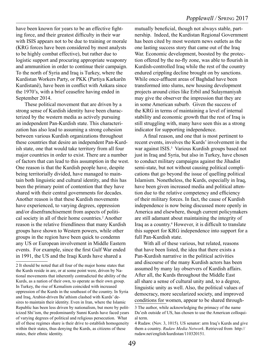have been known for years to be an effective fighting force, and their greatest difficulty in their war with ISIS appears not to be due to training or morale (KRG forces have been considered by most analysts to be highly combat effective), but rather due to logistic support and procuring appropriate weaponry and ammunition in order to continue their campaign. To the north of Syria and Iraq is Turkey, where the Kurdistan Workers Party, or PKK (Partiya Karkarên Kurdistanê), have been in conflict with Ankara since the 1970's, with a brief ceasefire having ended in September 2014.

These political movement that are driven by a strong sense of Kurdish identity have been characterized by the western media as actively pursuing an independent Pan-Kurdish state. This characterization has also lead to assuming a strong cohesion between various Kurdish organizations throughout these countries that desire an independent Pan-Kurdish state, one that would take territory from all four major countries in order to exist. There are a number of factors that can lead to this assumption in the west. One reason is that the Kurdish people have, despite being territorially divided, have managed to maintain both linguistic and cultural identity, and this has been the primary point of contention that they have shared with their central governments for decades. Another reason is that these Kurdish movements have experienced, to varying degrees, oppression and/or disenfranchisement from aspects of political society in all of their home countries.<sup>2</sup> Another reason is the relative friendliness that many Kurdish groups have shown to Western powers, while other groups in the region have been quick to condemn any US or European involvement in Middle Eastern events. For example, since the first Gulf War ended in 1991, the US and the Iraqi Kurds have shared a

mutually beneficial, though not always stable, partnership. Indeed, the Kurdistan Regional Government has been cited by most western news outlets as the one lasting success story that came out of the Iraq War. Economic development, boosted by the protection offered by the no-fly zone, was able to flourish in Kurdish-controlled Iraq while the rest of the country endured crippling decline brought on by sanctions. While once-affluent areas of Baghdad have been transformed into slums, new housing development projects around cities like Erbil and Sulaymaniyah may give the observer the impression that they are in some American suburb. Given the success of the KRG in terms of maintaining a level of internal stability and economic growth that the rest of Iraq is still struggling with, many have seen this as a strong indicator for supporting independence.

A final reason, and one that is most pertinent to recent events, involves the Kurds' involvement in the war against ISIS.<sup>3</sup> Various Kurdish groups based not just in Iraq and Syria, but also in Turkey, have chosen to conduct military campaigns against the Jihadist semi-state, but not without causing political complications that go beyond the issue of quelling political Islamism. Nonetheless, the Kurds, especially in Iraq, have been given increased media and political attention due to the relative competency and efficiency of their military forces. In fact, the cause of Kurdish independence is now being discussed more openly in America and elsewhere, though current policymakers are still adamant about maintaining the integrity of Iraq as a country.<sup>4</sup> However, it is difficult to translate this support for KRG independence into support for a full Pan-Kurdish state.

With all of these various, but related, reasons that have been listed, the idea that there exists a Pan-Kurdish narrative in the political activities and discourse of the many Kurdish actors has been assumed by many lay observers of Kurdish affairs. After all, the Kurds throughout the Middle East all share a sense of cultural unity and, to a degree, linguistic unity as well. Also, the political values of democracy, more secularized society, and improved conditions for women, appear to be shared through-

<sup>2</sup> It should be noted that all four of the major home states that the Kurds reside in are, or at some point were, driven by National movements that inherently contradicted the ability of the Kurds, as a nation of their own, to operate as their own group. In Turkey, the rise of Kemalism coincided with increased oppression of the Kurds in the southeast of the country. In Syria and Iraq, Arabist-driven Ba'athism clashed with Kurds' desires to maintain their identity. Even in Iran, where the Islamic Republic has been less driven by nationalism, but more by politicized Shi'ism, the predominantly Sunni Kurds have faced years of varying degrees of political and religious persecution. What all of these regimes share is their drive to establish homogeneity within their states, thus denying the Kurds, as citizens of these states, their ethnic identity.

<sup>3</sup> The author, while acknowledging the primacy of the name Da'esh outside of US, has chosen to use the American colloquial term.

<sup>4</sup> Rudaw. (Nov. 3, 1015). US senator: arm Iraq's Kurds and give them a country. *Rudaw Media Network*. Retrieved from http:// rudaw.net/english/kurdistan/110320151.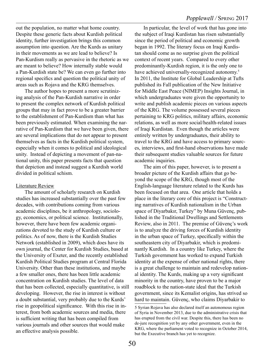out the population, no matter what home country. Despite these generic facts about Kurdish political identity, further investigation brings this common assumption into question. Are the Kurds as unitary in their movements as we are lead to believe? Is Pan-Kurdism really as pervasive in the rhetoric as we are meant to believe? How internally stable would a Pan-Kurdish state be? We can even go further into regional specifics and question the political unity of areas such as Rojava and the KRG themselves.

The author hopes to present a more scrutinizing analysis of the Pan-Kurdish narrative in order to present the complex network of Kurdish political groups that may in fact prove to be a greater barrier to the establishment of Pan-Kurdism than what has been previously estimated. When examining the narrative of Pan-Kurdism that we have been given, there are several implications that do not appear to present themselves as facts in the Kurdish political system, especially when it comes to political and ideological unity. Instead of depicting a movement of pan-national unity, this paper presents facts that question that depiction and instead suggest a Kurdish world divided in political schism.

#### Literature Review

The amount of scholarly research on Kurdish studies has increased substantially over the past few decades, with contributions coming from various academic disciplines, be it anthropology, sociology, economics, or political science. Institutionally, however, there have been few academic organizations devoted to the study of Kurdish culture or politics. As of now, there is the Kurdish Studies Network (established in 2009), which does have its own journal, the Center for Kurdish Studies, based at the University of Exeter, and the recently established Kurdish Political Studies program at Central Florida University. Other than these institutions, and maybe a few smaller ones, there has been little academic concentration on Kurdish studies. The level of data that has been collected, especially quantitative, is still developing. However, the rise in interest is without a doubt substantial, very probably due to the Kurds' rise in geopolitical significance. With this rise in interest, from both academic sources and media, there is sufficient writing that has been compiled from various journals and other sources that would make an effective analysis possible.

In particular, the level of work that has gone into the subject of Iraqi Kurdistan has risen substantially since the period of political and economic growth began in 1992. The literary focus on Iraqi Kurdistan should come as no surprise given the political context of recent years. Compared to every other predominantly-Kurdish region, it is the only one to have achieved universally-recognized autonomy.<sup>5</sup> In 2011, the Institute for Global Leadership at Tufts published its Fall publication of the New Initiative for Middle East Peace (NIMEP) Insights Journal, in which undergraduates were given the opportunity to write and publish academic pieces on various aspects of the KRG. The volume possessed several pieces pertaining to KRG politics, military affairs, economic relations, as well as more social/health-related issues of Iraqi Kurdistan. Even though the articles were entirely written by undergraduates, their ability to travel to the KRG and have access to primary sources, interviews, and first-hand observations have made their subsequent studies valuable sources for future academic inquiries.

The aim of this paper, however, is to present a broader picture of the Kurdish affairs that go beyond the scope of the KRG, though most of the English-language literature related to the Kurds has been focused on that area. One article that holds a place in the literary core of this project is "Constructing narratives of Kurdish nationalism in the Urban space of Diyarbakır, Turkey" by Muna Güvenç, published in the Traditional Dwellings and Settlements Review, also in 2011. The premise of Güvenç's work is to analyze the driving forces of Kurdish identity in the urban space of Turkey, specifically within the southeastern city of Diyarbakir, which is predominantly Kurdish. In a country like Turkey, where the Turkish government has worked to expand Turkish identity at the expense of other national rights, there is a great challenge to maintain and redevelop national identity. The Kurds, making up a very significant minority in the country, have proven to be a major roadblock to the nation-state ideal that the Turkish government, since its Kemalist origins, has strived so hard to maintain. Güvenç, who claims Diyarbakir to

<sup>5</sup> Syrian Rojava has also declared itself an autonomous region of Syria in November 2013, due to the administrative crisis that has erupted from the civil war. Despite this, there has been no de-jure recognition yet by any other government, even in the KRG, where the parliament voted to recognize in October 2014, but the Executive branch has yet to recognize.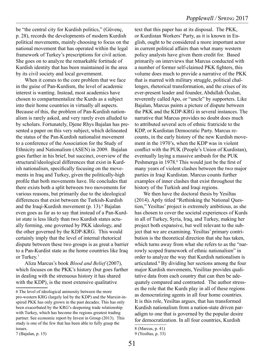be "the central city for Kurdish politics," (Güvenç, p. 28), records the developments of modern Kurdish political movements, mainly choosing to focus on the national movement that has operated within the legal framework of Turkey's prescriptions for civil action. She goes on to analyze the remarkable fortitude of Kurdish identity that has been maintained in the area by its civil society and local government.

When it comes to the core problem that we face in the guise of Pan-Kurdism, the level of academic interest is wanting. Instead, most academics have chosen to compartmentalize the Kurds as a subject into their home countries in virtually all aspects. Because of this, the problem of Pan-Kurdish nationalism is rarely asked, and very rarely even alluded to by scholars. Fortunately, Djene Rhys Bajalan has presented a paper on this very subject, which delineated the status of the Pan-Kurdish nationalist movement to a conference of the Association for the Study of Ethnicity and Nationalism (ASEN) in 2009. Bajalan goes further in his brief, but succinct, overview of the structural/ideological differences that exist in Kurdish nationalism, specifically focusing on the movements in Iraq and Turkey, given the politically-high profile that both movements have. He concludes that there exists both a split between two movements for various reasons, but primarily due to the ideological differences that exist between the Turkish-Kurdish and the Iraqi-Kurdish movement (p. 13).<sup>6</sup> Bajalan even goes as far as to say that instead of a Pan-Kurdist state is less likely than two Kurdish states actually forming, one governed by PKK ideology, and the other governed by the KDP-KRG. This would certainly imply that the level of internal rhetorical dispute between these two groups is as great a barrier to a Pan-Kurdist state as the home countries like Iraq or Turkey.7

Aliza Marcus's book *Blood and Belief* (2007), which focuses on the PKK's history (but goes further in dealing with the strenuous history it has shared with the KDP), is the most extensive qualitative

text that this paper has at its disposal. The PKK, or Kurdistan Workers' Party, as it is known in English, ought to be considered a more important actor in current political affairs than what many western policy analysts have given them credit for. Based primarily on interviews that Marcus conducted with a number of former self-claimed PKK fighters, this volume does much to provide a narrative of the PKK that is marred with military struggle, political challenges, rhetorical transformation, and the crises of its ever-present leader and founder, Abdullah Öcalan, reverently called Apo, or "uncle" by supporters. Like Bajalan, Marcus paints a picture of dispute between the PKK and the KDP-KRG in several instances. The narrative that Marcus provides no doubt does much to attributed several acts of ethnic fratricide to the KDP, or Kurdistan Democratic Party. Marcus recounts, in the early history of the new Kurdish movement in the 1970's, when the KDP was in violent conflict with the PUK (People's Union of Kurdistan), eventually laying a massive ambush for the PUK Peshmerga in 1978.<sup>8</sup> This would just be the first of many years of violent clashes between the two major parties in Iraqi Kurdistan. Marcus counts further examples of inner clashes that exist throughout the history of the Turkish and Iraqi regions.

We then have the doctoral thesis by Yesiltas (2014). Aptly titled "Rethinking the National Question," Yesiltas' project is extremely ambitious, as she has chosen to cover the societal experiences of Kurds in all of Turkey, Syria, Iraq, and Turkey, making her project both expansive, but well relevant to the subject that we are examining. Yesiltas' primary contribution is the theoretical direction that she has taken, which turns away from what she refers to as the "narrowly scoped framework of ethnic nationalism" in order to analyze the way that Kurdish nationalism is articulated.9 By dividing her sections among the four major Kurdish movements, Yesilitas provides qualitative data from each country that can then be adequately compared and contrasted. The author stresses the role that the Kurds play in all of these regions as democratizing agents in all four home countries. It is this role, Yesiltas argues, that has transformed Kurdish nationalism from a nation-state driven paradigm to one that is governed by the popular desire for democratization. In all four countries, Kurdish

<sup>6</sup> The level of ideological animosity between the more pro-western KRG (largely led by the KDP) and the Marxist-inspired PKK has only grown in the past decades. This has only been exacerbated by the KRG's deepening trade relationship with Turkey, which has become the regions greatest trading partner. See economic report by Invest in Group (2013). This study is one of the few that has been able to fully grasp the issues.

<sup>7 (</sup>Bajalan, p. 15)

<sup>8 (</sup>Marcus, p. 41)

<sup>9 (</sup>Yesiltas, p. 33)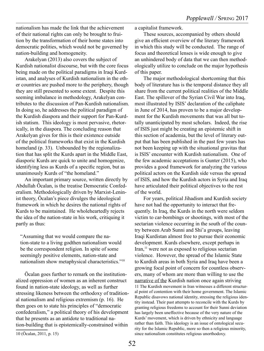nationalism has made the link that the achievement of their national rights can only be brought to fruition by the transformation of their home states into democratic polities, which would not be governed by nation-building and homogeneity.

Arakelyan (2013) also covers the subject of Kurdish nationalist discourse, but with the core focus being made on the political paradigms in Iraqi Kurdistan, and analyses of Kurdish nationalism in the other countries are pushed more to the periphery, though they are still presented to some extent. Despite this seeming imbalance in methodology, Arakelyan contributes to the discussion of Pan-Kurdish nationalism. In doing so, he addresses the political paradigm of the Kurdish diaspora and their support for Pan-Kurdish statism. This ideology is most pervasive, rhetorically, in the diaspora. The concluding reason that Arakelyan gives for this is their existence outside of the political frameworks that exist in the Kurdish homeland (p. 33). Unbounded by the regionalization that has split the Kurds apart in the Middle East, diasporic Kurds are quick to unite and homogenize, identifying less as Kurds of a specific region, but as unanimously Kurds of "the homeland."

An important primary source, written directly by Abdullah Öcalan, is the treatise Democratic Confederalism. Methodologically driven by Marxist-Leninist theory, Öcalan's piece divulges the ideological framework in which he desires the national rights of Kurds to be maintained. He wholeheartedly rejects the idea of the nation-state in his work, critiquing it partly as thus:

"Assuming that we would compare the nation-state to a living godthen nationalism would be the correspondent religion. In spite of some seemingly positive elements, nation-state and nationalism show metaphysical characteristics."10

Öcalan goes further to remark on the institutionalized oppression of women as an inherent construct found in nation-state ideology, as well as further stressing likeness between the orthodoxy of traditional nationalism and religious extremism (p. 16). He then goes on to state his principles of "democratic confederalism," a political theory of his development that he presents as an antidote to traditional nation-building that is epistemically-constrained within

a capitalist framework.

These sources, accompanied by others should give an efficient overview of the literary framework in which this study will be conducted. The range of focus and theoretical lenses is wide enough to give an unhindered body of data that we can then methodologically utilize to conclude on the major hypothesis of this paper.

The major methodological shortcoming that this body of literature has is the temporal distance they all share from the current political realities of the Middle East. The spillover of the Syrian Civil War into Iraq, most illustrated by ISIS' declaration of the caliphate in June of 2014, has proven to be a major development for the Kurdish movements that was all but totally unanticipated by most scholars. Indeed, the rise of ISIS just might be creating an epistemic shift in this section of academia, but the level of literary output that has been published in the past few years has not been keeping up with the situational gravitas that is ISIS' encounter with Kurdish nationalism. One of the few academic acceptations is Gunter (2015), who provides a good framework for analyzing the various political actors on the Kurdish side versus the spread of ISIS, and how the Kurdish actors in Syria and Iraq have articulated their political objectives to the rest of the world.

For years, political Jihadism and Kurdish society have not had the opportunity to interact that frequently. In Iraq, the Kurds in the north were seldom victim to car-bombings or shootings, with most of the sectarian violence occurring in the south of the country between Arab Sunni and Shi'a groups, leaving Iraqi Kurdistan almost free to pursue their economic development. Kurds elsewhere, except perhaps in  $\text{Iran}$ ,<sup>11</sup> were not as exposed to religious sectarian violence. However, the spread of the Islamic State to Kurdish areas in both Syria and Iraq have been a growing focal point of concern for countless observers, many of whom are more than willing to use the narrative of the Kurdish nation once again striving 11 The Kurdish movement in Iran witnesses a different structural point of contention with their home government. The Islamic Republic disavows national identity, stressing the religious identity instead. Their past attempts to reconcile with the Kurds by granting religious freedoms to account for their Sunni deviation has largely been uneffective because of the very nature of the Kurds' movement, which is driven by ethnicity and language rather than faith. This ideology is an issue of ontological security for the Islamic Republic, more so then a religious minority, since nationalism constitutes religious unorthodoxy.

<sup>10 (</sup>Öcalan, 2011, p. 15)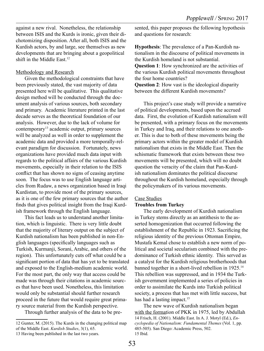against a new rival. Nonetheless, the relationship between ISIS and the Kurds is ironic, given their dichotomizing disposition. After all, both ISIS and the Kurdish actors, by and large, see themselves as new developments that are bringing about a geopolitical shift in the Middle East  $12$ 

#### Methodology and Research

Given the methodological constraints that have been previously stated, the vast majority of data presented here will be qualitative. This qualitative design method will be conducted through the document analysis of various sources, both secondary and primary. Academic literature printed in the last decade serves as the theoretical foundation of our analysis. However, due to the lack of volume for contemporary13 academic output, primary sources will be analyzed as well in order to supplement the academic data and provided a more temporally-relevant paradigm for discussion. Fortunately, news organizations have provided much data input with regards to the political affairs of the various Kurdish movements, especially in their relation to the ISIS conflict that has shown no signs of ceasing anytime soon. The focus was to use English language articles from Rudaw, a news organization based in Iraqi Kurdistan, to provide most of the primary sources, as it is one of the few primary sources that the author finds that gives political insight from the Iraqi Kurdish framework through the English language.

This fact leads us to understand another limitation, which is linguistic. There is very little doubt that the majority of literary output on the subject of Kurdish nationalism has been published in non-English languages (specifically languages such as Turkish, Kurmanji, Sorani, Arabic, and others of the region). This unfortunately cuts off what could be a significant portion of data that has yet to be translated and exposed to the English-medium academic world. For the most part, the only way that access could be made was through their citations in academic sources that have been used. Nonetheless, this limitation would only be substantial should further research proceed in the future that would require great primary source material from the Kurdish perspective.

Through further analysis of the data to be pre-

sented, this paper proposes the following hypothesis and questions for research:

**Hypothesis**: The prevalence of a Pan-Kurdish nationalism in the discourse of political movements in the Kurdish homeland is not substantial. **Question 1**: How synchronized are the activities of the various Kurdish political movements throughout the four home countries? **Question 2**: How vast is the ideological disparity between the different Kurdish movements?

This project's case study will provide a narrative of political developments, based upon the accrued data. First, the evolution of Kurdish nationalism will be presented, with a primary focus on the movements in Turkey and Iraq, and their relations to one another. This is due to both of these movements being the primary actors within the greater model of Kurdish nationalism that exists in the Middle East. Then the schismatic framework that exists between these two movements will be presented, which will no doubt question the veracity of the claim that Pan-Kurdish nationalism dominates the political discourse throughout the Kurdish homeland, especially through the policymakers of its various movements.

#### Case Studies

#### **Troubles from Turkey**

The early development of Kurdish nationalism in Turkey stems directly as an antithesis to the asserted homogenization that occurred following the establishment of the Republic in 1923. Sacrificing the religious identity of the previous Ottoman Empire, Mustafa Kemal chose to establish a new norm of political and societal secularism combined with the predominance of Turkish ethnic identity. This served as a catalyst for the Kurdish religious brotherhoods that banned together in a short-lived rebellion in 1925.14 This rebellion was suppressed, and in 1934 the Turkish government implemented a series of policies in order to assimilate the Kurds into Turkish political society, a process that has met with little success, but has had a lasting impact.<sup>15</sup>

The new wave of Kurdish nationalism began with the formation of PKK in 1975, led by Abdullah 14 Frisch, H. (2001). Middle East. In A. J. Motyl (Ed.), *Encyclopedia of Nationalism: Fundamental Themes* (Vol. 1, pp. 485-505). San Diego: Academic Press, 502. 15 Ibid.

<sup>12</sup> Gunter, M. (2015). The Kurds in the changing political map of the Middle East. *Kurdish Studies*, 3(1), 65.

<sup>13</sup> Having been published in the last two years.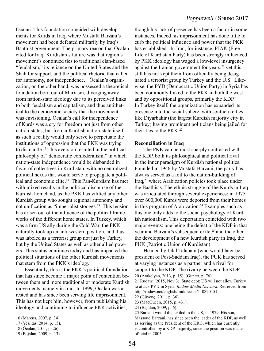Öcalan. This foundation coincided with developments for Kurds in Iraq, where Mustafa Barzani's movement had been defeated militarily by Iraq's Baathist government. The primary reason that Öcalan cited for Iraqi Kurdistan's failure was that region's movement's continued ties to traditional clan-based "feudalism," its reliance on the United States and the Shah for support, and the political rhetoric that called for autonomy, not independence.16 Öcalan's organization, on the other hand, was possessed a theoretical foundation born out of Marxism, diverging away from nation-state ideology due to its perceived links to both feudalism and capitalism, and thus antithetical to the democratic society that the movement was envisioning. Öcalan's call for independence of Kurds was a cry for freedom not just from other nation-states, but from a Kurdish nation-state itself, as such a reality would only serve to perpetuate the institutions of oppression that the PKK was trying to dismantle.17 This aversion resulted in the political philosophy of "democratic confederalism," in which nation-state independence would be disbanded in favor of collectives in Kurdistan, with no centralized political nexus that would serve to propagate a political and economic elite.18 This Pan-Kurdism has met with mixed results in the political discourse of the Kurdish homeland, as the PKK has vilified any other Kurdish group who sought regional autonomy and not unification as "imperialist stooges.<sup>19</sup> This tension has arisen out of the influence of the political frameworks of the different home states. In Turkey, which was a firm US ally during the Cold War, the PKK naturally took up an anti-western position, and thus was labeled as a terrorist group not just by Turkey, but by the United States as well as other allied powers. This status continues today and has impacted the political situations of the other Kurdish movements that stem from the PKK's ideology.

Essentially, this is the PKK's political foundation that has since become a major point of contention between them and more traditional or moderate Kurdish movements, namely in Iraq. In 1999, Öcalan was arrested and has since been serving life imprisonment. This has not kept him, however, from publishing his ideology and continuing to influence PKK activities,

though his lack of presence has been a factor in some instances. Indeed his imprisonment has done little to curb the political influence and power that the PKK has established. In Iran, for instance, PJAK (Free Life of Kurdistan Party) has been strongly influenced by PKK ideology has waged a low-level insurgency against the Iranian government for years, $20$  yet this still has not kept them from officially being designated a terrorist group by Turkey and the U.S. Likewise, the PYD (Democratic Union Party) in Syria has been commonly linked to the PKK in both the west and by oppositional groups, primarily the KDP.<sup>21</sup> In Turkey itself, the organization has expanded its presence into the social sphere, with southern cities like Diyarbakir (the largest Kurdish majority city in Turkey) having prominent politicians being jailed for their ties to the  $PKK<sup>22</sup>$ 

#### **Reconciliation in Iraq**

The PKK can be most sharply contrasted with the KDP, both its philosophical and political rival in the inner paradigm of Kurdish national politics. Founded in 1946 by Mustafa Barzani, the party has always served as a foil to the nation-building of Iraq,23 where Arabization policies took place under the Baathists. The ethnic struggle of the Kurds in Iraq was articulated through several experiences; in 1975 over 600,000 Kurds were deported from their homes in this program of Arabization.<sup>24</sup> Examples such as this one only adds to the social psychology of Kurdish nationalism. This deportation coincided with two major events: one being the defeat of the KDP in that year and Barzani's subsequent exile,<sup>25</sup> and the other the development of a new Kurdish party in Iraq, the PUK (Patriotic Union of Kurdistan).

Headed by Jalal Talabani (who would later be president of Post-Saddam Iraq), the PUK has served at varying instances as a partner and a rival for support to the KDP. The rivalry between the KDP 20 (Arakelyan, 2013, p. 15), (Gunter, p. 76).

22 (Güvenç, 2011, p. 36).

<sup>16 (</sup>Marcus, 2007, p. 34).

<sup>17 (</sup>Yesiltas, 2014, p. 15).

<sup>18 (</sup>Öcalan, 2011, p. 26).

<sup>19 (</sup>Bajalan, 2009, p. 13).

<sup>21</sup> Rudaw. (2015, Nov 3). State dept: US will not allow Turkey to attack PYD in Syria. *Rudaw Media Network*. Retrieved from http://rudaw.net/english/middleeast/110820151

<sup>23 (</sup>MacQueen, 2015, p. 431).

<sup>24 (</sup>Bajalan, 2009, p. 6).

<sup>25</sup> Barzani would die, exiled in the US, in 1979. His son, Massoud Barzani, has since been the leader of the KDP, as well as serving as the President of the KRG, which has currently is controlled by a KDP-majority, since the position was made official in 2005.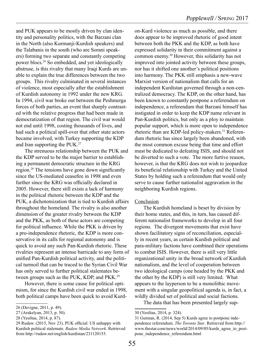and PUK appears to be mostly driven by clan identity and personality politics, with the Barzani clan in the North (also Kurmanji-Kurdish speakers) and the Talabanis in the south (who are Sorani speakers) forming two separate and constantly competing power blocs.26 So embedded, and yet ideologically abstruse, is this rivalry that many Iraqi Kurds are unable to explain the true differences between the two groups. This rivalry culminated in several instances of violence, most especially after the establishment of Kurdish autonomy in 1992 under the new KRG. In 1994, civil war broke out between the Peshmerga forces of both parties, an event that sharply contrasted with the relative progress that had been made in democratization of that region. The civil war would not end until 1998, costing thousands of lives, and had such a political spill-over that other state actors became involved, with Turkey supporting the KDP and Iran supporting the PUK.27

The strenuous relationship between the PUK and the KDP served to be the major barrier to establishing a permanent democratic structure in the KRG region.28 The tensions have gone down significantly since the US-mediated ceasefire in 1998 and even further since the KRG was officially declared in 2005. However, there still exists a lack of harmony in the political rhetoric between the KDP and the PUK, a dichotomization that is tied to Kurdish affairs throughout the homeland. The rivalry is also another dimension of the greater rivalry between the KDP and the PKK, as both of these actors are competing for political influence. While the PKK is driven by a pro-independence rhetoric, the KDP is more conservative in its calls for regional autonomy and is quick to avoid any such Pan-Kurdish rhetoric. These rivalries represent an intense barricade to any form of unified Pan-Kurdish political activity, and the political turmoil that can be traced to the Syrian Civil War has only served to further political stalemates between groups such as the PUK, KDP, and PKK.<sup>29</sup>

However, there is some cause for political optimism, for since the Kurdish civil war ended in 1998, both political camps have been quick to avoid Kurdon-Kurd violence as much as possible, and there does appear to be improved rhetoric of good intent between both the PKK and the KDP, as both have expressed solidarity in their commitment against a common enemy.30 However, this solidarity has not improved into jointed activity between these groups, nor has it shifted one another's political positions into harmony. The PKK still emphasis a new-wave Marxist version of nationalism that calls for an independent Kurdistan governed through a non-centralized democracy. The KDP, on the other hand, has been known to constantly postpone a referendum on independence, a referendum that Barzani himself has instigated in order to keep the KDP name relevant in Pan-Kurdish politics, but only as a ploy to maintain popular support, which is more open to independence rhetoric than are KDP-led policy-makers.<sup>31</sup> Referendum rhetoric has since largely been abandoned, with the most common excuse being that time and effort must be dedicated to defeating ISIS, and should not be diverted to such a vote. The more furtive reason, however, is that the KRG does not wish to jeopardize its beneficial relationship with Turkey and the United States by holding such a referendum that would only serve to cause further nationalist aggravation in the neighboring Kurdish regions.

#### Conclusion

The Kurdish homeland is beset by division by their home states, and this, in turn, has caused different nationalist frameworks to develop in all four regions. The divergent movements that exist have shown facilitatory signs of reconciliation, especially in recent years, as certain Kurdish political and para-military factions have combined their operations to combat ISIS. However, there is still very little organizational unity in the broad network of Kurdish nationalism, and the level of cooperation between two ideological camps (one headed by the PKK and the other by the KDP) is still very limited. What appears to the layperson to be a monolithic movement with a singular geopolitical agenda is, in fact, a wildly divided set of political and social factions.

The data that has been presented largely sup-

<sup>26 (</sup>Devigne, 2011, p. 49).

<sup>27 (</sup>Arakelyan, 2013, p. 50).

<sup>28 (</sup>Yesiltas, 2014, p. 87).

<sup>29</sup> Rudaw. (2015, Nov 23). PUK official: US unhappy with Kurdish political stalemate. *Rudaw Media Network*. Retrieved from http://rudaw.net/english/kurdistan/231120155.

<sup>30 (</sup>Yesiltas, 2014, p. 324).

<sup>31</sup> Gutman, R. (2014, Sep 5) Kurds agree to postpone independence referendum. *The Toronto Star*. Retrieved from http:// www.thestar.com/news/world/2014/09/05/kurds\_agree\_to\_postpone\_independence\_referendum.html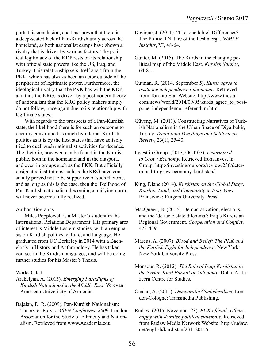ports this conclusion, and has shown that there is a deep-seated lack of Pan-Kurdish unity across the homeland, as both nationalist camps have shown a rivalry that is driven by various factors. The political legitimacy of the KDP rests on its relationship with official state powers like the US, Iraq, and Turkey. This relationship sets itself apart from the PKK, which has always been an actor outside of the peripheries of legitimate power. Furthermore, the ideological rivalry that the PKK has with the KDP, and thus the KRG, is driven by a postmodern theory of nationalism that the KRG policy makers simply do not follow, once again due to its relationship with legitimate states.

With regards to the prospects of a Pan-Kurdish state, the likelihood there is for such an outcome to occur is constrained as much by internal Kurdish politics as it is by the host states that have actively tried to quell such nationalist activities for decades. The rhetoric, however, can be found in the Kurdish public, both in the homeland and in the diaspora, and even in groups such as the PKK. But officially designated institutions such as the KRG have constantly proved not to be supportive of such rhetoric, and as long as this is the case, then the likelihood of Pan-Kurdish nationalism becoming a unifying norm will never become fully realized.

#### **Author Biography**

Miles Popplewell is a Master's student in the International Relations Department. His primary area of interest is Middle Eastern studies, with an emphasis on Kurdish politics, culture, and language. He graduated from UC Berkeley in 2014 with a Bachelor's in History and Anthropology. He has taken courses in the Kurdish languages, and will be doing further studies for his Master's Thesis.

#### Works Cited

- Arakelyan, A. (2013). *Emerging Paradigms of Kurdish Nationhood in the Middle East*. Yerevan: American Univerisity of Armenia.
- Bajalan, D. R. (2009). Pan-Kurdish Nationalism: Theory or Praxis. *ASEN Conference 2009*. London: Association for the Study of Ethnicity and Nationalism. Retrieved from www.Academia.edu.
- Devigne, J. (2011). "Irreconcilable" Differences?: The Political Nature of the Peshmerga. *NIMEP Insights*, VI, 48-64.
- Gunter, M. (2015). The Kurds in the changing political map of the Middle East. *Kurdish Studies*, 64-81.
- Gutman, R. (2014, September 5). *Kurds agree to postpone independence referendum*. Retrieved from Toronto Star Website: http://www.thestar. com/news/world/2014/09/05/kurds\_agree\_to\_postpone independence referendum.html.
- Güvenç, M. (2011). Constructing Narratives of Turkish Nationalism in the Urban Space of Diyarbakir, Turkey. *Traditional Dwellings and Settlements Review*, 23(1), 25-40.
- Invest in Group. (2013, OCT 07). *Determined to Grow: Economy*. Retrieved from Invest in Group: http://investingroup.org/review/236/determined-to-grow-economy-kurdistan/.
- King, Diane (2014). *Kurdistan on the Global Stage: Kinship, Land, and Community in Iraq*. New Brunswick: Rutgers University Press.
- MacQueen, B. (2015). Democratization, elections, and the 'de facto state dilemma': Iraq's Kurdistan Regional Government. *Cooperation and Conflict*, 423-439.
- Marcus, A. (2007). *Blood and Belief: The PKK and the Kurdish Fight for Independence*. New York: New York University Press.
- Monsour, R. (2012). *The Role of Iraqi Kurdistan in the Syrian-Kurd Pursuit of Autonomy*. Doha: Al-Jazeera Centre for Studies.
- Öcalan, A. (2011). *Democratic Confederalism*. London-Cologne: Transmedia Publishing.
- Rudaw. (2015, November 23). *PUK official: US unhappy with Kurdish political stalemate*. Retrieved from Rudaw Media Network Website: http://rudaw. net/english/kurdistan/231120155.